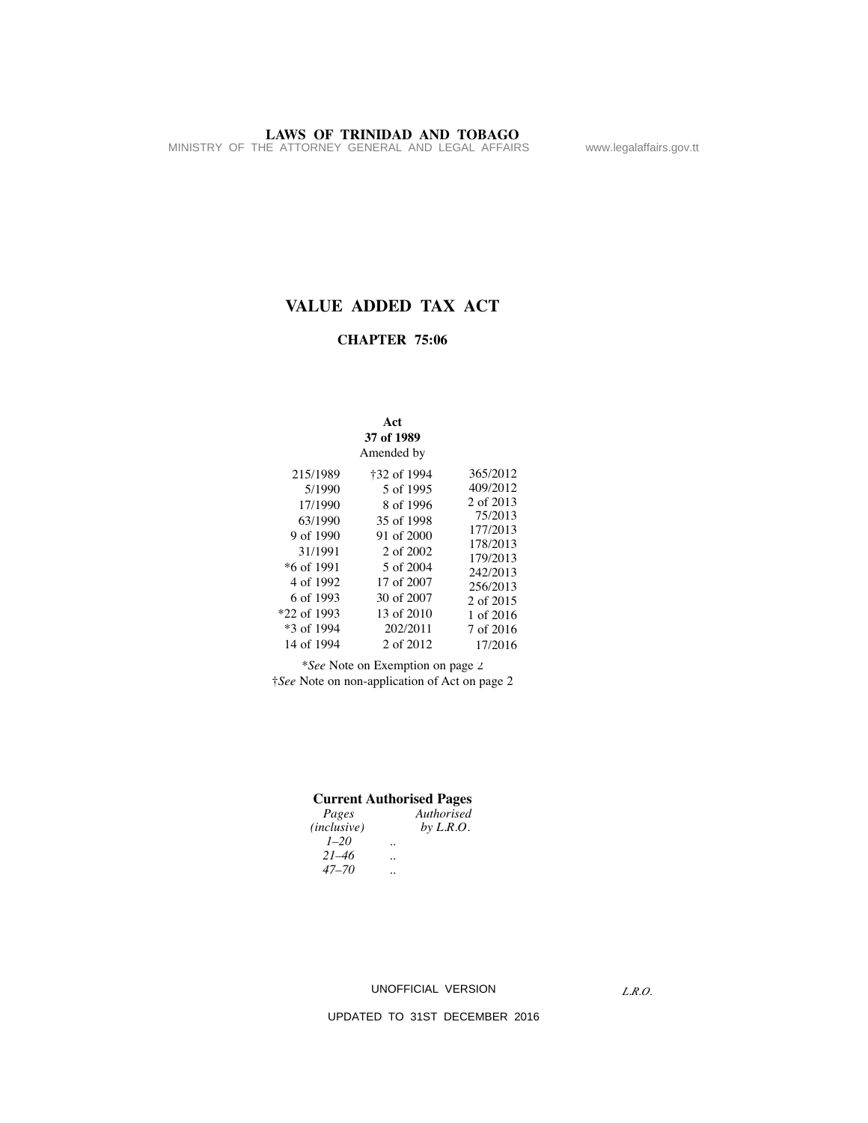## **VALUE ADDED TAX ACT**

#### **CHAPTER 75:06**

|                          | Act<br>37 of 1989<br>Amended by |                       |
|--------------------------|---------------------------------|-----------------------|
| 215/1989                 | †32 of 1994                     | 365/2012<br>409/2012  |
| 5/1990<br>17/1990        | 5 of 1995<br>8 of 1996          | 2 of 2013             |
| 63/1990                  | 35 of 1998                      | 75/2013<br>177/2013   |
| 9 of 1990<br>31/1991     | 91 of 2000<br>2 of 2002         | 178/2013<br>179/2013  |
| $*6$ of 1991             | 5 of 2004                       | 242/2013              |
| 4 of 1992<br>6 of 1993   | 17 of 2007<br>30 of 2007        | 256/2013<br>2 of 2015 |
| *22 of 1993              | 13 of 2010                      | 1 of 2016             |
| *3 of 1994<br>14 of 1994 | 202/2011<br>2 of 2012           | 7 of 2016<br>17/2016  |
|                          |                                 |                       |

*\*See* Note on Exemption on page 2 †*See* Note on non-application of Act on page 2

#### **Current Authorised Pages**

| Pages       | Authorised  |
|-------------|-------------|
| (inclusive) | by $L.R.O.$ |
| $1 - 20$    |             |
| $21 - 46$   |             |
| $47 - 70$   |             |

UNOFFICIAL VERSION

*L.R.O.*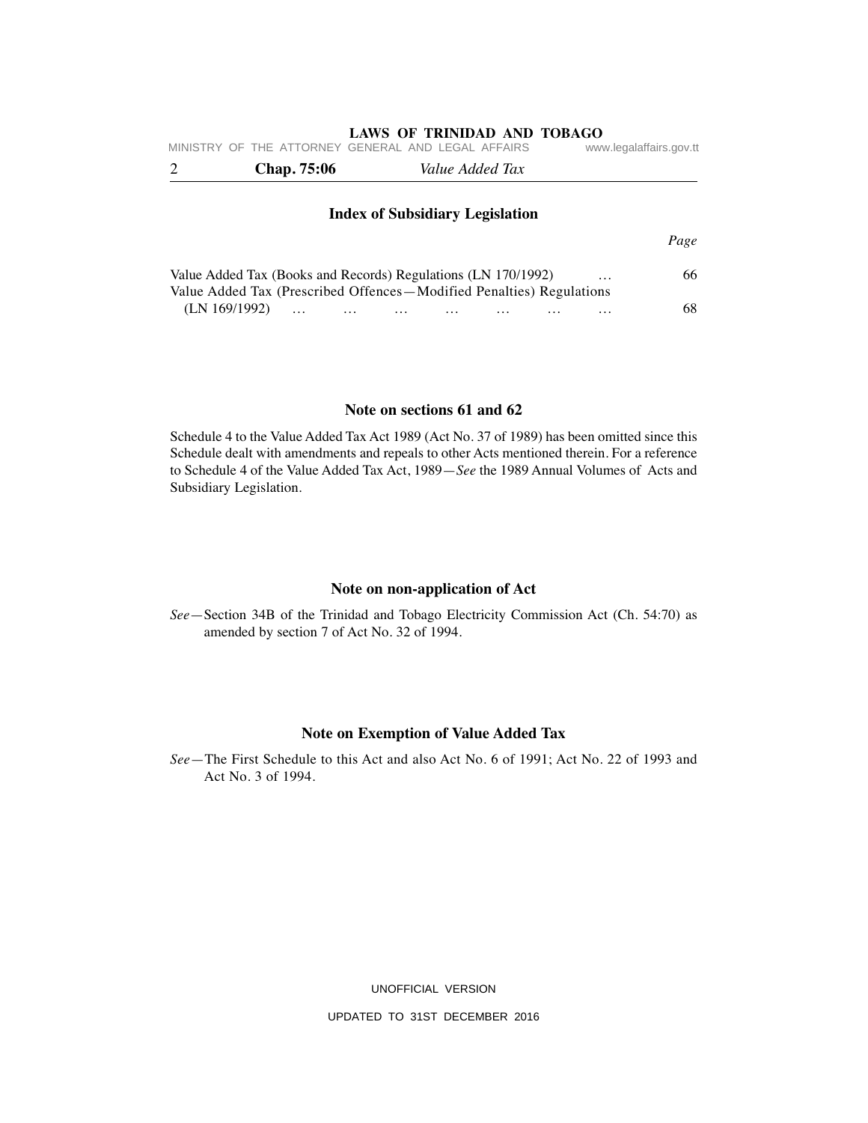| MINISTRY OF THE ATTORNEY GENERAL AND LEGAL AFFAIRS |                    |                                                                                                                                       | www.legalaffairs.gov.tt |    |  |  |  |
|----------------------------------------------------|--------------------|---------------------------------------------------------------------------------------------------------------------------------------|-------------------------|----|--|--|--|
| 2                                                  | <b>Chap.</b> 75:06 | Value Added Tax                                                                                                                       |                         |    |  |  |  |
|                                                    |                    | <b>Index of Subsidiary Legislation</b>                                                                                                |                         |    |  |  |  |
|                                                    |                    |                                                                                                                                       |                         |    |  |  |  |
|                                                    |                    | Value Added Tax (Books and Records) Regulations (LN 170/1992)<br>Value Added Tax (Prescribed Offences—Modified Penalties) Regulations | $\cdots$                | 66 |  |  |  |

(LN 169/1992) … … … … … … … 68

#### **Note on sections 61 and 62**

Schedule 4 to the Value Added Tax Act 1989 (Act No. 37 of 1989) has been omitted since this Schedule dealt with amendments and repeals to other Acts mentioned therein. For a reference to Schedule 4 of the Value Added Tax Act, 1989—*See* the 1989 Annual Volumes of Acts and Subsidiary Legislation.

#### **Note on non-application of Act**

*See*—Section 34B of the Trinidad and Tobago Electricity Commission Act (Ch. 54:70) as amended by section 7 of Act No. 32 of 1994.

#### **Note on Exemption of Value Added Tax**

*See*—The First Schedule to this Act and also Act No. 6 of 1991; Act No. 22 of 1993 and Act No. 3 of 1994.

UNOFFICIAL VERSION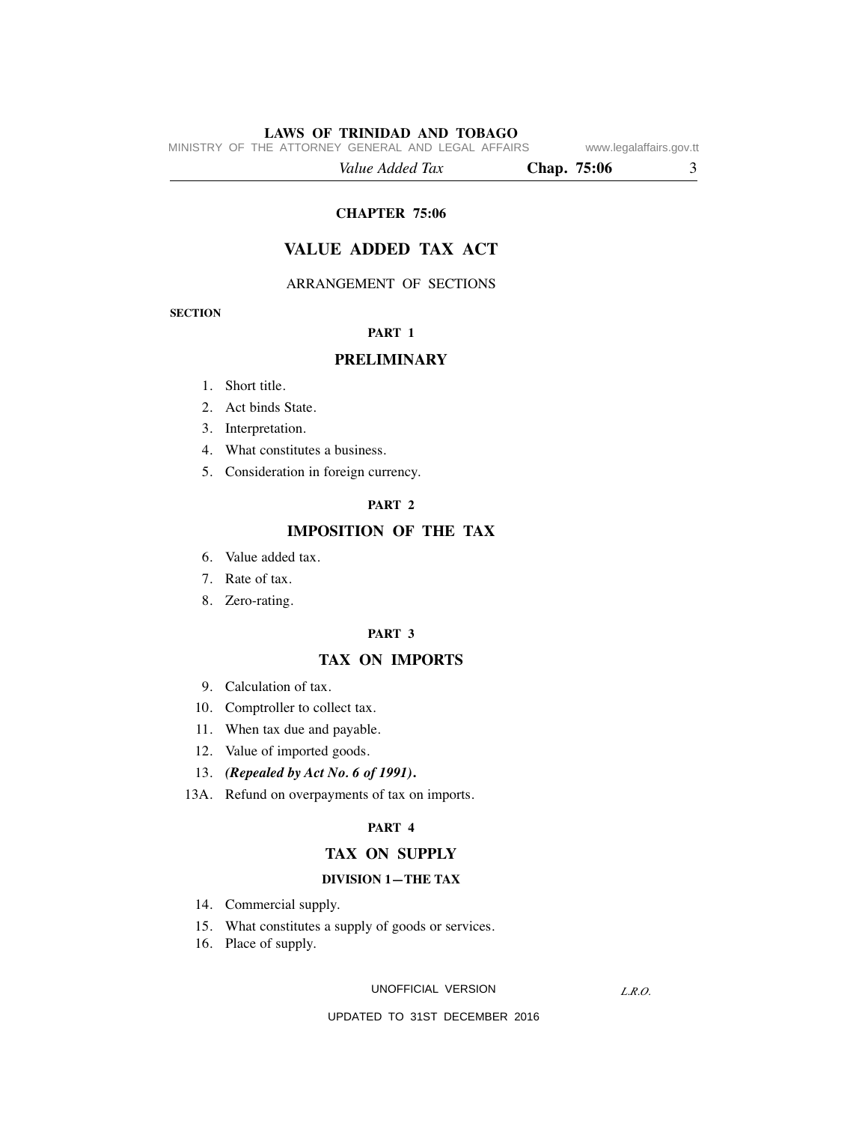MINISTRY OF THE ATTORNEY GENERAL AND LEGAL AFFAIRS www.legalaffairs.gov.tt

 *Value Added Tax* **Chap. 75:06** 3

#### **CHAPTER 75:06**

## **VALUE ADDED TAX ACT**

#### ARRANGEMENT OF SECTIONS

**SECTION**

#### **PART 1**

#### **PRELIMINARY**

- 1. Short title.
- 2. Act binds State.
- 3. Interpretation.
- 4. What constitutes a business.
- 5. Consideration in foreign currency.

#### **PART 2**

## **IMPOSITION OF THE TAX**

- 6. Value added tax.
- 7. Rate of tax.
- 8. Zero-rating.

#### **PART 3**

#### **TAX ON IMPORTS**

- 9. Calculation of tax.
- 10. Comptroller to collect tax.
- 11. When tax due and payable.
- 12. Value of imported goods.
- 13. *(Repealed by Act No. 6 of 1991)***.**
- 13A. Refund on overpayments of tax on imports.

#### **PART 4**

#### **TAX ON SUPPLY**

#### **DIVISION 1—THE TAX**

- 14. Commercial supply.
- 15. What constitutes a supply of goods or services.
- 16. Place of supply.

#### UNOFFICIAL VERSION

*L.R.O.*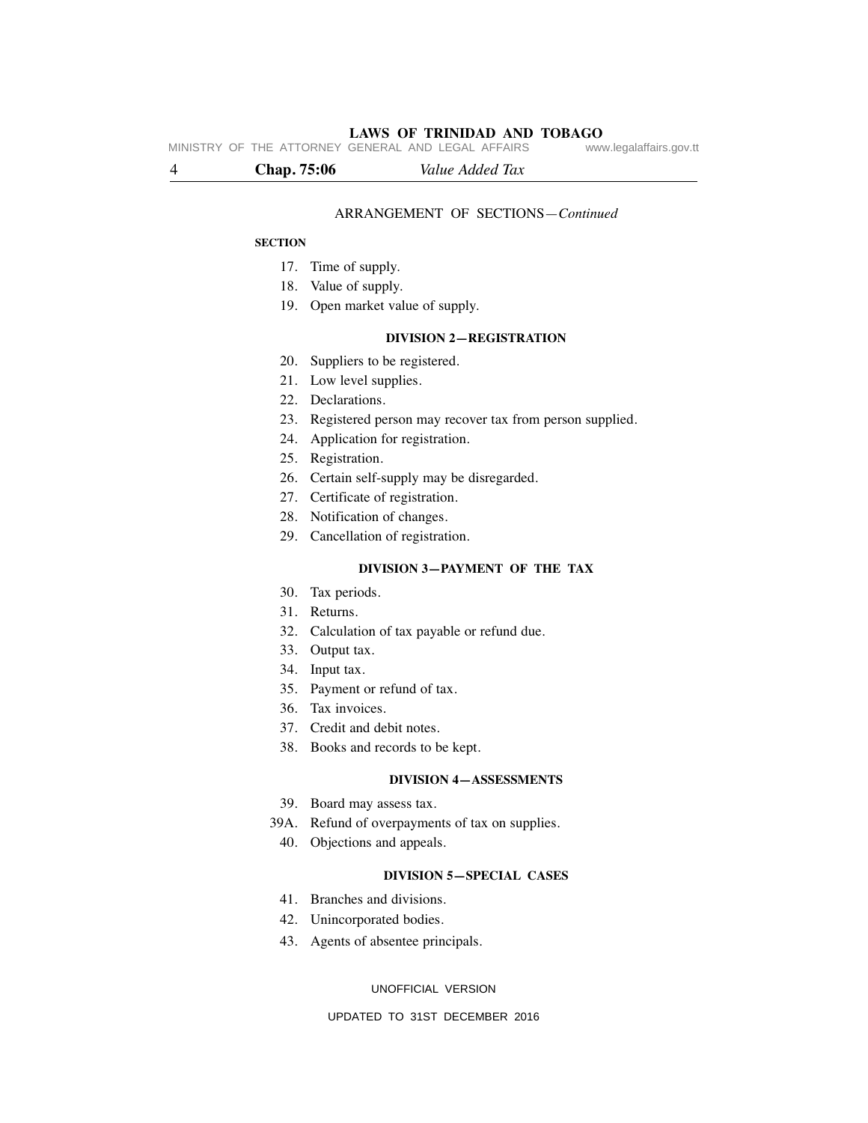# **LAWS OF TRINIDAD AND TOBAGO**<br>GENERAL AND LEGAL AFFAIRS www.legalaffairs.gov.tt

MINISTRY OF THE ATTORNEY GENERAL AND LEGAL AFFAIRS

4 **Chap. 75:06** *Value Added Tax* 

#### ARRANGEMENT OF SECTIONS—*Continued*

#### **SECTION**

- 17. Time of supply.
- 18. Value of supply.
- 19. Open market value of supply.

#### **DIVISION 2—REGISTRATION**

- 20. Suppliers to be registered.
- 21. Low level supplies.
- 22. Declarations.
- 23. Registered person may recover tax from person supplied.
- 24. Application for registration.
- 25. Registration.
- 26. Certain self-supply may be disregarded.
- 27. Certificate of registration.
- 28. Notification of changes.
- 29. Cancellation of registration.

#### **DIVISION 3—PAYMENT OF THE TAX**

- 30. Tax periods.
- 31. Returns.
- 32. Calculation of tax payable or refund due.
- 33. Output tax.
- 34. Input tax.
- 35. Payment or refund of tax.
- 36. Tax invoices.
- 37. Credit and debit notes.
- 38. Books and records to be kept.

#### **DIVISION 4—ASSESSMENTS**

- 39. Board may assess tax.
- 39A. Refund of overpayments of tax on supplies.
	- 40. Objections and appeals.

#### **DIVISION 5—SPECIAL CASES**

- 41. Branches and divisions.
- 42. Unincorporated bodies.
- 43. Agents of absentee principals.

#### UNOFFICIAL VERSION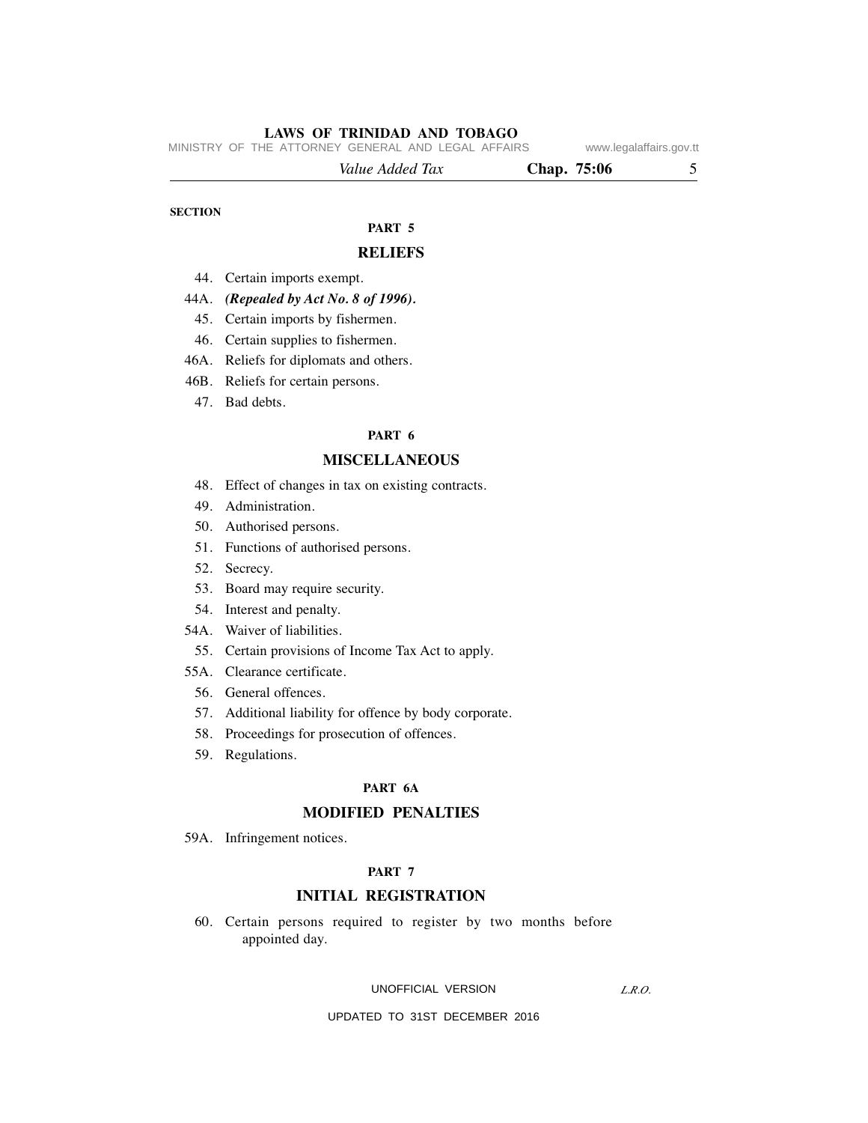MINISTRY OF THE ATTORNEY GENERAL AND LEGAL AFFAIRS www.legalaffairs.gov.tt

| Value Added Tax | Chap. 75:06 |  |
|-----------------|-------------|--|
|                 |             |  |

#### **SECTION**

## **PART 5**

#### **RELIEFS**

- 44. Certain imports exempt.
- 44A. *(Repealed by Act No. 8 of 1996).*
	- 45. Certain imports by fishermen.
	- 46. Certain supplies to fishermen.
- 46A. Reliefs for diplomats and others.
- 46B. Reliefs for certain persons.
	- 47. Bad debts.

#### **PART 6**

#### **MISCELLANEOUS**

- 48. Effect of changes in tax on existing contracts.
- 49. Administration.
- 50. Authorised persons.
- 51. Functions of authorised persons.
- 52. Secrecy.
- 53. Board may require security.
- 54. Interest and penalty.
- 54A. Waiver of liabilities.
- 55. Certain provisions of Income Tax Act to apply.
- 55A. Clearance certificate.
	- 56. General offences.
	- 57. Additional liability for offence by body corporate.
	- 58. Proceedings for prosecution of offences.
	- 59. Regulations.

#### **PART 6A**

#### **MODIFIED PENALTIES**

59A. Infringement notices.

#### **PART 7**

#### **INITIAL REGISTRATION**

 60. Certain persons required to register by two months before appointed day.

#### UNOFFICIAL VERSION

*L.R.O.*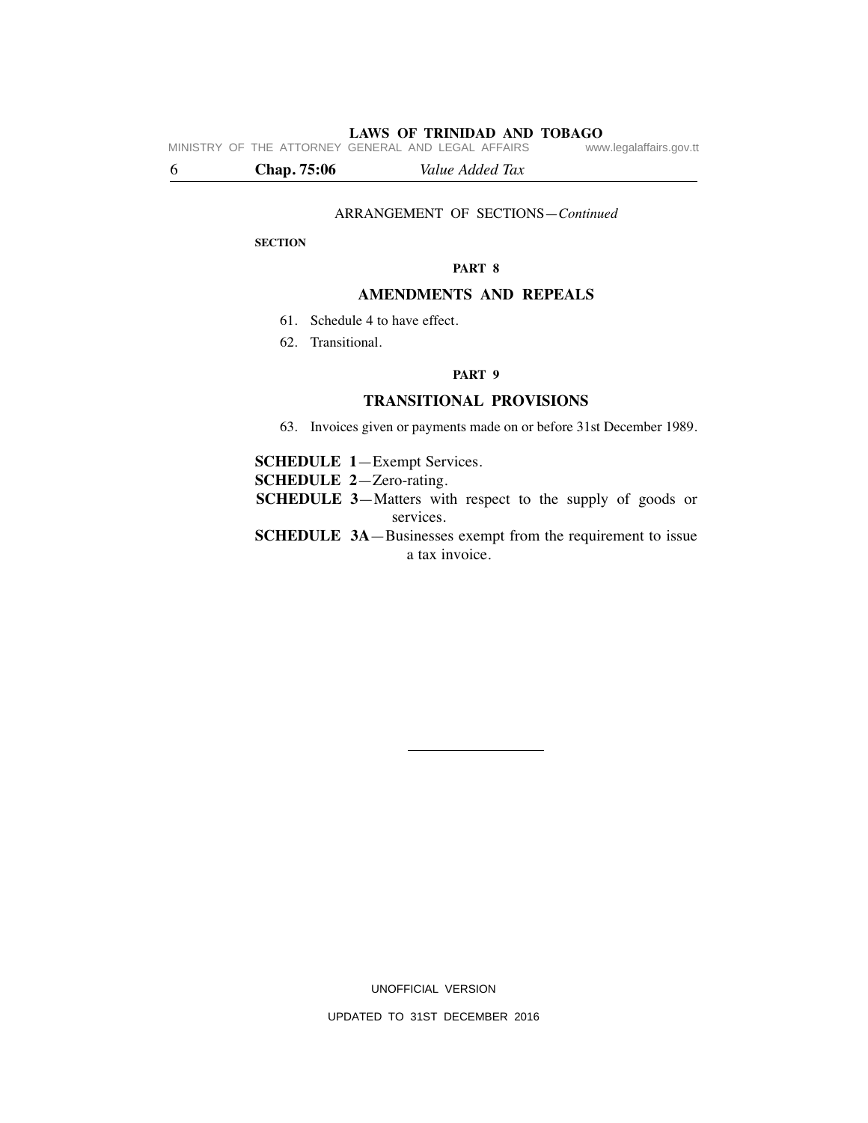**LAWS OF TRINIDAD AND TOBAGO**<br>GENERAL AND LEGAL AFFAIRS www.legalaffairs.gov.tt MINISTRY OF THE ATTORNEY GENERAL AND LEGAL AFFAIRS

6 **Chap. 75:06** *Value Added Tax* 

#### ARRANGEMENT OF SECTIONS—*Continued*

#### **SECTION**

**PART 8**

#### **AMENDMENTS AND REPEALS**

- 61. Schedule 4 to have effect.
- 62. Transitional.

#### **PART 9**

#### **TRANSITIONAL PROVISIONS**

63. Invoices given or payments made on or before 31st December 1989.

**SCHEDULE 1**—Exempt Services.

**SCHEDULE 2**—Zero-rating.

- **SCHEDULE 3**—Matters with respect to the supply of goods or services.
- **SCHEDULE 3A**—Businesses exempt from the requirement to issue a tax invoice.

UNOFFICIAL VERSION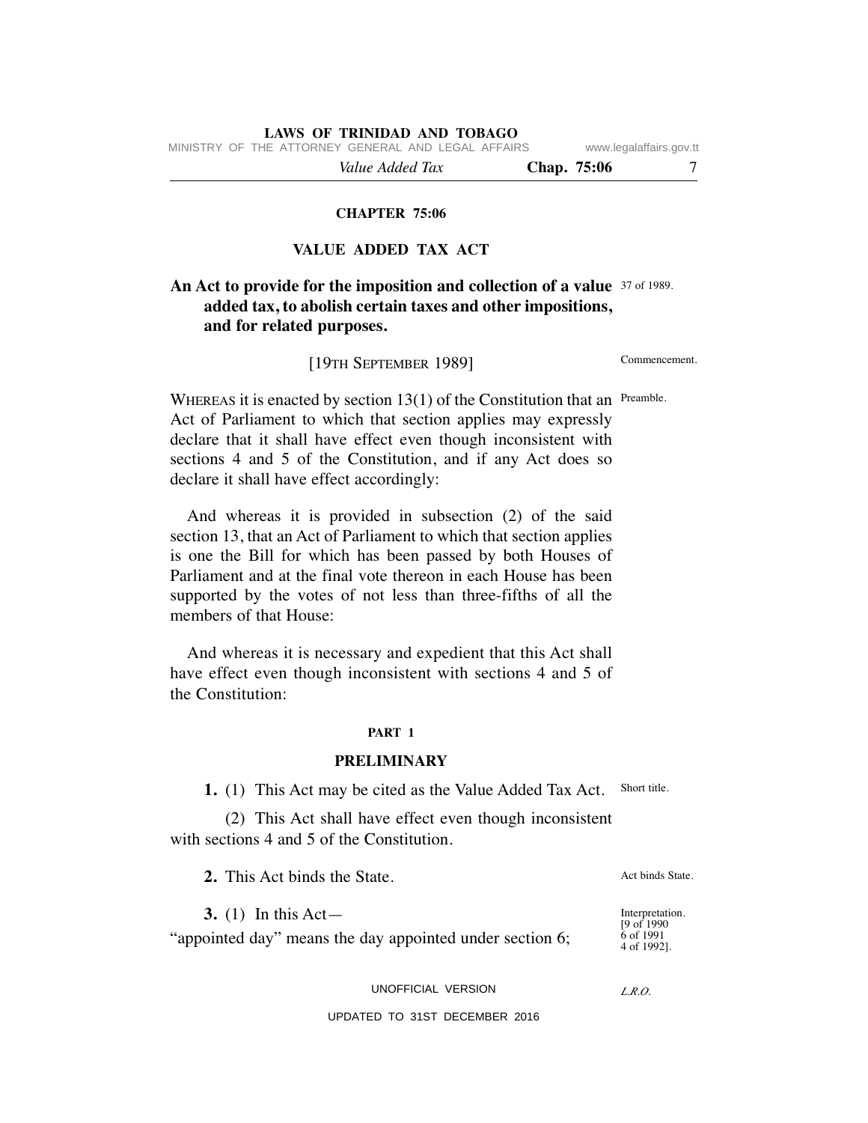MINISTRY OF THE ATTORNEY GENERAL AND LEGAL AFFAIRS www.legalaffairs.gov.tt

 *Value Added Tax* **Chap. 75:06** 7

#### **CHAPTER 75:06**

## **VALUE ADDED TAX ACT**

## **An Act to provide for the imposition and collection of a value** 37 of 1989. **added tax, to abolish certain taxes and other impositions, and for related purposes.**

[19TH SEPTEMBER 1989]

Commencement.

WHEREAS it is enacted by section  $13(1)$  of the Constitution that an Preamble. Act of Parliament to which that section applies may expressly declare that it shall have effect even though inconsistent with sections 4 and 5 of the Constitution, and if any Act does so declare it shall have effect accordingly:

 And whereas it is provided in subsection (2) of the said section 13, that an Act of Parliament to which that section applies is one the Bill for which has been passed by both Houses of Parliament and at the final vote thereon in each House has been supported by the votes of not less than three-fifths of all the members of that House:

 And whereas it is necessary and expedient that this Act shall have effect even though inconsistent with sections 4 and 5 of the Constitution:

#### **PART 1**

#### **PRELIMINARY**

 **1.** (1) This Act may be cited as the Value Added Tax Act. Short title.

 (2) This Act shall have effect even though inconsistent with sections 4 and 5 of the Constitution.

 **2.** This Act binds the State.

 **3.** (1) In this Act—

"appointed day" means the day appointed under section 6;

UNOFFICIAL VERSION

#### UPDATED TO 31ST DECEMBER 2016

Act binds State.

Interpretation. [9 of 1990 6 of 1991 4 of 1992].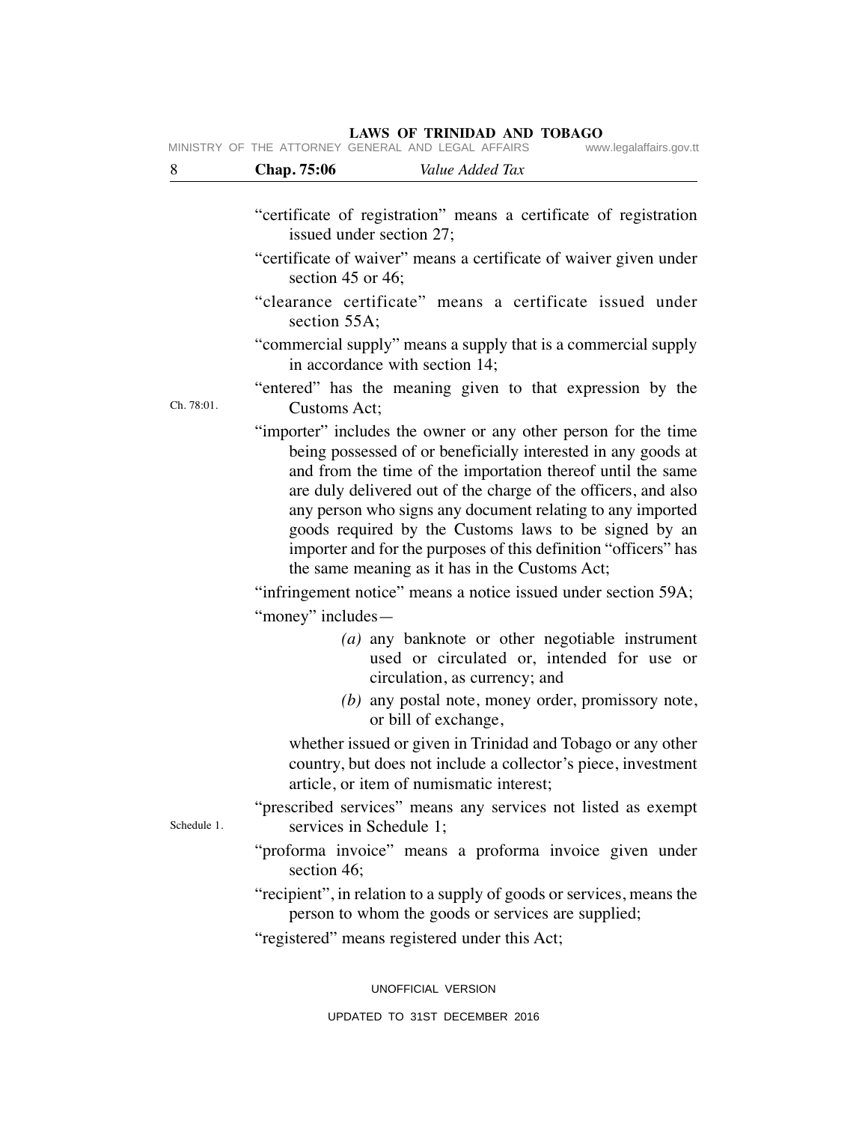## 8 **Chap. 75:06** *Value Added Tax*  "certificate of registration" means a certificate of registration issued under section 27; "certificate of waiver" means a certificate of waiver given under section 45 or 46; "clearance certificate" means a certificate issued under section 55A: "commercial supply" means a supply that is a commercial supply in accordance with section 14; "entered" has the meaning given to that expression by the Customs Act; "importer" includes the owner or any other person for the time being possessed of or beneficially interested in any goods at and from the time of the importation thereof until the same are duly delivered out of the charge of the officers, and also any person who signs any document relating to any imported goods required by the Customs laws to be signed by an importer and for the purposes of this definition "officers" has the same meaning as it has in the Customs Act; "infringement notice" means a notice issued under section 59A; "money" includes—  *(a)* any banknote or other negotiable instrument used or circulated or, intended for use or circulation, as currency; and  *(b)* any postal note, money order, promissory note, or bill of exchange, whether issued or given in Trinidad and Tobago or any other country, but does not include a collector's piece, investment article, or item of numismatic interest; "prescribed services" means any services not listed as exempt services in Schedule 1; "proforma invoice" means a proforma invoice given under section 46; "recipient", in relation to a supply of goods or services, means the person to whom the goods or services are supplied; "registered" means registered under this Act; Ch. 78:01. Schedule 1. UNOFFICIAL VERSION

#### **LAWS OF TRINIDAD AND TOBAGO** MINISTRY OF THE ATTORNEY GENERAL AND LEGAL AFFAIRS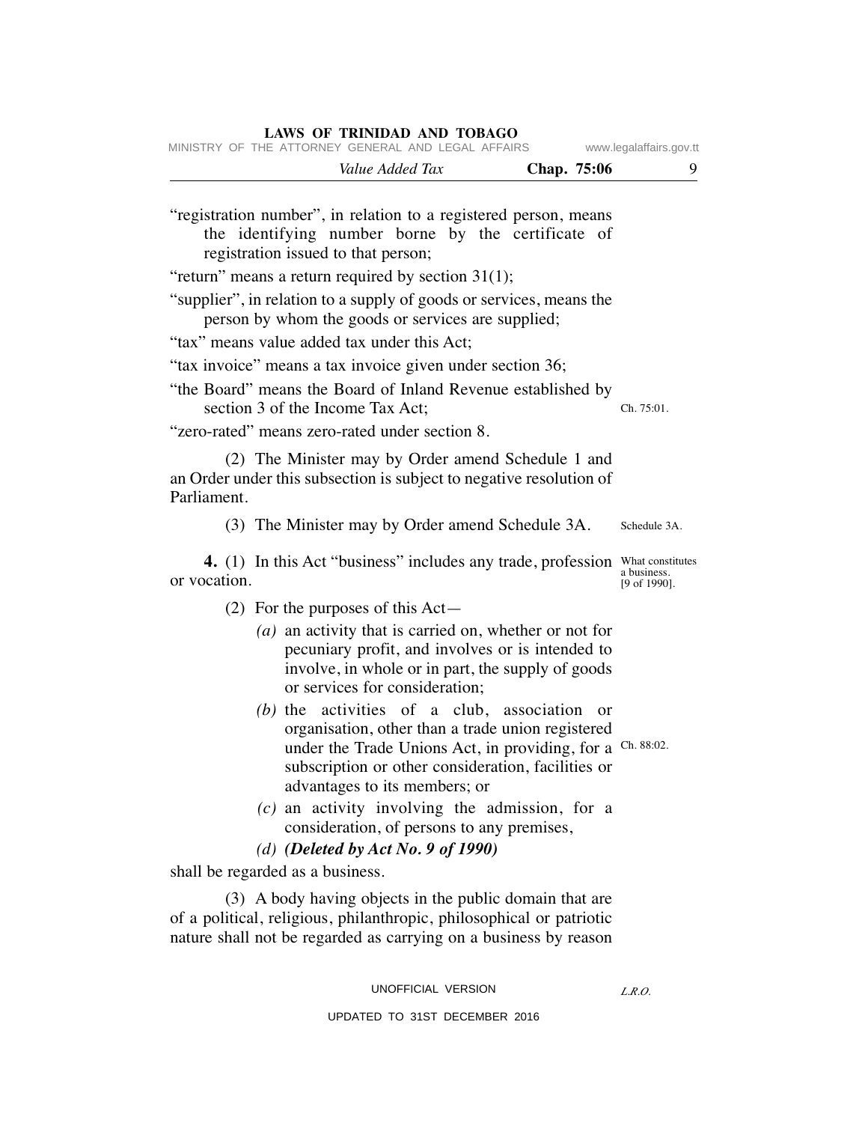| MINISTRY OF THE ATTORNEY GENERAL AND LEGAL AFFAIRS                                                                                                                                                                                                            | www.legalaffairs.gov.tt     |
|---------------------------------------------------------------------------------------------------------------------------------------------------------------------------------------------------------------------------------------------------------------|-----------------------------|
| Value Added Tax<br>Chap. 75:06                                                                                                                                                                                                                                | 9                           |
| "registration number", in relation to a registered person, means<br>the identifying number borne by the certificate of<br>registration issued to that person;                                                                                                 |                             |
| "return" means a return required by section $31(1)$ ;                                                                                                                                                                                                         |                             |
| "supplier", in relation to a supply of goods or services, means the<br>person by whom the goods or services are supplied;                                                                                                                                     |                             |
| "tax" means value added tax under this Act;                                                                                                                                                                                                                   |                             |
| "tax invoice" means a tax invoice given under section 36;                                                                                                                                                                                                     |                             |
| "the Board" means the Board of Inland Revenue established by<br>section 3 of the Income Tax Act;                                                                                                                                                              | Ch. 75:01.                  |
| "zero-rated" means zero-rated under section 8.                                                                                                                                                                                                                |                             |
| (2) The Minister may by Order amend Schedule 1 and<br>an Order under this subsection is subject to negative resolution of<br>Parliament.                                                                                                                      |                             |
| (3) The Minister may by Order amend Schedule 3A.                                                                                                                                                                                                              | Schedule 3A.                |
| 4. (1) In this Act "business" includes any trade, profession What constitutes<br>or vocation.                                                                                                                                                                 | a business.<br>[9 of 1990]. |
| (2) For the purposes of this $Act-$                                                                                                                                                                                                                           |                             |
| (a) an activity that is carried on, whether or not for<br>pecuniary profit, and involves or is intended to<br>involve, in whole or in part, the supply of goods<br>or services for consideration;                                                             |                             |
| $(b)$ the activities of a club, association<br>- or<br>organisation, other than a trade union registered<br>under the Trade Unions Act, in providing, for a Ch. 88:02.<br>subscription or other consideration, facilities or<br>advantages to its members; or |                             |
| $(c)$ an activity involving the admission, for a<br>consideration, of persons to any premises,                                                                                                                                                                |                             |
| (d) (Deleted by Act No. 9 of 1990)                                                                                                                                                                                                                            |                             |
| shall be regarded as a business.                                                                                                                                                                                                                              |                             |
| (3) A body having objects in the public domain that are<br>of a political, religious, philanthropic, philosophical or patriotic<br>nature shall not be regarded as carrying on a business by reason                                                           |                             |

*L.R.O.*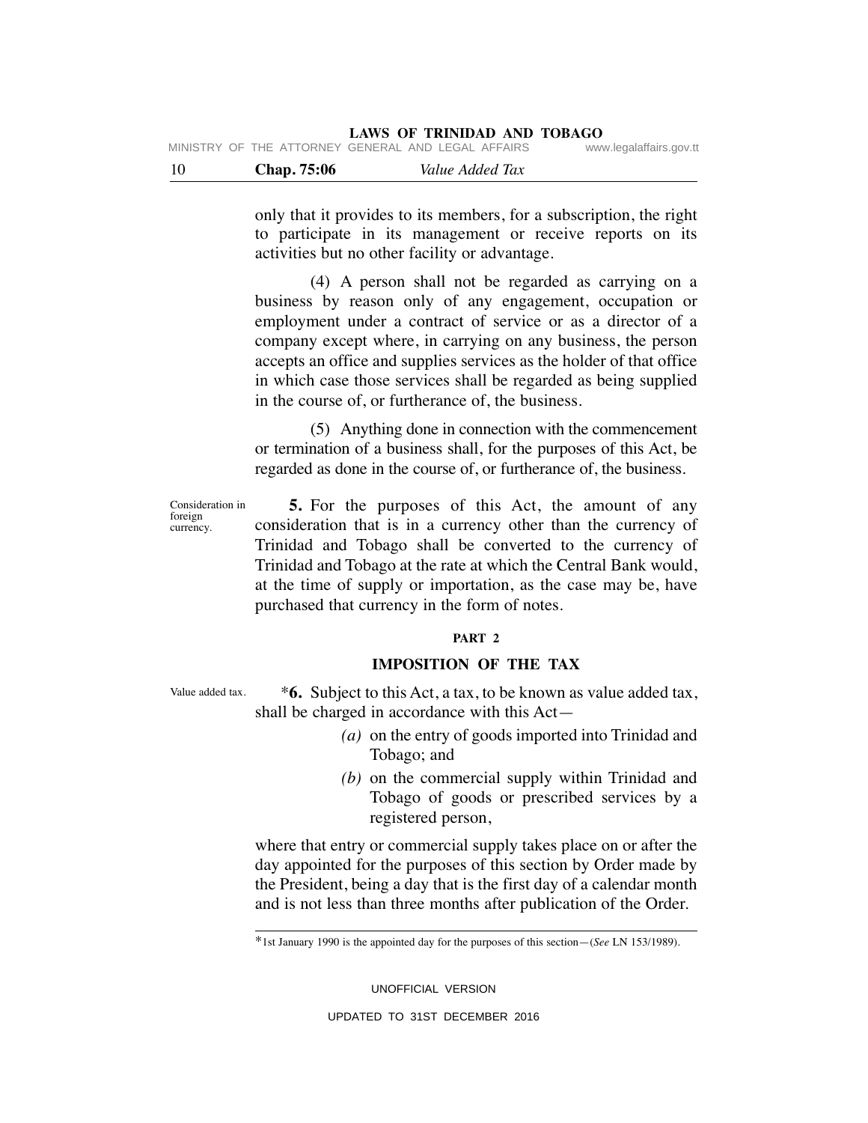| -10 | Chap. 75:06 | Value Added Tax                                    |                         |
|-----|-------------|----------------------------------------------------|-------------------------|
|     |             | MINISTRY OF THE ATTORNEY GENERAL AND LEGAL AFFAIRS | www.legalaffairs.gov.tt |

only that it provides to its members, for a subscription, the right to participate in its management or receive reports on its activities but no other facility or advantage.

 (4) A person shall not be regarded as carrying on a business by reason only of any engagement, occupation or employment under a contract of service or as a director of a company except where, in carrying on any business, the person accepts an office and supplies services as the holder of that office in which case those services shall be regarded as being supplied in the course of, or furtherance of, the business.

 (5) Anything done in connection with the commencement or termination of a business shall, for the purposes of this Act, be regarded as done in the course of, or furtherance of, the business.

 **5.** For the purposes of this Act, the amount of any consideration that is in a currency other than the currency of Trinidad and Tobago shall be converted to the currency of Trinidad and Tobago at the rate at which the Central Bank would, at the time of supply or importation, as the case may be, have purchased that currency in the form of notes. Consideration in

#### **PART 2**

### **IMPOSITION OF THE TAX**

Value added tax.

foreign currency.

> \***6.** Subject to this Act, a tax, to be known as value added tax, shall be charged in accordance with this Act—

- *(a)* on the entry of goods imported into Trinidad and Tobago; and
- *(b)* on the commercial supply within Trinidad and Tobago of goods or prescribed services by a registered person,

where that entry or commercial supply takes place on or after the day appointed for the purposes of this section by Order made by the President, being a day that is the first day of a calendar month and is not less than three months after publication of the Order.

UNOFFICIAL VERSION

<sup>\*1</sup>st January 1990 is the appointed day for the purposes of this section—(*See* LN 153/1989).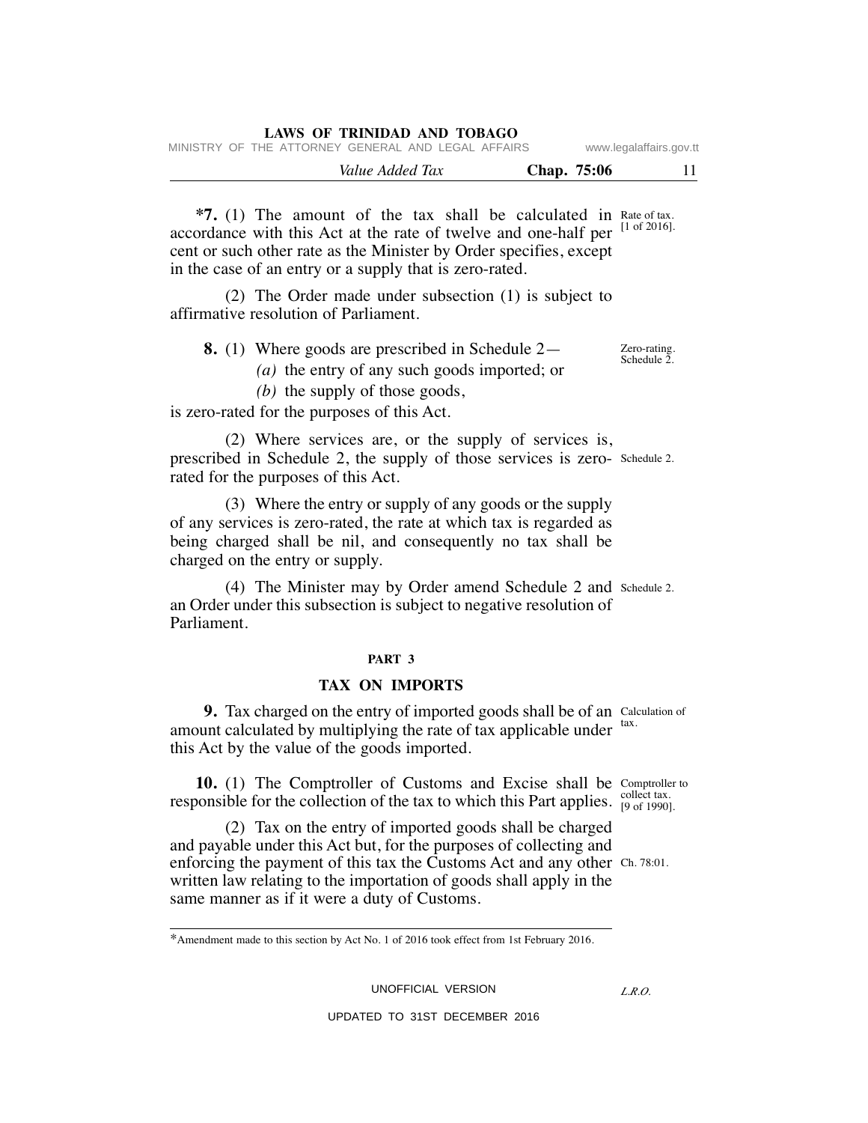|  | LAWS OF TRINIDAD AND TOBAGO                        |             |                         |
|--|----------------------------------------------------|-------------|-------------------------|
|  | MINISTRY OF THE ATTORNEY GENERAL AND LEGAL AFFAIRS |             | www.legalaffairs.gov.tt |
|  | Value Added Tax                                    | Chap. 75:06 | 11                      |

 $*7.$  (1) The amount of the tax shall be calculated in Rate of tax. accordance with this Act at the rate of twelve and one-half per cent or such other rate as the Minister by Order specifies, except in the case of an entry or a supply that is zero-rated. [1 of 2016].

 (2) The Order made under subsection (1) is subject to affirmative resolution of Parliament.

| 8. (1) Where goods are prescribed in Schedule $2-$ | Zero-rating.<br>Schedule 2. |
|----------------------------------------------------|-----------------------------|
| (a) the entry of any such goods imported; or       |                             |

 *(b)* the supply of those goods,

is zero-rated for the purposes of this Act.

 (2) Where services are, or the supply of services is, prescribed in Schedule 2, the supply of those services is zero-Schedule 2. rated for the purposes of this Act.

 (3) Where the entry or supply of any goods or the supply of any services is zero-rated, the rate at which tax is regarded as being charged shall be nil, and consequently no tax shall be charged on the entry or supply.

 (4) The Minister may by Order amend Schedule 2 and Schedule 2. an Order under this subsection is subject to negative resolution of Parliament.

#### **PART 3**

#### **TAX ON IMPORTS**

**9.** Tax charged on the entry of imported goods shall be of an Calculation of amount calculated by multiplying the rate of tax applicable under  $\frac{\text{tax}}{\text{ax}}$ . this Act by the value of the goods imported.

**10.** (1) The Comptroller of Customs and Excise shall be Comptroller to responsible for the collection of the tax to which this Part applies.  $\frac{\text{collect tax.}}{[9 \text{ of } 1990]}$ 

 (2) Tax on the entry of imported goods shall be charged and payable under this Act but, for the purposes of collecting and enforcing the payment of this tax the Customs Act and any other Ch. 78:01. written law relating to the importation of goods shall apply in the same manner as if it were a duty of Customs.

UNOFFICIAL VERSION

[9 of 1990].

<sup>\*</sup>Amendment made to this section by Act No. 1 of 2016 took effect from 1st February 2016.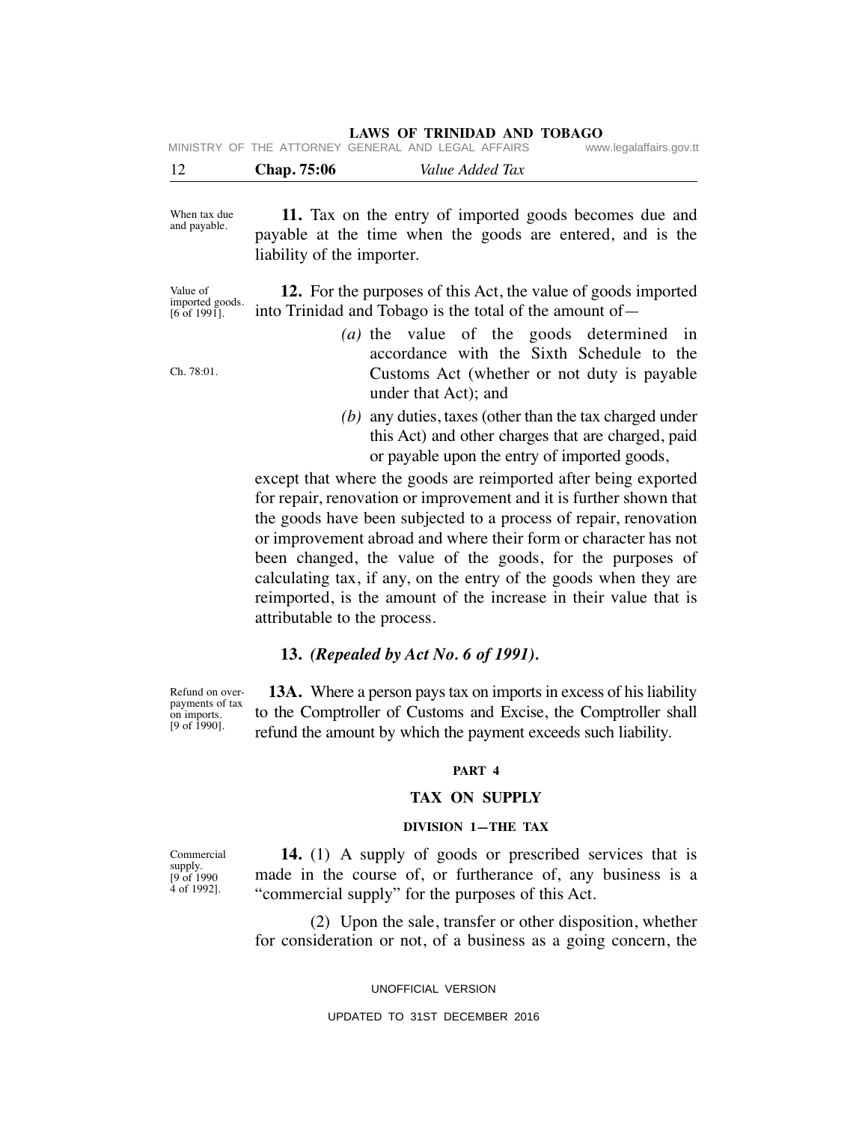**LAWS OF TRINIDAD AND TOBAGO**

| 12 | <b>Chap.</b> 75:06 | Value Added Tax                                    |                         |
|----|--------------------|----------------------------------------------------|-------------------------|
|    |                    | MINISTRY OF THE ATTORNEY GENERAL AND LEGAL AFFAIRS | www.legalaffairs.gov.tt |

 **11.** Tax on the entry of imported goods becomes due and payable at the time when the goods are entered, and is the liability of the importer. When tax due and payable.

Value of imported goods.  $[6$  of 1991].

Ch. 78:01.

 **12.** For the purposes of this Act, the value of goods imported into Trinidad and Tobago is the total of the amount of—

- *(a)* the value of the goods determined in accordance with the Sixth Schedule to the Customs Act (whether or not duty is payable under that Act); and
- *(b)* any duties, taxes (other than the tax charged under this Act) and other charges that are charged, paid or payable upon the entry of imported goods,

except that where the goods are reimported after being exported for repair, renovation or improvement and it is further shown that the goods have been subjected to a process of repair, renovation or improvement abroad and where their form or character has not been changed, the value of the goods, for the purposes of calculating tax, if any, on the entry of the goods when they are reimported, is the amount of the increase in their value that is attributable to the process.

## **13.** *(Repealed by Act No. 6 of 1991).*

 **13A.** Where a person pays tax on imports in excess of his liability to the Comptroller of Customs and Excise, the Comptroller shall refund the amount by which the payment exceeds such liability. Refund on overpayments of tax

#### **PART 4**

#### **TAX ON SUPPLY**

#### **DIVISION 1—THE TAX**

 **14.** (1) A supply of goods or prescribed services that is made in the course of, or furtherance of, any business is a "commercial supply" for the purposes of this Act.

 (2) Upon the sale, transfer or other disposition, whether for consideration or not, of a business as a going concern, the

#### UNOFFICIAL VERSION

#### UPDATED TO 31ST DECEMBER 2016

Commercial supply. [9 of 1990 4 of 1992].

on imports. [9 of 1990].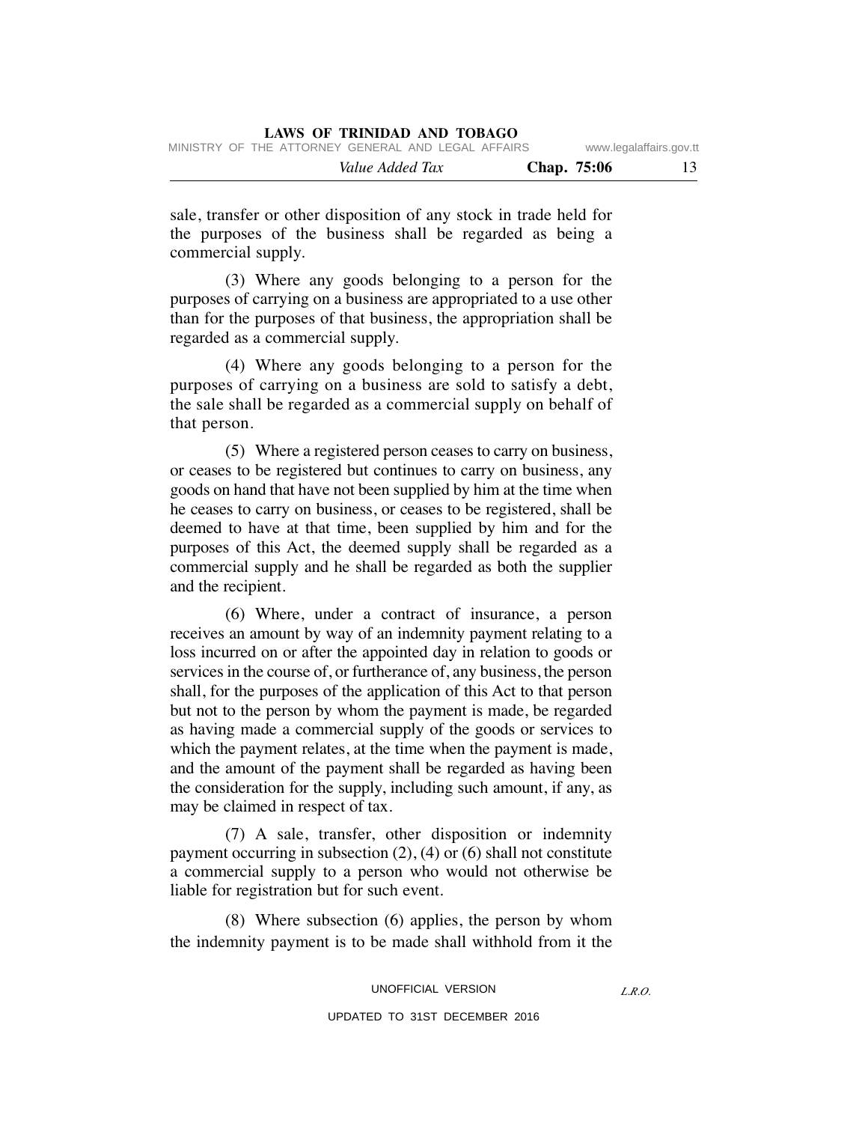| MINISTRY OF THE ATTORNEY GENERAL AND LEGAL AFFAIRS |             | www.legalaffairs.gov.tt |    |
|----------------------------------------------------|-------------|-------------------------|----|
| Value Added Tax                                    | Chap. 75:06 |                         | 13 |

sale, transfer or other disposition of any stock in trade held for the purposes of the business shall be regarded as being a commercial supply.

 (3) Where any goods belonging to a person for the purposes of carrying on a business are appropriated to a use other than for the purposes of that business, the appropriation shall be regarded as a commercial supply.

 (4) Where any goods belonging to a person for the purposes of carrying on a business are sold to satisfy a debt, the sale shall be regarded as a commercial supply on behalf of that person.

 (5) Where a registered person ceases to carry on business, or ceases to be registered but continues to carry on business, any goods on hand that have not been supplied by him at the time when he ceases to carry on business, or ceases to be registered, shall be deemed to have at that time, been supplied by him and for the purposes of this Act, the deemed supply shall be regarded as a commercial supply and he shall be regarded as both the supplier and the recipient.

 (6) Where, under a contract of insurance, a person receives an amount by way of an indemnity payment relating to a loss incurred on or after the appointed day in relation to goods or services in the course of, or furtherance of, any business, the person shall, for the purposes of the application of this Act to that person but not to the person by whom the payment is made, be regarded as having made a commercial supply of the goods or services to which the payment relates, at the time when the payment is made, and the amount of the payment shall be regarded as having been the consideration for the supply, including such amount, if any, as may be claimed in respect of tax.

 (7) A sale, transfer, other disposition or indemnity payment occurring in subsection (2), (4) or (6) shall not constitute a commercial supply to a person who would not otherwise be liable for registration but for such event.

 (8) Where subsection (6) applies, the person by whom the indemnity payment is to be made shall withhold from it the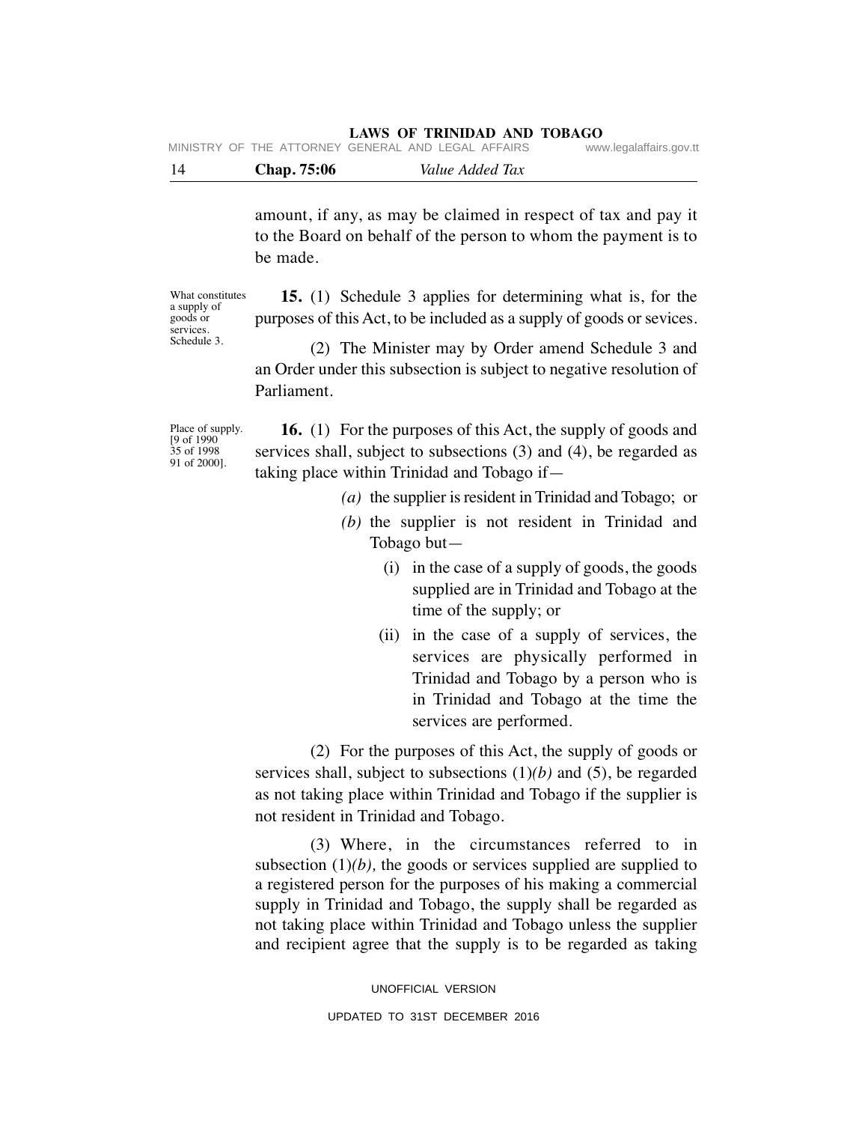| <b>Chap.</b> 75:06                                 | Value Added Tax |                         |
|----------------------------------------------------|-----------------|-------------------------|
| MINISTRY OF THE ATTORNEY GENERAL AND LEGAL AFFAIRS |                 | www.legalaffairs.gov.tt |

amount, if any, as may be claimed in respect of tax and pay it to the Board on behalf of the person to whom the payment is to be made.

What constitutes a supply of goods or services. Schedule 3.

 **15.** (1) Schedule 3 applies for determining what is, for the purposes of this Act, to be included as a supply of goods or sevices.

 (2) The Minister may by Order amend Schedule 3 and an Order under this subsection is subject to negative resolution of Parliament.

Place of supply. [9 of 1990 35 of 1998 91 of 2000].

 **16.** (1) For the purposes of this Act, the supply of goods and services shall, subject to subsections (3) and (4), be regarded as taking place within Trinidad and Tobago if—

- *(a)* the supplier is resident in Trinidad and Tobago; or
- *(b)* the supplier is not resident in Trinidad and Tobago but—
	- (i) in the case of a supply of goods, the goods supplied are in Trinidad and Tobago at the time of the supply; or
	- (ii) in the case of a supply of services, the services are physically performed in Trinidad and Tobago by a person who is in Trinidad and Tobago at the time the services are performed.

 (2) For the purposes of this Act, the supply of goods or services shall, subject to subsections (1)*(b)* and (5), be regarded as not taking place within Trinidad and Tobago if the supplier is not resident in Trinidad and Tobago.

 (3) Where, in the circumstances referred to in subsection  $(1)(b)$ , the goods or services supplied are supplied to a registered person for the purposes of his making a commercial supply in Trinidad and Tobago, the supply shall be regarded as not taking place within Trinidad and Tobago unless the supplier and recipient agree that the supply is to be regarded as taking

> UNOFFICIAL VERSION UPDATED TO 31ST DECEMBER 2016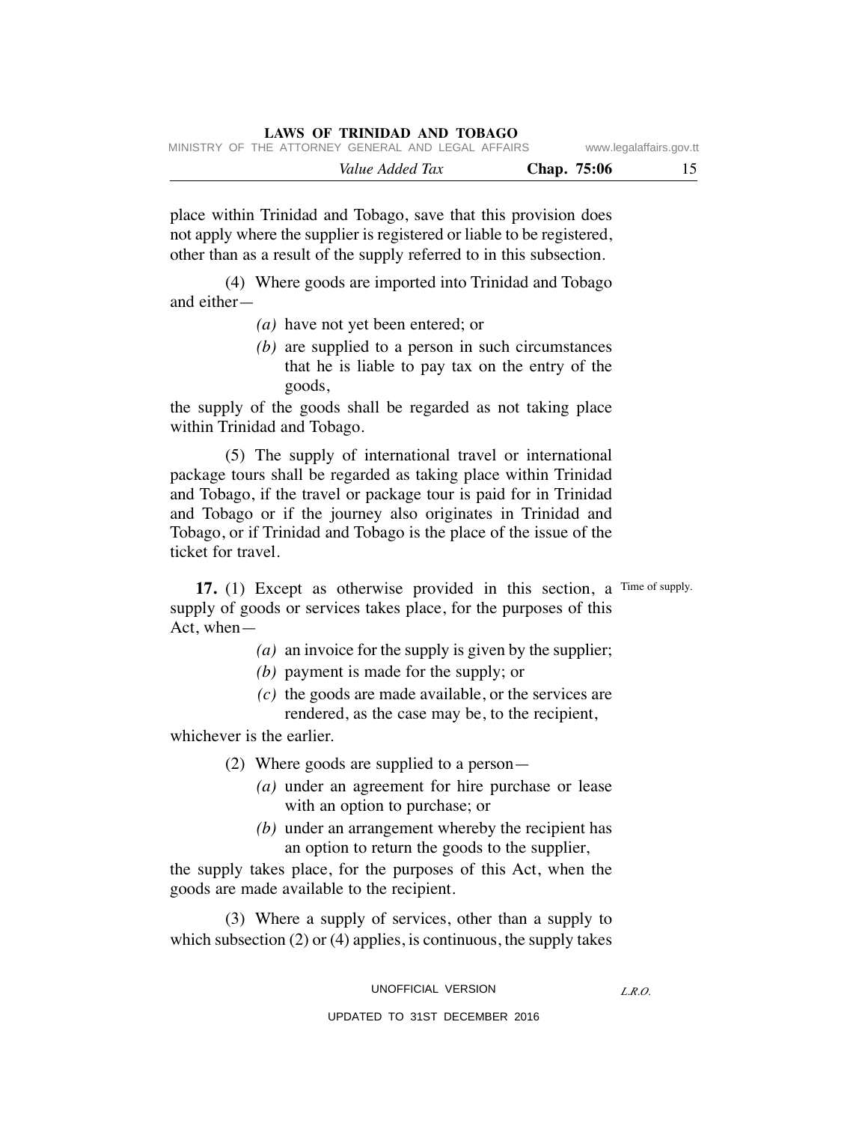|  |  |                                                    | Value Added Tax |  | Chap. 75:06 |                         |
|--|--|----------------------------------------------------|-----------------|--|-------------|-------------------------|
|  |  | MINISTRY OF THE ATTORNEY GENERAL AND LEGAL AFFAIRS |                 |  |             | www.legalaffairs.gov.tt |

place within Trinidad and Tobago, save that this provision does not apply where the supplier is registered or liable to be registered, other than as a result of the supply referred to in this subsection.

 (4) Where goods are imported into Trinidad and Tobago and either—

- *(a)* have not yet been entered; or
- *(b)* are supplied to a person in such circumstances that he is liable to pay tax on the entry of the goods,

the supply of the goods shall be regarded as not taking place within Trinidad and Tobago.

 (5) The supply of international travel or international package tours shall be regarded as taking place within Trinidad and Tobago, if the travel or package tour is paid for in Trinidad and Tobago or if the journey also originates in Trinidad and Tobago, or if Trinidad and Tobago is the place of the issue of the ticket for travel.

**17.** (1) Except as otherwise provided in this section, a Time of supply. supply of goods or services takes place, for the purposes of this Act, when—

- *(a)* an invoice for the supply is given by the supplier;
- *(b)* payment is made for the supply; or
- *(c)* the goods are made available, or the services are rendered, as the case may be, to the recipient,

whichever is the earlier.

- (2) Where goods are supplied to a person—
	- *(a)* under an agreement for hire purchase or lease with an option to purchase; or
	- *(b)* under an arrangement whereby the recipient has an option to return the goods to the supplier,

the supply takes place, for the purposes of this Act, when the goods are made available to the recipient.

 (3) Where a supply of services, other than a supply to which subsection (2) or (4) applies, is continuous, the supply takes

UNOFFICIAL VERSION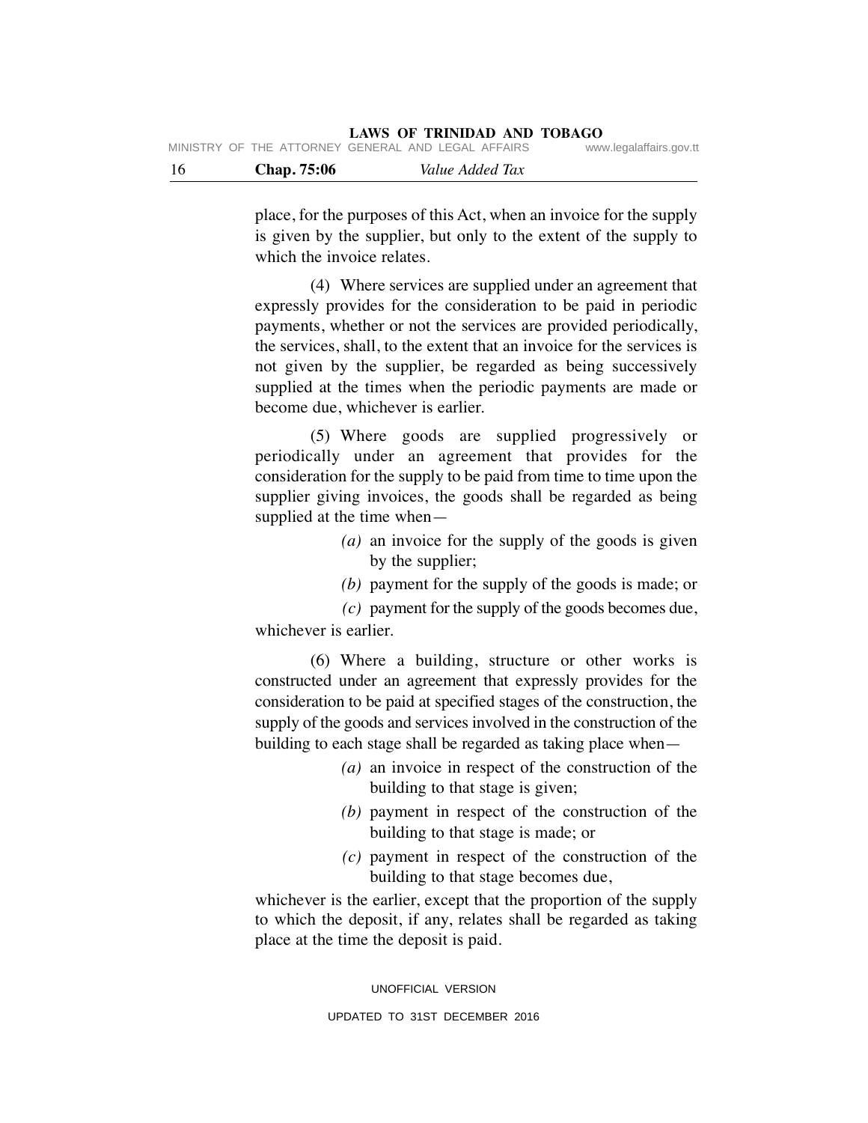| - 16 | <b>Chap.</b> 75:06 | Value Added Tax                                    |                         |
|------|--------------------|----------------------------------------------------|-------------------------|
|      |                    | MINISTRY OF THE ATTORNEY GENERAL AND LEGAL AFFAIRS | www.legalaffairs.gov.tt |

place, for the purposes of this Act, when an invoice for the supply is given by the supplier, but only to the extent of the supply to which the invoice relates.

 (4) Where services are supplied under an agreement that expressly provides for the consideration to be paid in periodic payments, whether or not the services are provided periodically, the services, shall, to the extent that an invoice for the services is not given by the supplier, be regarded as being successively supplied at the times when the periodic payments are made or become due, whichever is earlier.

 (5) Where goods are supplied progressively or periodically under an agreement that provides for the consideration for the supply to be paid from time to time upon the supplier giving invoices, the goods shall be regarded as being supplied at the time when—

- *(a)* an invoice for the supply of the goods is given by the supplier;
- *(b)* payment for the supply of the goods is made; or

 *(c)* payment for the supply of the goods becomes due, whichever is earlier.

 (6) Where a building, structure or other works is constructed under an agreement that expressly provides for the consideration to be paid at specified stages of the construction, the supply of the goods and services involved in the construction of the building to each stage shall be regarded as taking place when—

- *(a)* an invoice in respect of the construction of the building to that stage is given;
- *(b)* payment in respect of the construction of the building to that stage is made; or
- *(c)* payment in respect of the construction of the building to that stage becomes due,

whichever is the earlier, except that the proportion of the supply to which the deposit, if any, relates shall be regarded as taking place at the time the deposit is paid.

> UNOFFICIAL VERSION UPDATED TO 31ST DECEMBER 2016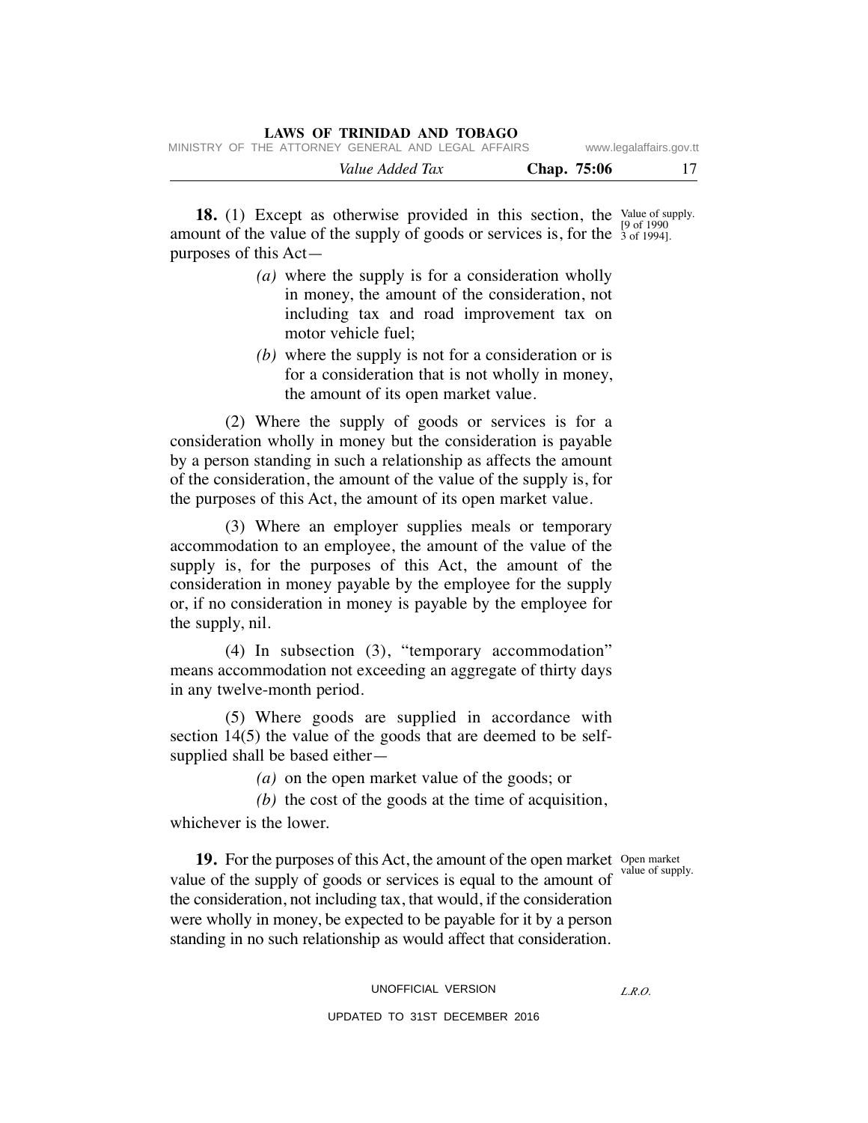|  |  | LAWS OF TRINIDAD AND TOBAGO                        |  |                    |                         |  |
|--|--|----------------------------------------------------|--|--------------------|-------------------------|--|
|  |  | MINISTRY OF THE ATTORNEY GENERAL AND LEGAL AFFAIRS |  |                    | www.legalaffairs.gov.tt |  |
|  |  | Value Added Tax                                    |  | <b>Chap.</b> 75:06 |                         |  |

**18.** (1) Except as otherwise provided in this section, the value of supply. amount of the value of the supply of goods or services is, for the  $\frac{5}{3}$  of 1994]. purposes of this Act— [9 of 1990

- *(a)* where the supply is for a consideration wholly in money, the amount of the consideration, not including tax and road improvement tax on motor vehicle fuel;
- *(b)* where the supply is not for a consideration or is for a consideration that is not wholly in money, the amount of its open market value.

 (2) Where the supply of goods or services is for a consideration wholly in money but the consideration is payable by a person standing in such a relationship as affects the amount of the consideration, the amount of the value of the supply is, for the purposes of this Act, the amount of its open market value.

 (3) Where an employer supplies meals or temporary accommodation to an employee, the amount of the value of the supply is, for the purposes of this Act, the amount of the consideration in money payable by the employee for the supply or, if no consideration in money is payable by the employee for the supply, nil.

 (4) In subsection (3), "temporary accommodation" means accommodation not exceeding an aggregate of thirty days in any twelve-month period.

 (5) Where goods are supplied in accordance with section 14(5) the value of the goods that are deemed to be selfsupplied shall be based either—

 *(a)* on the open market value of the goods; or

 *(b)* the cost of the goods at the time of acquisition, whichever is the lower.

value of supply.

**19.** For the purposes of this Act, the amount of the open market Open market value of the supply of goods or services is equal to the amount of the consideration, not including tax, that would, if the consideration were wholly in money, be expected to be payable for it by a person standing in no such relationship as would affect that consideration.

## UNOFFICIAL VERSION

UPDATED TO 31ST DECEMBER 2016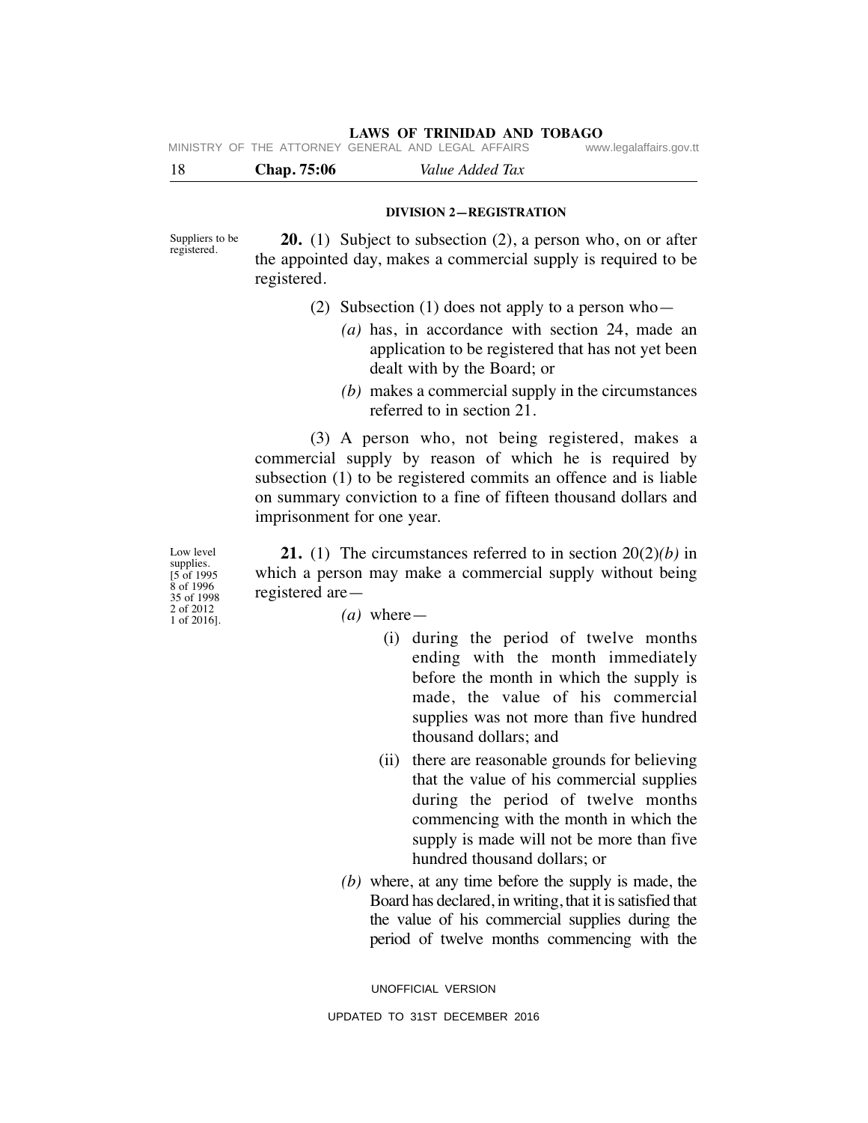MINISTRY OF THE ATTORNEY GENERAL AND LEGAL AFFAIRS

18 **Chap. 75:06** *Value Added Tax* 

#### **DIVISION 2—REGISTRATION**

Suppliers to be registered.

 **20.** (1) Subject to subsection (2), a person who, on or after the appointed day, makes a commercial supply is required to be registered.

- (2) Subsection (1) does not apply to a person who—
	- *(a)* has, in accordance with section 24, made an application to be registered that has not yet been dealt with by the Board; or
	- *(b)* makes a commercial supply in the circumstances referred to in section 21.

 (3) A person who, not being registered, makes a commercial supply by reason of which he is required by subsection (1) to be registered commits an offence and is liable on summary conviction to a fine of fifteen thousand dollars and imprisonment for one year.

Low level supplies. [5 of 1995 8 of 1996 35 of 1998 2 of 2012 1 of 2016].

 **21.** (1) The circumstances referred to in section 20(2)*(b)* in which a person may make a commercial supply without being registered are—

- $(a)$  where
	- (i) during the period of twelve months ending with the month immediately before the month in which the supply is made, the value of his commercial supplies was not more than five hundred thousand dollars; and
	- (ii) there are reasonable grounds for believing that the value of his commercial supplies during the period of twelve months commencing with the month in which the supply is made will not be more than five hundred thousand dollars; or
- *(b)* where, at any time before the supply is made, the Board has declared, in writing, that it is satisfied that the value of his commercial supplies during the period of twelve months commencing with the

UNOFFICIAL VERSION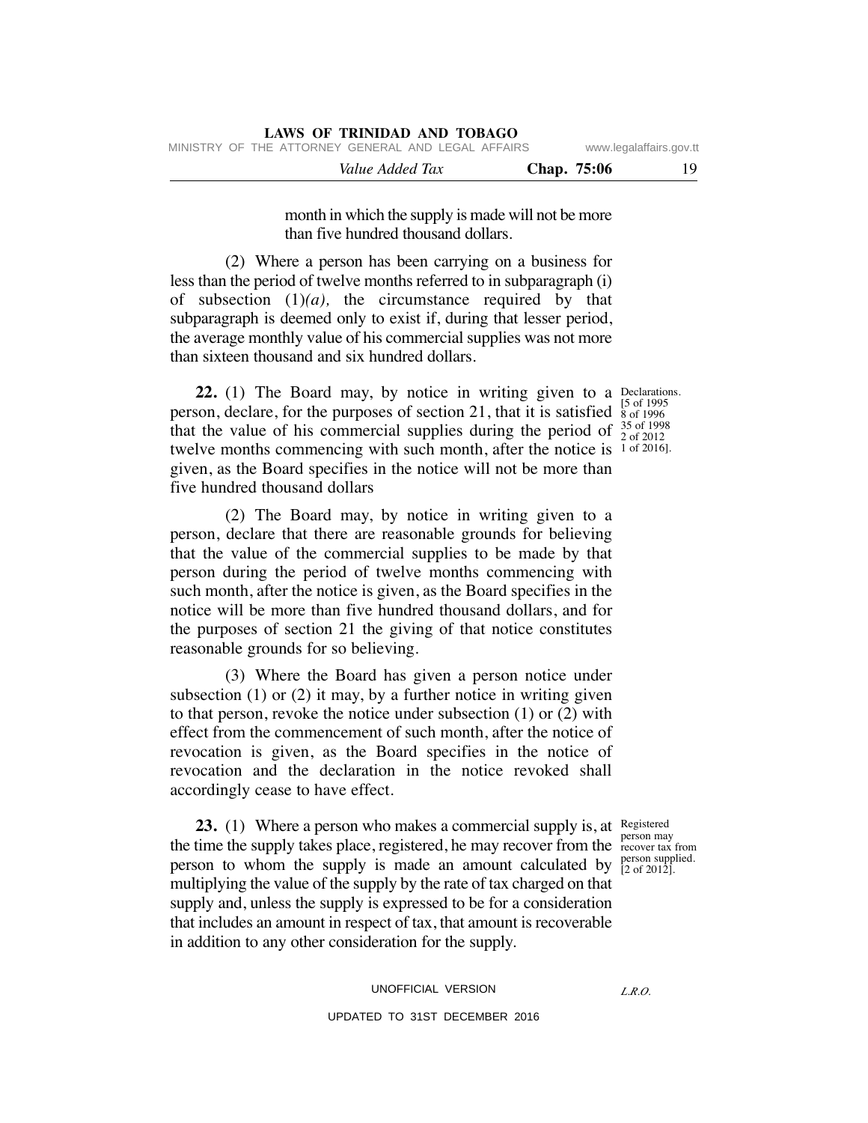month in which the supply is made will not be more than five hundred thousand dollars.

 (2) Where a person has been carrying on a business for less than the period of twelve months referred to in subparagraph (i) of subsection  $(1)(a)$ , the circumstance required by that subparagraph is deemed only to exist if, during that lesser period, the average monthly value of his commercial supplies was not more than sixteen thousand and six hundred dollars.

**22.** (1) The Board may, by notice in writing given to a Declarations. person, declare, for the purposes of section 21, that it is satisfied  $\frac{5}{8}$  of 1996 that the value of his commercial supplies during the period of  $^{35}_{20}$  of 1998 twelve months commencing with such month, after the notice is 1 of 2016]. given, as the Board specifies in the notice will not be more than five hundred thousand dollars

 (2) The Board may, by notice in writing given to a person, declare that there are reasonable grounds for believing that the value of the commercial supplies to be made by that person during the period of twelve months commencing with such month, after the notice is given, as the Board specifies in the notice will be more than five hundred thousand dollars, and for the purposes of section 21 the giving of that notice constitutes reasonable grounds for so believing.

 (3) Where the Board has given a person notice under subsection  $(1)$  or  $(2)$  it may, by a further notice in writing given to that person, revoke the notice under subsection (1) or (2) with effect from the commencement of such month, after the notice of revocation is given, as the Board specifies in the notice of revocation and the declaration in the notice revoked shall accordingly cease to have effect.

**23.** (1) Where a person who makes a commercial supply is, at Registered the time the supply takes place, registered, he may recover from the recover tax person to whom the supply is made an amount calculated by  $_{[2 \text{ of } 2012] }^{person supplied.}$ multiplying the value of the supply by the rate of tax charged on that supply and, unless the supply is expressed to be for a consideration that includes an amount in respect of tax, that amount is recoverable in addition to any other consideration for the supply.

recover tax from [2 of 2012].

UNOFFICIAL VERSION UPDATED TO 31ST DECEMBER 2016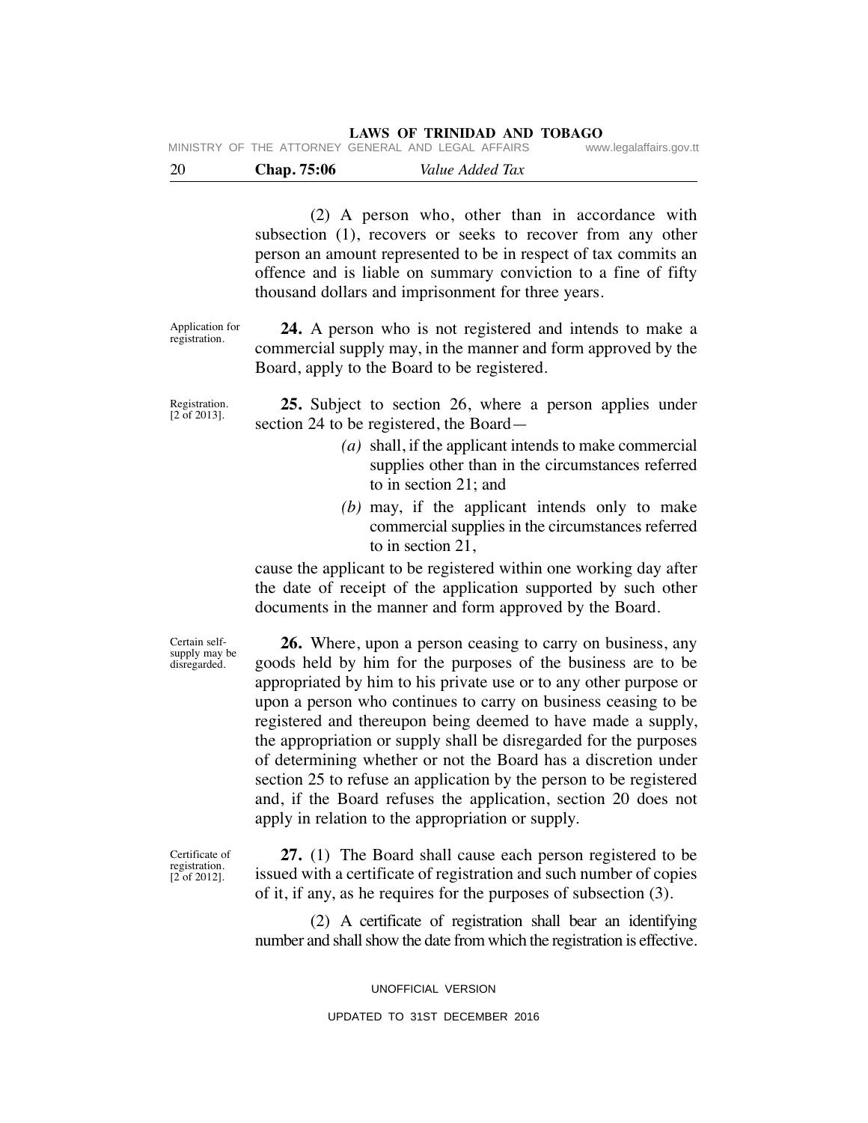| - 20 | Chap. 75:06                                        | Value Added Tax |                         |
|------|----------------------------------------------------|-----------------|-------------------------|
|      | MINISTRY OF THE ATTORNEY GENERAL AND LEGAL AFFAIRS |                 | www.legalaffairs.gov.tt |

 (2) A person who, other than in accordance with subsection (1), recovers or seeks to recover from any other person an amount represented to be in respect of tax commits an offence and is liable on summary conviction to a fine of fifty thousand dollars and imprisonment for three years.

Application for registration.

 **24.** A person who is not registered and intends to make a commercial supply may, in the manner and form approved by the Board, apply to the Board to be registered.

Registration. [2 of 2013].

 **25.** Subject to section 26, where a person applies under section 24 to be registered, the Board—

- *(a)* shall, if the applicant intends to make commercial supplies other than in the circumstances referred to in section 21; and
- *(b)* may, if the applicant intends only to make commercial supplies in the circumstances referred to in section 21,

cause the applicant to be registered within one working day after the date of receipt of the application supported by such other documents in the manner and form approved by the Board.

Certain selfsupply may be disregarded.

 **26.** Where, upon a person ceasing to carry on business, any goods held by him for the purposes of the business are to be appropriated by him to his private use or to any other purpose or upon a person who continues to carry on business ceasing to be registered and thereupon being deemed to have made a supply, the appropriation or supply shall be disregarded for the purposes of determining whether or not the Board has a discretion under section 25 to refuse an application by the person to be registered and, if the Board refuses the application, section 20 does not apply in relation to the appropriation or supply.

Certificate of registration.  $[2]$  of 2012].

 **27.** (1) The Board shall cause each person registered to be issued with a certificate of registration and such number of copies of it, if any, as he requires for the purposes of subsection (3).

 (2) A certificate of registration shall bear an identifying number and shall show the date from which the registration is effective.

UNOFFICIAL VERSION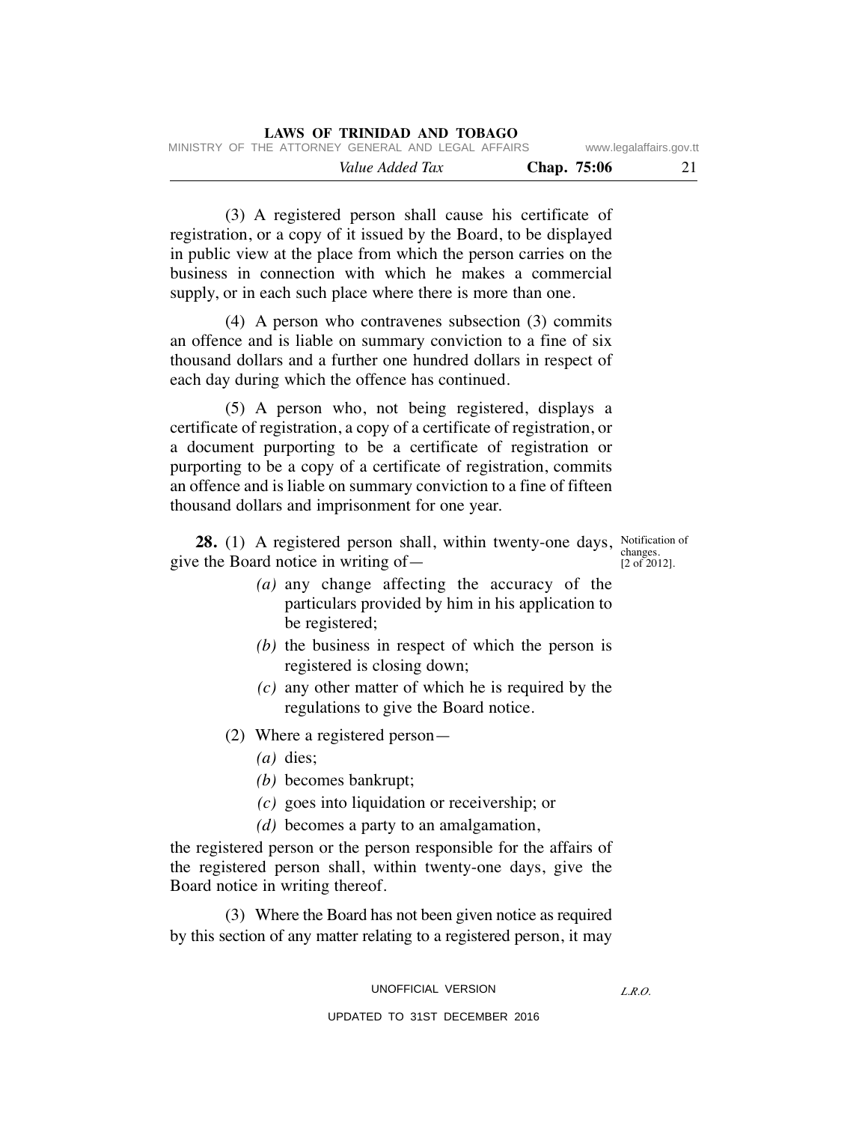| MINISTRY OF THE ATTORNEY GENERAL AND LEGAL AFFAIRS |             | www.legalaffairs.gov.tt |
|----------------------------------------------------|-------------|-------------------------|
| Value Added Tax                                    | Chap. 75:06 | 21                      |

 (3) A registered person shall cause his certificate of registration, or a copy of it issued by the Board, to be displayed in public view at the place from which the person carries on the business in connection with which he makes a commercial supply, or in each such place where there is more than one.

 (4) A person who contravenes subsection (3) commits an offence and is liable on summary conviction to a fine of six thousand dollars and a further one hundred dollars in respect of each day during which the offence has continued.

 (5) A person who, not being registered, displays a certificate of registration, a copy of a certificate of registration, or a document purporting to be a certificate of registration or purporting to be a copy of a certificate of registration, commits an offence and is liable on summary conviction to a fine of fifteen thousand dollars and imprisonment for one year.

**28.** (1) A registered person shall, within twenty-one days, Notification of give the Board notice in writing of—

changes.  $[2 \text{ of } 2012]$ .

- *(a)* any change affecting the accuracy of the particulars provided by him in his application to be registered;
- *(b)* the business in respect of which the person is registered is closing down;
- *(c)* any other matter of which he is required by the regulations to give the Board notice.
- (2) Where a registered person—
	- *(a)* dies;
	- *(b)* becomes bankrupt;
	- *(c)* goes into liquidation or receivership; or
	- *(d)* becomes a party to an amalgamation,

the registered person or the person responsible for the affairs of the registered person shall, within twenty-one days, give the Board notice in writing thereof.

 (3) Where the Board has not been given notice as required by this section of any matter relating to a registered person, it may

UNOFFICIAL VERSION

*L.R.O.*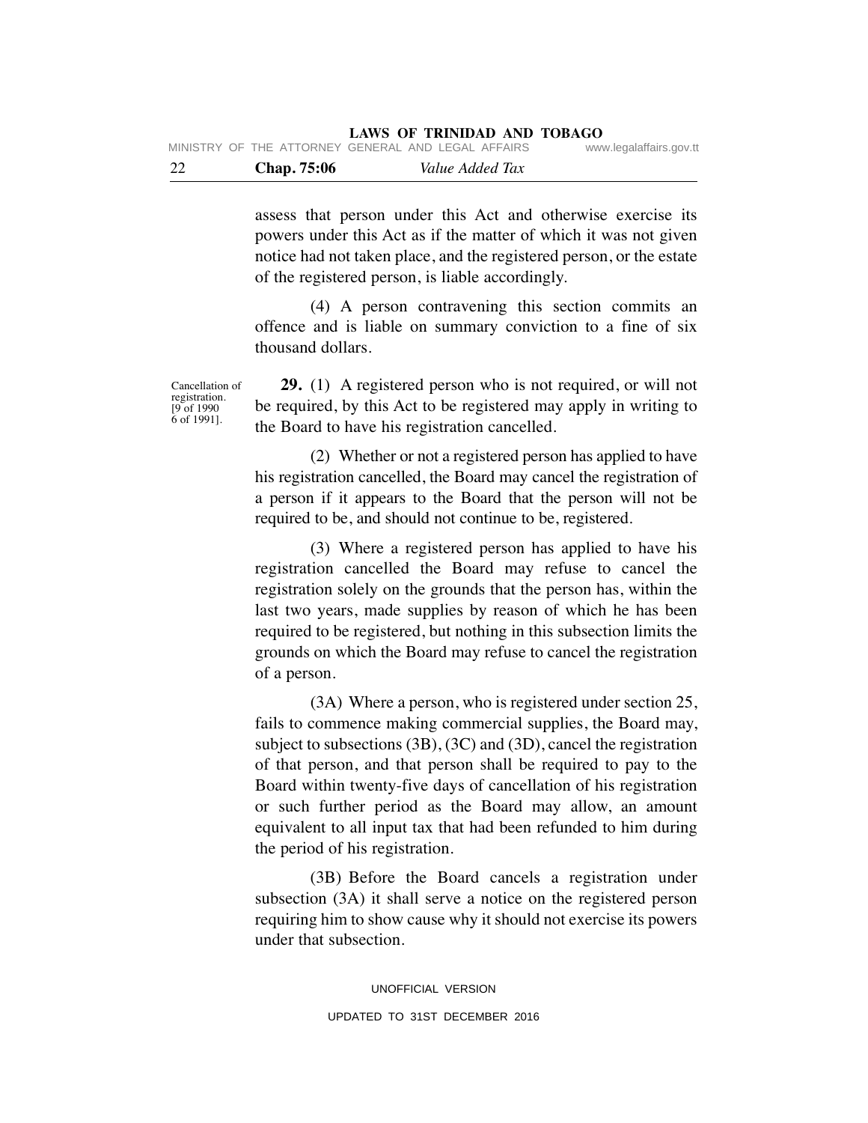| - 22 | <b>Chap.</b> 75:06 | Value Added Tax                                    |                         |
|------|--------------------|----------------------------------------------------|-------------------------|
|      |                    | MINISTRY OF THE ATTORNEY GENERAL AND LEGAL AFFAIRS | www.legalaffairs.gov.tt |

assess that person under this Act and otherwise exercise its powers under this Act as if the matter of which it was not given notice had not taken place, and the registered person, or the estate of the registered person, is liable accordingly.

 (4) A person contravening this section commits an offence and is liable on summary conviction to a fine of six thousand dollars.

Cancellation of registration.  $[9$  of 1990 6 of 1991].

 **29.** (1) A registered person who is not required, or will not be required, by this Act to be registered may apply in writing to the Board to have his registration cancelled.

 (2) Whether or not a registered person has applied to have his registration cancelled, the Board may cancel the registration of a person if it appears to the Board that the person will not be required to be, and should not continue to be, registered.

 (3) Where a registered person has applied to have his registration cancelled the Board may refuse to cancel the registration solely on the grounds that the person has, within the last two years, made supplies by reason of which he has been required to be registered, but nothing in this subsection limits the grounds on which the Board may refuse to cancel the registration of a person.

 (3A) Where a person, who is registered under section 25, fails to commence making commercial supplies, the Board may, subject to subsections (3B), (3C) and (3D), cancel the registration of that person, and that person shall be required to pay to the Board within twenty-five days of cancellation of his registration or such further period as the Board may allow, an amount equivalent to all input tax that had been refunded to him during the period of his registration.

 (3B) Before the Board cancels a registration under subsection (3A) it shall serve a notice on the registered person requiring him to show cause why it should not exercise its powers under that subsection.

> UNOFFICIAL VERSION UPDATED TO 31ST DECEMBER 2016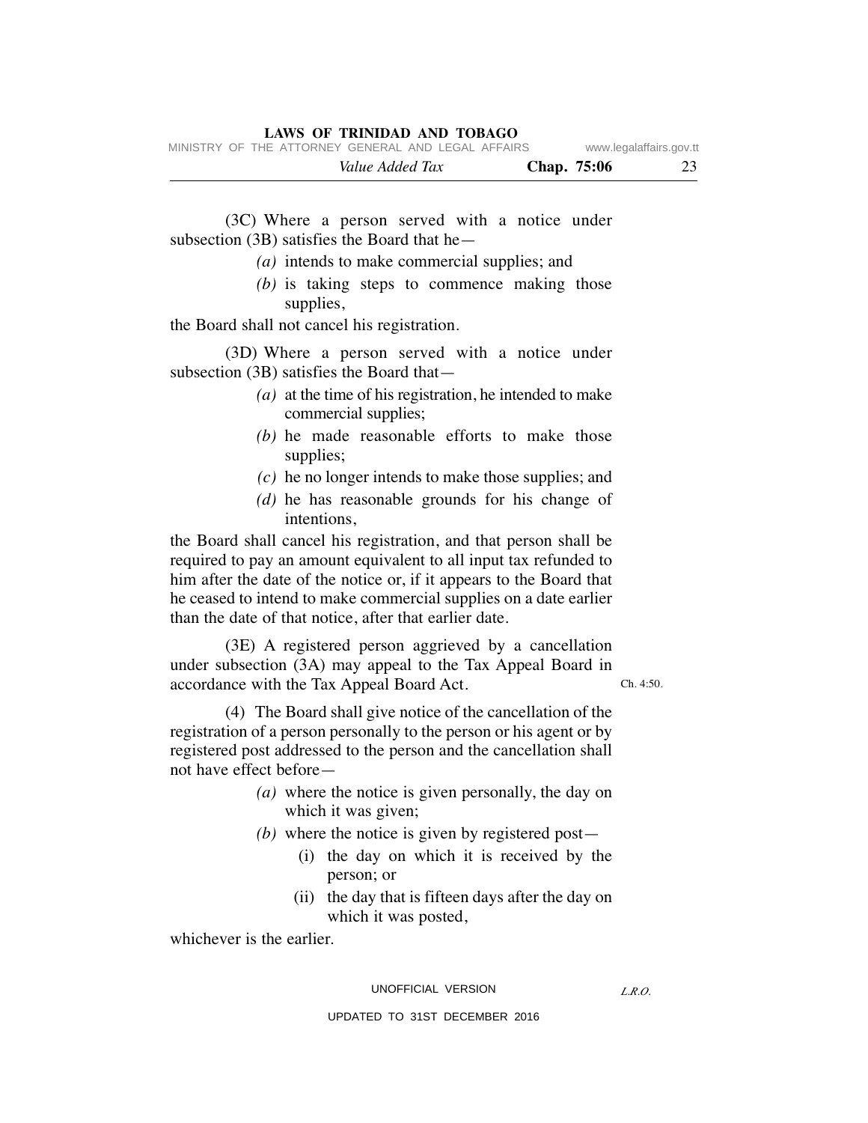|  |                                                    | Value Added Tax |  | Chap. 75:06 | 23                      |
|--|----------------------------------------------------|-----------------|--|-------------|-------------------------|
|  | MINISTRY OF THE ATTORNEY GENERAL AND LEGAL AFFAIRS |                 |  |             | www.legalaffairs.gov.tt |

 (3C) Where a person served with a notice under subsection (3B) satisfies the Board that he—

- *(a)* intends to make commercial supplies; and
- *(b)* is taking steps to commence making those supplies,

the Board shall not cancel his registration.

 (3D) Where a person served with a notice under subsection (3B) satisfies the Board that—

- *(a)* at the time of his registration, he intended to make commercial supplies;
- *(b)* he made reasonable efforts to make those supplies;
- *(c)* he no longer intends to make those supplies; and
- *(d)* he has reasonable grounds for his change of intentions,

the Board shall cancel his registration, and that person shall be required to pay an amount equivalent to all input tax refunded to him after the date of the notice or, if it appears to the Board that he ceased to intend to make commercial supplies on a date earlier than the date of that notice, after that earlier date.

 (3E) A registered person aggrieved by a cancellation under subsection (3A) may appeal to the Tax Appeal Board in accordance with the Tax Appeal Board Act.

Ch. 4:50.

 (4) The Board shall give notice of the cancellation of the registration of a person personally to the person or his agent or by registered post addressed to the person and the cancellation shall not have effect before—

- *(a)* where the notice is given personally, the day on which it was given;
- *(b)* where the notice is given by registered post—
	- (i) the day on which it is received by the person; or
	- (ii) the day that is fifteen days after the day on which it was posted,

whichever is the earlier.

UNOFFICIAL VERSION

*L.R.O.*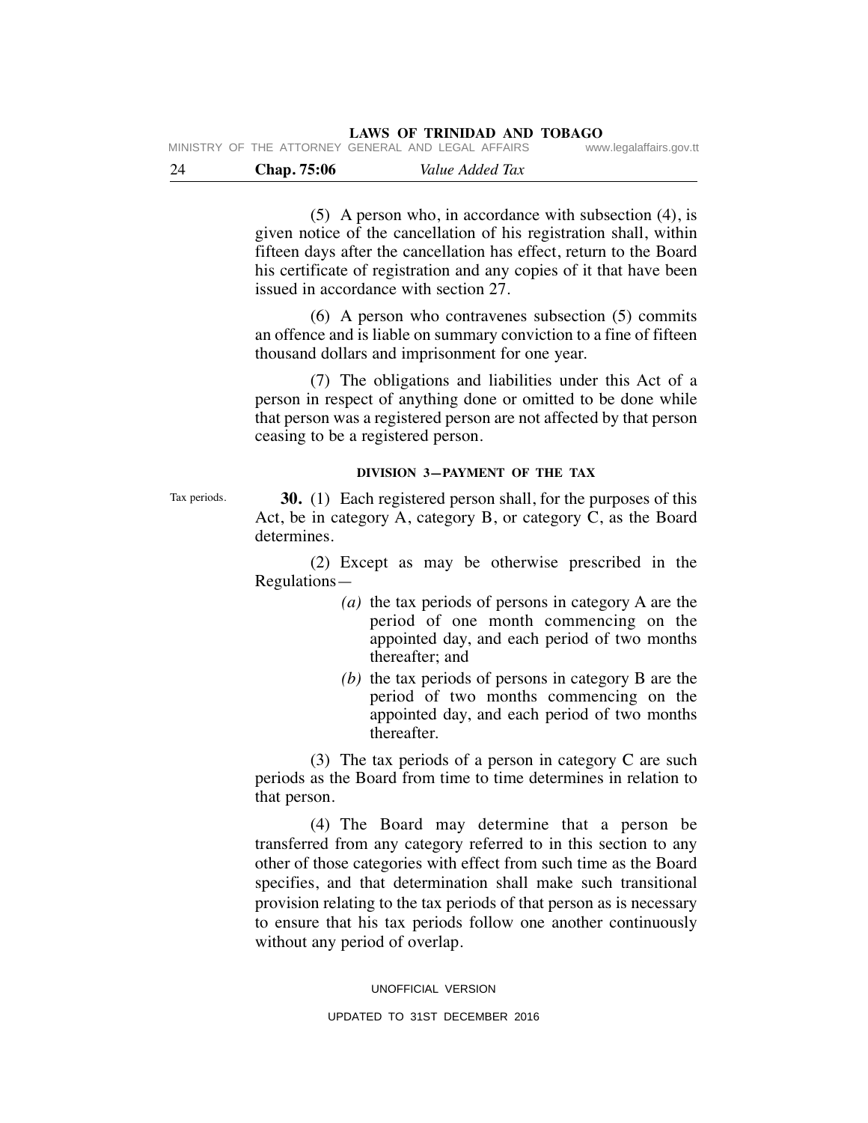| - 24 | Chap. 75:06 | Value Added Tax |  |
|------|-------------|-----------------|--|

 (5) A person who, in accordance with subsection (4), is given notice of the cancellation of his registration shall, within fifteen days after the cancellation has effect, return to the Board his certificate of registration and any copies of it that have been issued in accordance with section 27.

 (6) A person who contravenes subsection (5) commits an offence and is liable on summary conviction to a fine of fifteen thousand dollars and imprisonment for one year.

 (7) The obligations and liabilities under this Act of a person in respect of anything done or omitted to be done while that person was a registered person are not affected by that person ceasing to be a registered person.

#### **DIVISION 3—PAYMENT OF THE TAX**

Tax periods.

 **30.** (1) Each registered person shall, for the purposes of this Act, be in category A, category B, or category C, as the Board determines.

 (2) Except as may be otherwise prescribed in the Regulations—

- *(a)* the tax periods of persons in category A are the period of one month commencing on the appointed day, and each period of two months thereafter; and
- *(b)* the tax periods of persons in category B are the period of two months commencing on the appointed day, and each period of two months thereafter.

 (3) The tax periods of a person in category C are such periods as the Board from time to time determines in relation to that person.

 (4) The Board may determine that a person be transferred from any category referred to in this section to any other of those categories with effect from such time as the Board specifies, and that determination shall make such transitional provision relating to the tax periods of that person as is necessary to ensure that his tax periods follow one another continuously without any period of overlap.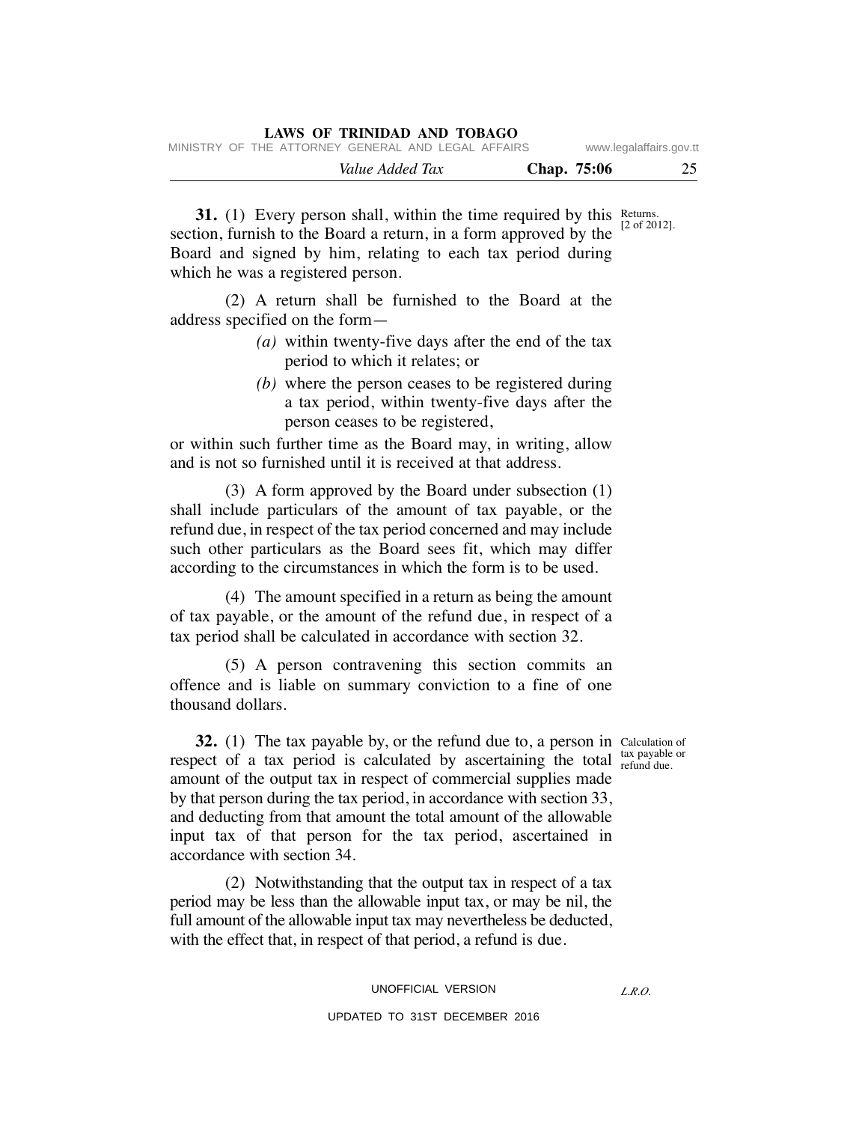|  |  |                 | LAWS OF INHTER AND TODAUT                          |  |             |                         |
|--|--|-----------------|----------------------------------------------------|--|-------------|-------------------------|
|  |  |                 | MINISTRY OF THE ATTORNEY GENERAL AND LEGAL AFFAIRS |  |             | www.legalaffairs.gov.tt |
|  |  | Value Added Tax |                                                    |  | Chap. 75:06 | 25                      |

**31.** (1) Every person shall, within the time required by this Returns. section, furnish to the Board a return, in a form approved by the Board and signed by him, relating to each tax period during which he was a registered person. [2 of 2012].

 (2) A return shall be furnished to the Board at the address specified on the form—

**LAWS OF TRINIDAD AND TOBAGO**

- *(a)* within twenty-five days after the end of the tax period to which it relates; or
- *(b)* where the person ceases to be registered during a tax period, within twenty-five days after the person ceases to be registered,

or within such further time as the Board may, in writing, allow and is not so furnished until it is received at that address.

 (3) A form approved by the Board under subsection (1) shall include particulars of the amount of tax payable, or the refund due, in respect of the tax period concerned and may include such other particulars as the Board sees fit, which may differ according to the circumstances in which the form is to be used.

 (4) The amount specified in a return as being the amount of tax payable, or the amount of the refund due, in respect of a tax period shall be calculated in accordance with section 32.

 (5) A person contravening this section commits an offence and is liable on summary conviction to a fine of one thousand dollars.

refund due.

**32.** (1) The tax payable by, or the refund due to, a person in Calculation of respect of a tax period is calculated by ascertaining the total tax payable or amount of the output tax in respect of commercial supplies made by that person during the tax period, in accordance with section 33, and deducting from that amount the total amount of the allowable input tax of that person for the tax period, ascertained in accordance with section 34.

 (2) Notwithstanding that the output tax in respect of a tax period may be less than the allowable input tax, or may be nil, the full amount of the allowable input tax may nevertheless be deducted, with the effect that, in respect of that period, a refund is due.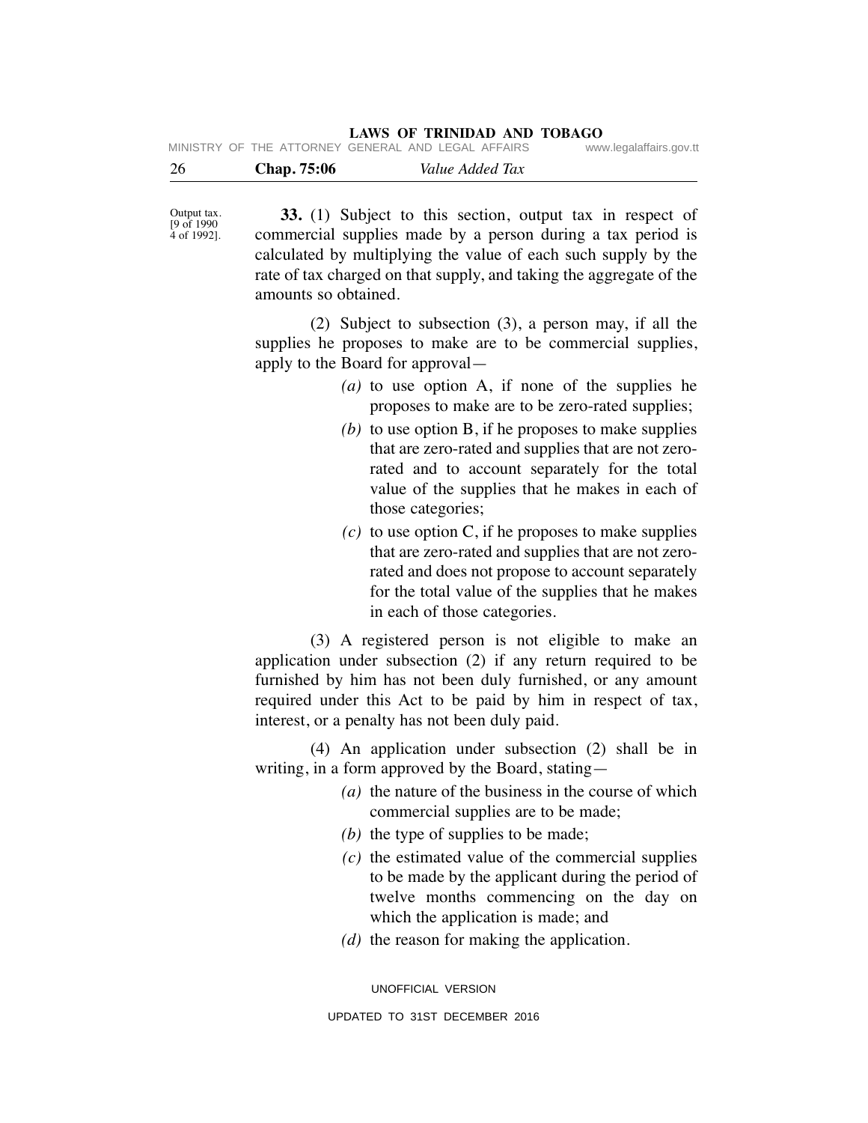| 26 | <b>Chap.</b> 75:06 |                                                    | Value Added Tax |                         |
|----|--------------------|----------------------------------------------------|-----------------|-------------------------|
|    |                    | MINISTRY OF THE ATTORNEY GENERAL AND LEGAL AFFAIRS |                 | www.legalaffairs.gov.tt |

Output tax. [9 of 1990 4 of 1992].

 **33.** (1) Subject to this section, output tax in respect of commercial supplies made by a person during a tax period is calculated by multiplying the value of each such supply by the rate of tax charged on that supply, and taking the aggregate of the amounts so obtained.

 (2) Subject to subsection (3), a person may, if all the supplies he proposes to make are to be commercial supplies, apply to the Board for approval—

- *(a)* to use option A, if none of the supplies he proposes to make are to be zero-rated supplies;
- *(b)* to use option B, if he proposes to make supplies that are zero-rated and supplies that are not zerorated and to account separately for the total value of the supplies that he makes in each of those categories;
- $(c)$  to use option C, if he proposes to make supplies that are zero-rated and supplies that are not zerorated and does not propose to account separately for the total value of the supplies that he makes in each of those categories.

 (3) A registered person is not eligible to make an application under subsection (2) if any return required to be furnished by him has not been duly furnished, or any amount required under this Act to be paid by him in respect of tax, interest, or a penalty has not been duly paid.

 (4) An application under subsection (2) shall be in writing, in a form approved by the Board, stating—

- *(a)* the nature of the business in the course of which commercial supplies are to be made;
- *(b)* the type of supplies to be made;
- *(c)* the estimated value of the commercial supplies to be made by the applicant during the period of twelve months commencing on the day on which the application is made; and
- *(d)* the reason for making the application.

UNOFFICIAL VERSION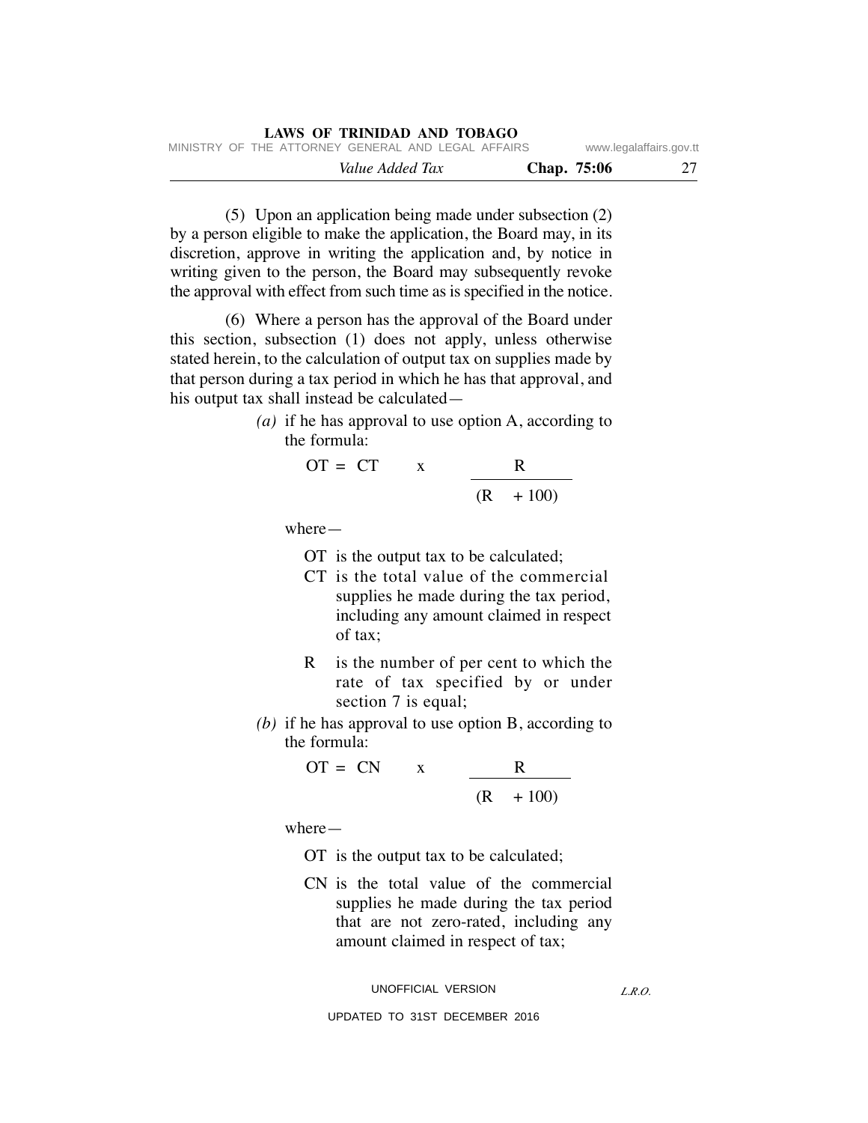(5) Upon an application being made under subsection (2) by a person eligible to make the application, the Board may, in its discretion, approve in writing the application and, by notice in writing given to the person, the Board may subsequently revoke the approval with effect from such time as is specified in the notice.

 (6) Where a person has the approval of the Board under this section, subsection (1) does not apply, unless otherwise stated herein, to the calculation of output tax on supplies made by that person during a tax period in which he has that approval, and his output tax shall instead be calculated—

> *(a)* if he has approval to use option A, according to the formula:

$$
OT = CT \qquad x \qquad \frac{R}{(R + 100)}
$$

where—

- OT is the output tax to be calculated;
- CT is the total value of the commercial supplies he made during the tax period, including any amount claimed in respect of tax;
- R is the number of per cent to which the rate of tax specified by or under section 7 is equal;
- *(b)* if he has approval to use option B, according to the formula:

 OT = CN x R (R + 100)

where—

- OT is the output tax to be calculated;
- CN is the total value of the commercial supplies he made during the tax period that are not zero-rated, including any amount claimed in respect of tax;

UNOFFICIAL VERSION

*L.R.O.*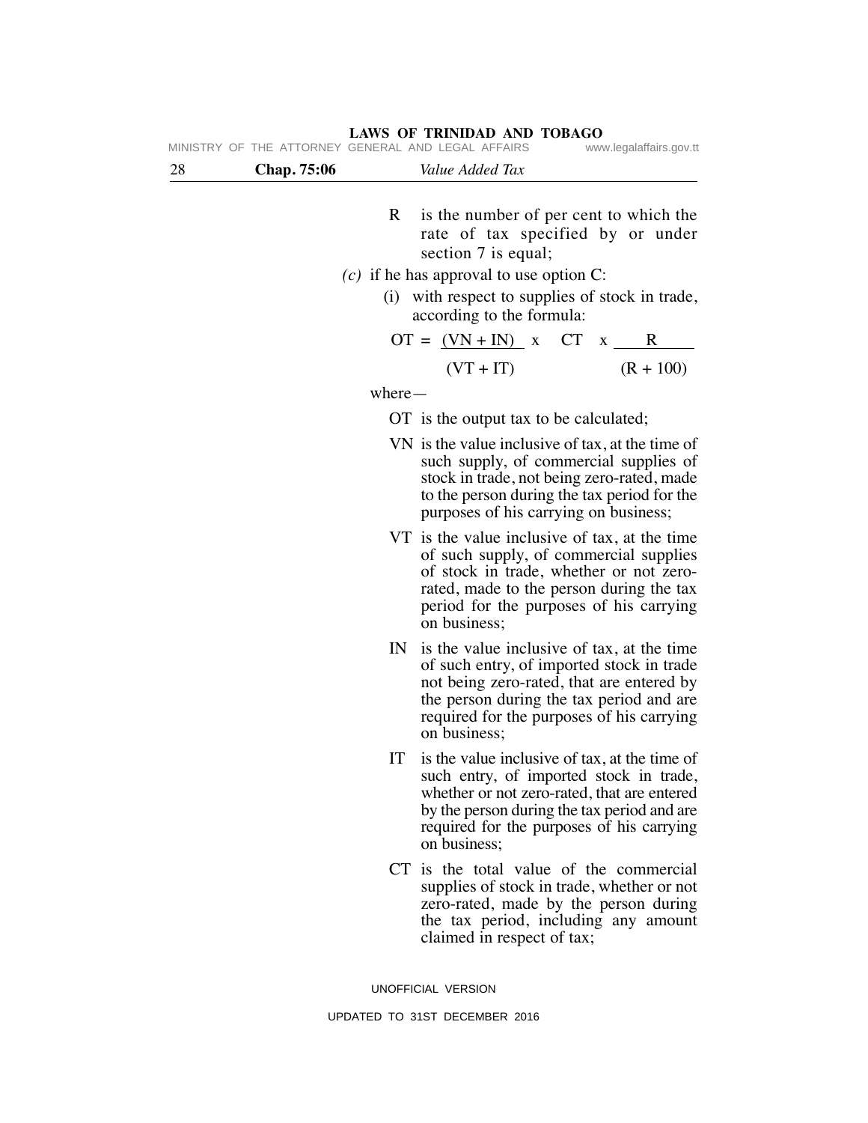**LAWS OF TRINIDAD AND TOBAGO**

|    |                    | LAWS OF IKINIDAD AND TODAGO<br>MINISTRY OF THE ATTORNEY GENERAL AND LEGAL AFFAIRS | www.legalaffairs.gov.tt                |
|----|--------------------|-----------------------------------------------------------------------------------|----------------------------------------|
| 28 | <b>Chap.</b> 75:06 | Value Added Tax                                                                   |                                        |
|    |                    | R                                                                                 | is the number of per cent to which the |

- rate of tax specified by or under section 7 is equal;
- *(c)* if he has approval to use option C:
	- (i) with respect to supplies of stock in trade, according to the formula:

$$
OT = \frac{(VN + IN)}{(VT + IT)} \times CT \times \frac{R}{(R + 100)}
$$

where—

- OT is the output tax to be calculated;
- VN is the value inclusive of tax, at the time of such supply, of commercial supplies of stock in trade, not being zero-rated, made to the person during the tax period for the purposes of his carrying on business;
- VT is the value inclusive of tax, at the time of such supply, of commercial supplies of stock in trade, whether or not zerorated, made to the person during the tax period for the purposes of his carrying on business;
- IN is the value inclusive of tax, at the time of such entry, of imported stock in trade not being zero-rated, that are entered by the person during the tax period and are required for the purposes of his carrying on business;
- IT is the value inclusive of tax, at the time of such entry, of imported stock in trade, whether or not zero-rated, that are entered by the person during the tax period and are required for the purposes of his carrying on business;
- CT is the total value of the commercial supplies of stock in trade, whether or not zero-rated, made by the person during the tax period, including any amount claimed in respect of tax;

UNOFFICIAL VERSION UPDATED TO 31ST DECEMBER 2016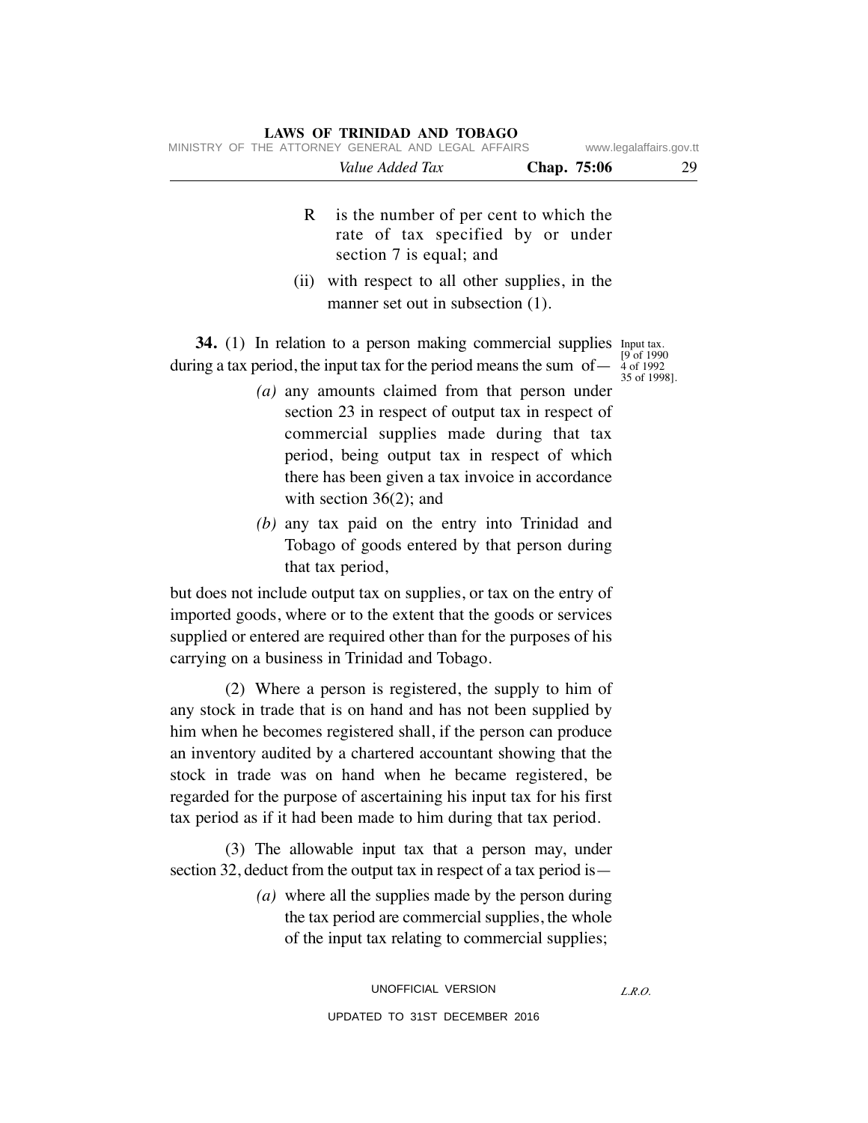- R is the number of per cent to which the rate of tax specified by or under section 7 is equal; and
- (ii) with respect to all other supplies, in the manner set out in subsection (1).

**34.** (1) In relation to a person making commercial supplies Input tax. during a tax period, the input tax for the period means the sum of-

[9 of 1990 4 of 1992 35 of 1998].

- *(a)* any amounts claimed from that person under section 23 in respect of output tax in respect of commercial supplies made during that tax period, being output tax in respect of which there has been given a tax invoice in accordance with section 36(2); and
- *(b)* any tax paid on the entry into Trinidad and Tobago of goods entered by that person during that tax period,

but does not include output tax on supplies, or tax on the entry of imported goods, where or to the extent that the goods or services supplied or entered are required other than for the purposes of his carrying on a business in Trinidad and Tobago.

 (2) Where a person is registered, the supply to him of any stock in trade that is on hand and has not been supplied by him when he becomes registered shall, if the person can produce an inventory audited by a chartered accountant showing that the stock in trade was on hand when he became registered, be regarded for the purpose of ascertaining his input tax for his first tax period as if it had been made to him during that tax period.

 (3) The allowable input tax that a person may, under section 32, deduct from the output tax in respect of a tax period is—

> *(a)* where all the supplies made by the person during the tax period are commercial supplies, the whole of the input tax relating to commercial supplies;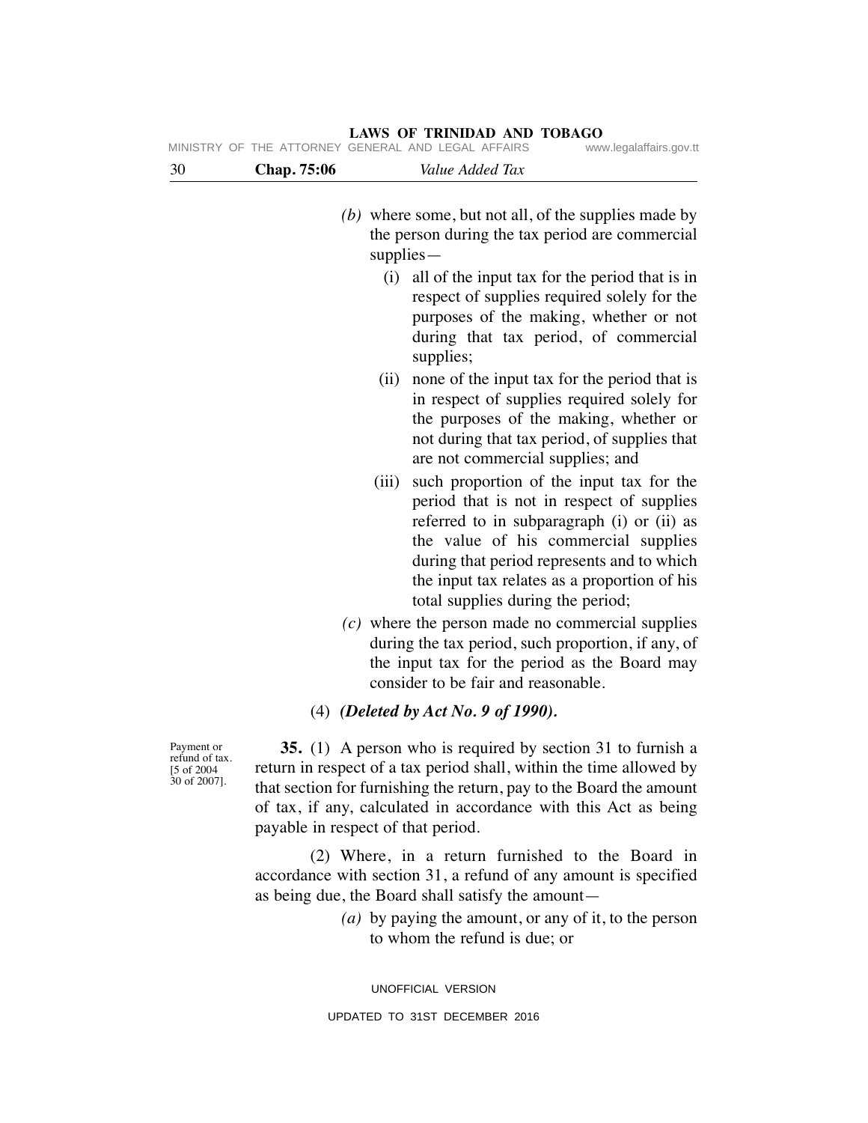|                                                             |                                    |             | MINISTRY OF THE ATTORNEY GENERAL AND LEGAL AFFAIRS                                                                                                                                                                                                                                                             | www.legalaffairs.gov.tt |
|-------------------------------------------------------------|------------------------------------|-------------|----------------------------------------------------------------------------------------------------------------------------------------------------------------------------------------------------------------------------------------------------------------------------------------------------------------|-------------------------|
| 30                                                          | Chap. 75:06                        |             | Value Added Tax                                                                                                                                                                                                                                                                                                |                         |
|                                                             |                                    | $supplies-$ | $(b)$ where some, but not all, of the supplies made by<br>the person during the tax period are commercial                                                                                                                                                                                                      |                         |
|                                                             |                                    | (i)         | all of the input tax for the period that is in<br>respect of supplies required solely for the<br>purposes of the making, whether or not<br>during that tax period, of commercial<br>supplies;                                                                                                                  |                         |
|                                                             |                                    | (ii)        | none of the input tax for the period that is<br>in respect of supplies required solely for<br>the purposes of the making, whether or<br>not during that tax period, of supplies that<br>are not commercial supplies; and                                                                                       |                         |
|                                                             |                                    | (iii)       | such proportion of the input tax for the<br>period that is not in respect of supplies<br>referred to in subparagraph (i) or (ii) as<br>the value of his commercial supplies<br>during that period represents and to which<br>the input tax relates as a proportion of his<br>total supplies during the period; |                         |
|                                                             |                                    |             | $(c)$ where the person made no commercial supplies<br>during the tax period, such proportion, if any, of<br>the input tax for the period as the Board may<br>consider to be fair and reasonable.                                                                                                               |                         |
|                                                             |                                    |             | (4) (Deleted by Act No. 9 of 1990).                                                                                                                                                                                                                                                                            |                         |
| Payment or<br>refund of tax.<br>[5 of 2004]<br>30 of 2007]. | payable in respect of that period. |             | 35. (1) A person who is required by section 31 to furnish a<br>return in respect of a tax period shall, within the time allowed by<br>that section for furnishing the return, pay to the Board the amount<br>of tax, if any, calculated in accordance with this Act as being                                   |                         |
|                                                             |                                    |             | (2) Where, in a return furnished to the Board in<br>accordance with section 31, a refund of any amount is specified                                                                                                                                                                                            |                         |

 *(a)* by paying the amount, or any of it, to the person to whom the refund is due; or

UNOFFICIAL VERSION UPDATED TO 31ST DECEMBER 2016

as being due, the Board shall satisfy the amount—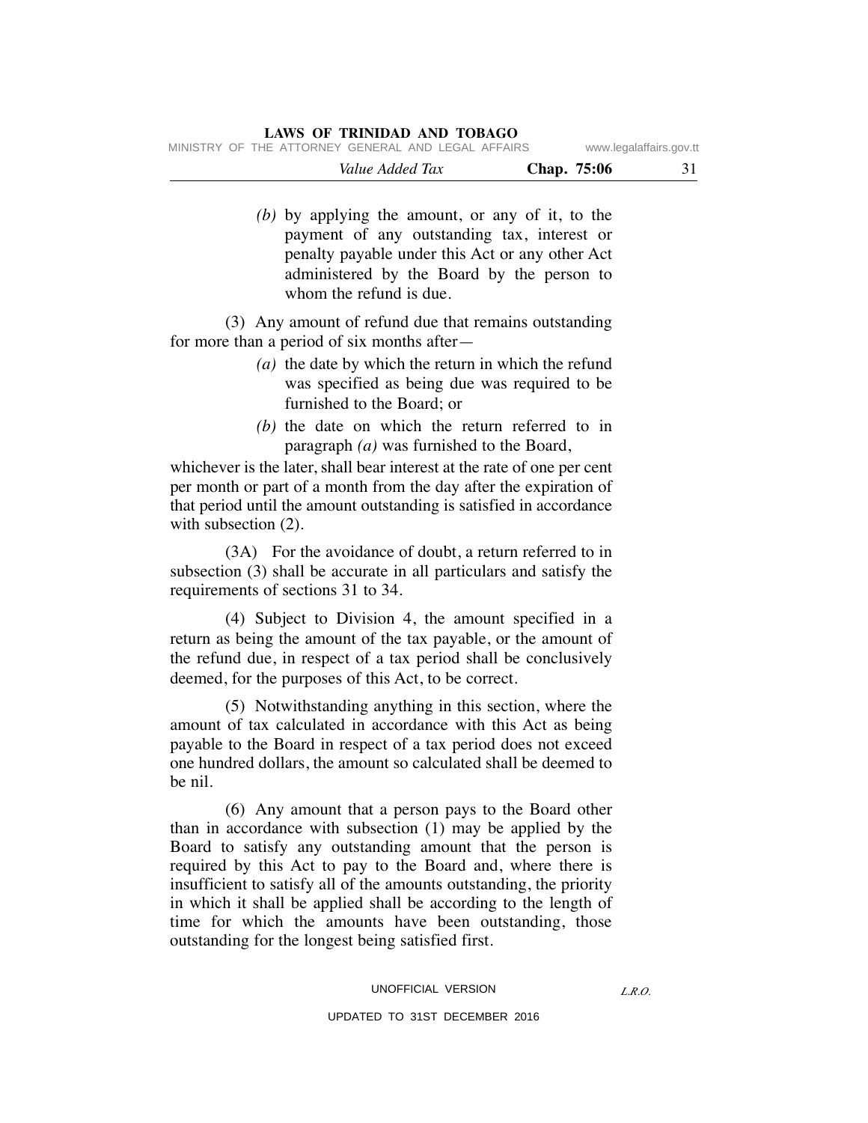|  |                                                    | Value Added Tax |  |  | Chap. 75:06 | 31                      |
|--|----------------------------------------------------|-----------------|--|--|-------------|-------------------------|
|  | MINISTRY OF THE ATTORNEY GENERAL AND LEGAL AFFAIRS |                 |  |  |             | www.legalaffairs.gov.tt |

 *(b)* by applying the amount, or any of it, to the payment of any outstanding tax, interest or penalty payable under this Act or any other Act administered by the Board by the person to whom the refund is due.

 (3) Any amount of refund due that remains outstanding for more than a period of six months after—

- *(a)* the date by which the return in which the refund was specified as being due was required to be furnished to the Board; or
- *(b)* the date on which the return referred to in paragraph *(a)* was furnished to the Board,

whichever is the later, shall bear interest at the rate of one per cent per month or part of a month from the day after the expiration of that period until the amount outstanding is satisfied in accordance with subsection  $(2)$ .

 (3A) For the avoidance of doubt, a return referred to in subsection (3) shall be accurate in all particulars and satisfy the requirements of sections 31 to 34.

 (4) Subject to Division 4, the amount specified in a return as being the amount of the tax payable, or the amount of the refund due, in respect of a tax period shall be conclusively deemed, for the purposes of this Act, to be correct.

 (5) Notwithstanding anything in this section, where the amount of tax calculated in accordance with this Act as being payable to the Board in respect of a tax period does not exceed one hundred dollars, the amount so calculated shall be deemed to be nil.

 (6) Any amount that a person pays to the Board other than in accordance with subsection (1) may be applied by the Board to satisfy any outstanding amount that the person is required by this Act to pay to the Board and, where there is insufficient to satisfy all of the amounts outstanding, the priority in which it shall be applied shall be according to the length of time for which the amounts have been outstanding, those outstanding for the longest being satisfied first.

#### UNOFFICIAL VERSION

#### UPDATED TO 31ST DECEMBER 2016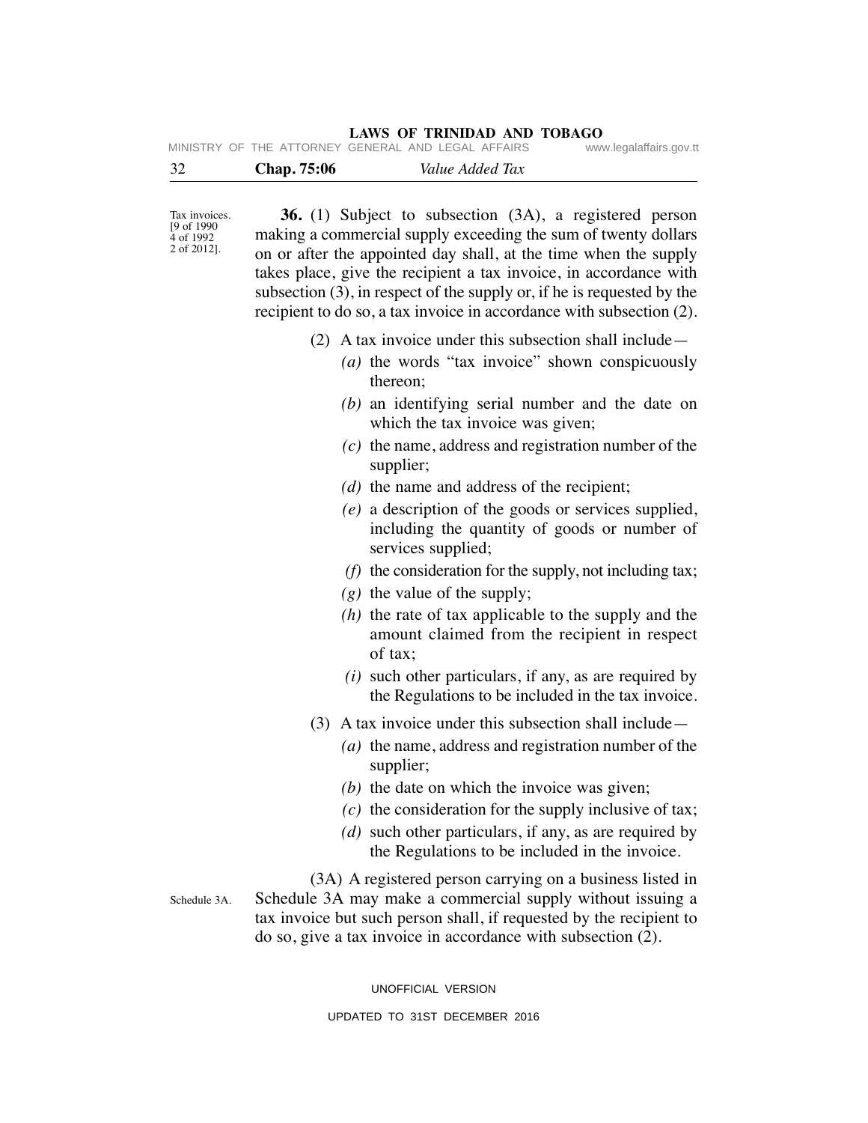| 32 | Chap. 75:06 | Value Added Tax                                    |                         |
|----|-------------|----------------------------------------------------|-------------------------|
|    |             | MINISTRY OF THE ATTORNEY GENERAL AND LEGAL AFFAIRS | www.legalaffairs.gov.tt |

Tax invoices. [9 of 1990 4 of 1992 2 of 2012].

Schedule 3A.

 **36.** (1) Subject to subsection (3A), a registered person making a commercial supply exceeding the sum of twenty dollars on or after the appointed day shall, at the time when the supply takes place, give the recipient a tax invoice, in accordance with subsection (3), in respect of the supply or, if he is requested by the recipient to do so, a tax invoice in accordance with subsection (2).

- (2) A tax invoice under this subsection shall include—
	- *(a)* the words "tax invoice" shown conspicuously thereon;
	- *(b)* an identifying serial number and the date on which the tax invoice was given;
	- *(c)* the name, address and registration number of the supplier;
	- *(d)* the name and address of the recipient;
	- *(e)* a description of the goods or services supplied, including the quantity of goods or number of services supplied;
	- *(f)* the consideration for the supply, not including tax;
	- *(g)* the value of the supply;
	- *(h)* the rate of tax applicable to the supply and the amount claimed from the recipient in respect of tax;
	- *(i)* such other particulars, if any, as are required by the Regulations to be included in the tax invoice.
- (3) A tax invoice under this subsection shall include—
	- *(a)* the name, address and registration number of the supplier;
	- *(b)* the date on which the invoice was given;
	- *(c)* the consideration for the supply inclusive of tax;
	- *(d)* such other particulars, if any, as are required by the Regulations to be included in the invoice.

 (3A) A registered person carrying on a business listed in Schedule 3A may make a commercial supply without issuing a tax invoice but such person shall, if requested by the recipient to do so, give a tax invoice in accordance with subsection (2).

UNOFFICIAL VERSION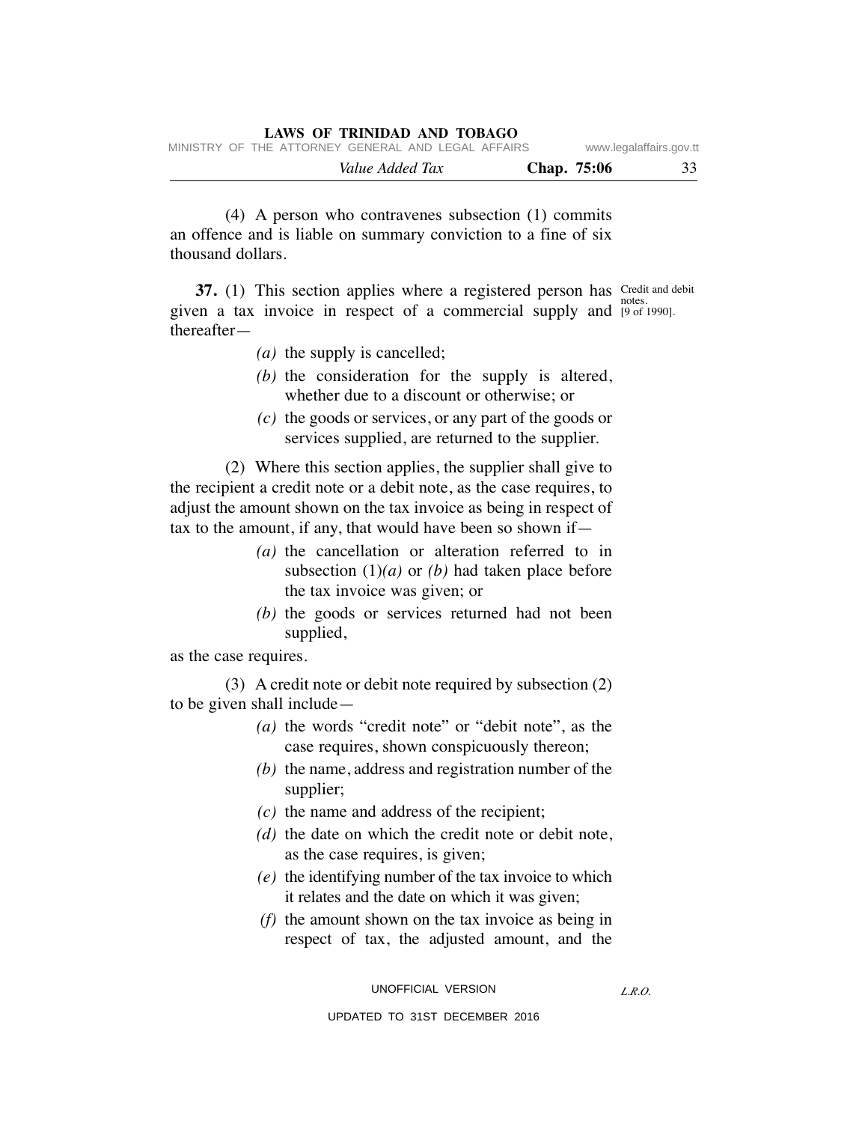| MINISTRY OF THE ATTORNEY GENERAL AND LEGAL AFFAIRS<br>Value Added Tax | Chap. 75:06 | www.legalaffairs.gov.tt | 33 |
|-----------------------------------------------------------------------|-------------|-------------------------|----|
|                                                                       |             |                         |    |

 (4) A person who contravenes subsection (1) commits an offence and is liable on summary conviction to a fine of six thousand dollars.

**37.** (1) This section applies where a registered person has Credit and debit given a tax invoice in respect of a commercial supply and <sup>notes</sup>. thereafter— [9 of 1990].

- *(a)* the supply is cancelled;
- *(b)* the consideration for the supply is altered, whether due to a discount or otherwise; or
- *(c)* the goods or services, or any part of the goods or services supplied, are returned to the supplier.

 (2) Where this section applies, the supplier shall give to the recipient a credit note or a debit note, as the case requires, to adjust the amount shown on the tax invoice as being in respect of tax to the amount, if any, that would have been so shown if—

- *(a)* the cancellation or alteration referred to in subsection (1)*(a)* or *(b)* had taken place before the tax invoice was given; or
- *(b)* the goods or services returned had not been supplied,

as the case requires.

 (3) A credit note or debit note required by subsection (2) to be given shall include—

- *(a)* the words "credit note" or "debit note", as the case requires, shown conspicuously thereon;
- *(b)* the name, address and registration number of the supplier;
- *(c)* the name and address of the recipient;
- *(d)* the date on which the credit note or debit note, as the case requires, is given;
- *(e)* the identifying number of the tax invoice to which it relates and the date on which it was given;
- *(f)* the amount shown on the tax invoice as being in respect of tax, the adjusted amount, and the

*L.R.O.*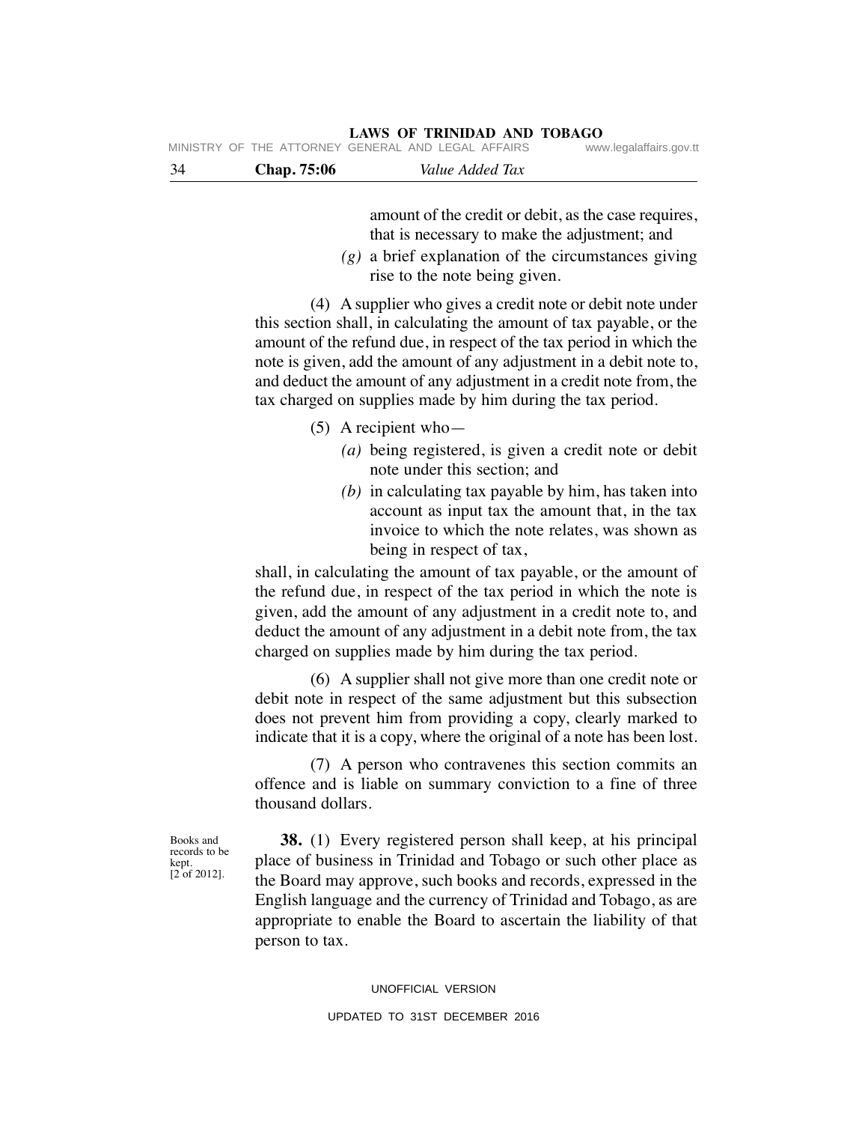|     |             |                 | ga.a go |
|-----|-------------|-----------------|---------|
| -34 | Chap. 75:06 | Value Added Tax |         |

amount of the credit or debit, as the case requires, that is necessary to make the adjustment; and

 *(g)* a brief explanation of the circumstances giving rise to the note being given.

 (4) A supplier who gives a credit note or debit note under this section shall, in calculating the amount of tax payable, or the amount of the refund due, in respect of the tax period in which the note is given, add the amount of any adjustment in a debit note to, and deduct the amount of any adjustment in a credit note from, the tax charged on supplies made by him during the tax period.

### (5) A recipient who—

- *(a)* being registered, is given a credit note or debit note under this section; and
- *(b)* in calculating tax payable by him, has taken into account as input tax the amount that, in the tax invoice to which the note relates, was shown as being in respect of tax,

shall, in calculating the amount of tax payable, or the amount of the refund due, in respect of the tax period in which the note is given, add the amount of any adjustment in a credit note to, and deduct the amount of any adjustment in a debit note from, the tax charged on supplies made by him during the tax period.

 (6) A supplier shall not give more than one credit note or debit note in respect of the same adjustment but this subsection does not prevent him from providing a copy, clearly marked to indicate that it is a copy, where the original of a note has been lost.

 (7) A person who contravenes this section commits an offence and is liable on summary conviction to a fine of three thousand dollars.

Books and records to be kept. [2 of 2012].

 **38.** (1) Every registered person shall keep, at his principal place of business in Trinidad and Tobago or such other place as the Board may approve, such books and records, expressed in the English language and the currency of Trinidad and Tobago, as are appropriate to enable the Board to ascertain the liability of that person to tax.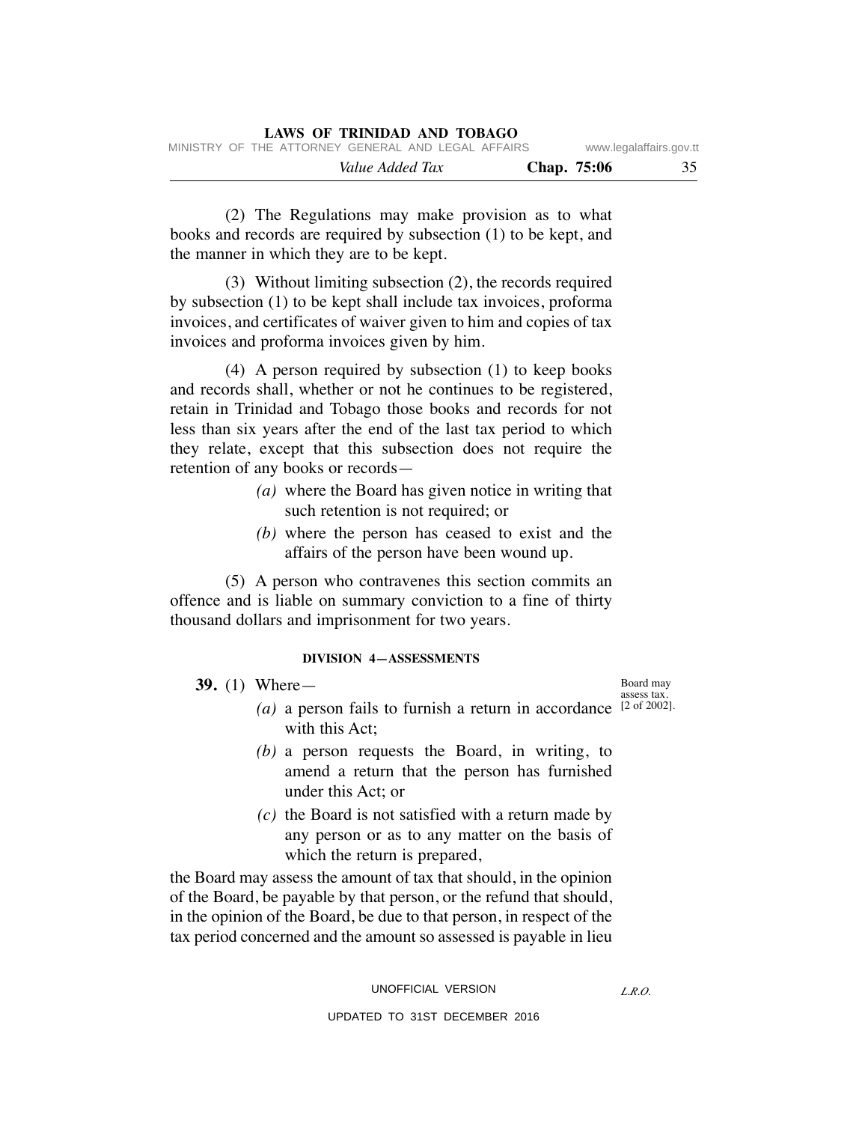|  |                 | <b>LAWS OF TRINIDAD AND TOBAGO</b>                 |             |                         |
|--|-----------------|----------------------------------------------------|-------------|-------------------------|
|  |                 | MINISTRY OF THE ATTORNEY GENERAL AND LEGAL AFFAIRS |             | www.legalaffairs.gov.tt |
|  | Value Added Tax |                                                    | Chap. 75:06 | 35                      |

 (2) The Regulations may make provision as to what books and records are required by subsection (1) to be kept, and the manner in which they are to be kept.

 (3) Without limiting subsection (2), the records required by subsection (1) to be kept shall include tax invoices, proforma invoices, and certificates of waiver given to him and copies of tax invoices and proforma invoices given by him.

 (4) A person required by subsection (1) to keep books and records shall, whether or not he continues to be registered, retain in Trinidad and Tobago those books and records for not less than six years after the end of the last tax period to which they relate, except that this subsection does not require the retention of any books or records—

- *(a)* where the Board has given notice in writing that such retention is not required; or
- *(b)* where the person has ceased to exist and the affairs of the person have been wound up.

 (5) A person who contravenes this section commits an offence and is liable on summary conviction to a fine of thirty thousand dollars and imprisonment for two years.

#### **DIVISION 4—ASSESSMENTS**

 **39.** (1) Where—

- (*a*) a person fails to furnish a return in accordance  $[2 \text{ of } 2002]$ . with this Act;
	- *(b)* a person requests the Board, in writing, to amend a return that the person has furnished under this Act; or
	- *(c)* the Board is not satisfied with a return made by any person or as to any matter on the basis of which the return is prepared,

the Board may assess the amount of tax that should, in the opinion of the Board, be payable by that person, or the refund that should, in the opinion of the Board, be due to that person, in respect of the tax period concerned and the amount so assessed is payable in lieu

> UNOFFICIAL VERSION UPDATED TO 31ST DECEMBER 2016

Board may assess tax.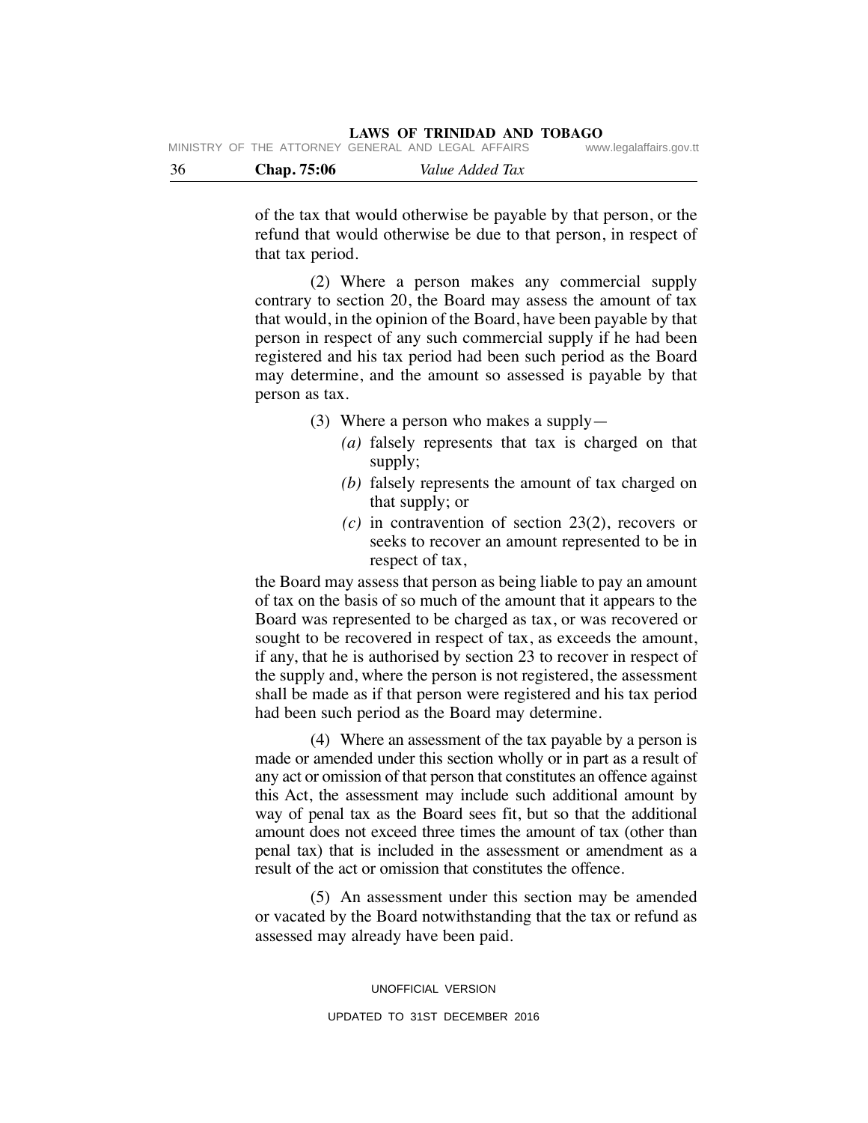| - 36 | <b>Chap.</b> 75:06                                 | Value Added Tax |                         |
|------|----------------------------------------------------|-----------------|-------------------------|
|      | MINISTRY OF THE ATTORNEY GENERAL AND LEGAL AFFAIRS |                 | www.legalaffairs.gov.tt |

of the tax that would otherwise be payable by that person, or the refund that would otherwise be due to that person, in respect of that tax period.

 (2) Where a person makes any commercial supply contrary to section 20, the Board may assess the amount of tax that would, in the opinion of the Board, have been payable by that person in respect of any such commercial supply if he had been registered and his tax period had been such period as the Board may determine, and the amount so assessed is payable by that person as tax.

- (3) Where a person who makes a supply—
	- *(a)* falsely represents that tax is charged on that supply;
	- *(b)* falsely represents the amount of tax charged on that supply; or
	- *(c)* in contravention of section 23(2), recovers or seeks to recover an amount represented to be in respect of tax,

the Board may assess that person as being liable to pay an amount of tax on the basis of so much of the amount that it appears to the Board was represented to be charged as tax, or was recovered or sought to be recovered in respect of tax, as exceeds the amount, if any, that he is authorised by section 23 to recover in respect of the supply and, where the person is not registered, the assessment shall be made as if that person were registered and his tax period had been such period as the Board may determine.

 (4) Where an assessment of the tax payable by a person is made or amended under this section wholly or in part as a result of any act or omission of that person that constitutes an offence against this Act, the assessment may include such additional amount by way of penal tax as the Board sees fit, but so that the additional amount does not exceed three times the amount of tax (other than penal tax) that is included in the assessment or amendment as a result of the act or omission that constitutes the offence.

 (5) An assessment under this section may be amended or vacated by the Board notwithstanding that the tax or refund as assessed may already have been paid.

> UNOFFICIAL VERSION UPDATED TO 31ST DECEMBER 2016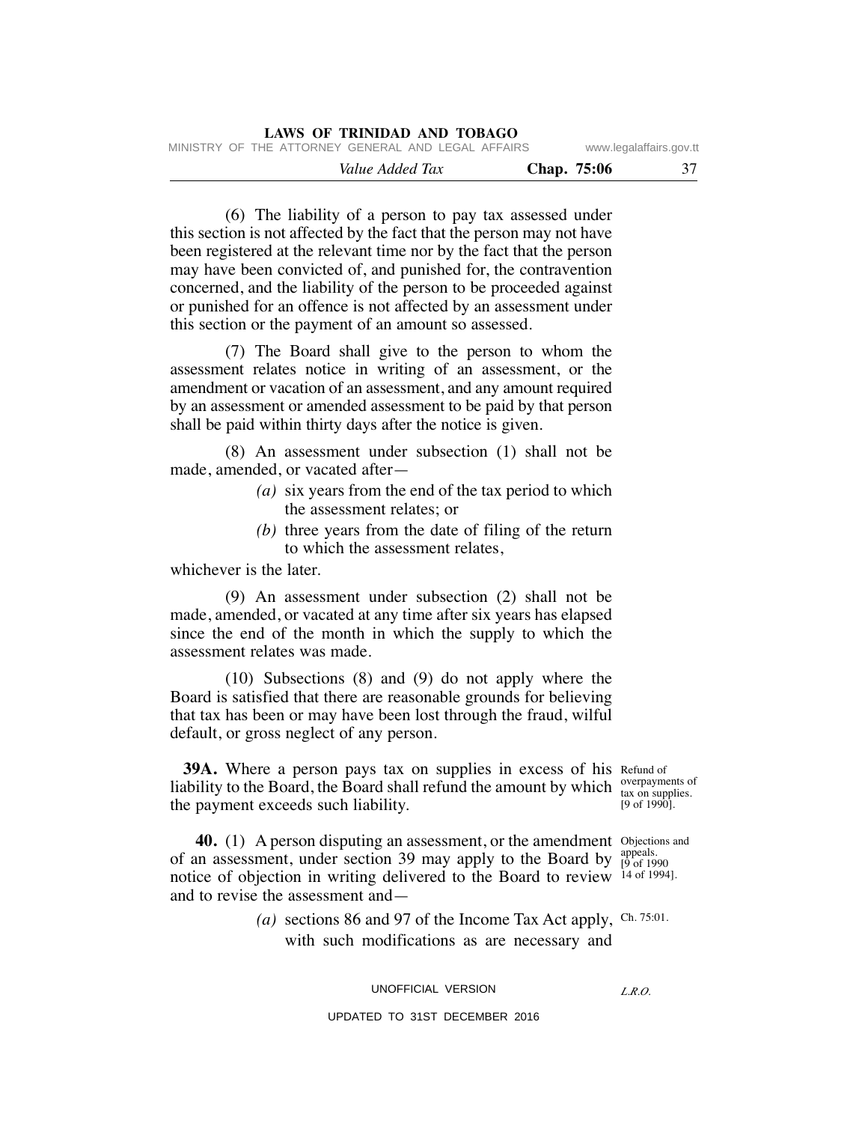|                         |             | LAWS OF TRINIDAD AND TOBAGO                        |
|-------------------------|-------------|----------------------------------------------------|
| www.legalaffairs.gov.tt |             | MINISTRY OF THE ATTORNEY GENERAL AND LEGAL AFFAIRS |
| 37                      | Chap. 75:06 | Value Added Tax                                    |

 (6) The liability of a person to pay tax assessed under this section is not affected by the fact that the person may not have been registered at the relevant time nor by the fact that the person may have been convicted of, and punished for, the contravention concerned, and the liability of the person to be proceeded against or punished for an offence is not affected by an assessment under this section or the payment of an amount so assessed.

 (7) The Board shall give to the person to whom the assessment relates notice in writing of an assessment, or the amendment or vacation of an assessment, and any amount required by an assessment or amended assessment to be paid by that person shall be paid within thirty days after the notice is given.

 (8) An assessment under subsection (1) shall not be made, amended, or vacated after—

- *(a)* six years from the end of the tax period to which the assessment relates; or
- *(b)* three years from the date of filing of the return to which the assessment relates,

whichever is the later.

 (9) An assessment under subsection (2) shall not be made, amended, or vacated at any time after six years has elapsed since the end of the month in which the supply to which the assessment relates was made.

 (10) Subsections (8) and (9) do not apply where the Board is satisfied that there are reasonable grounds for believing that tax has been or may have been lost through the fraud, wilful default, or gross neglect of any person.

**39A.** Where a person pays tax on supplies in excess of his Refund of liability to the Board, the Board shall refund the amount by which  $\frac{overp{upalgebra}}{tax on supplies}$ the payment exceeds such liability.

tax on supplies.  $[9 \text{ of } 1990]$ .

**40.** (1) A person disputing an assessment, or the amendment Objections and of an assessment, under section 39 may apply to the Board by  $_{[9 \text{ of } 19]}^{\text{appeals}}$ notice of objection in writing delivered to the Board to review 14 of 1994]. and to revise the assessment and— [9 of 1990

(a) sections 86 and 97 of the Income Tax Act apply, Ch. 75:01. with such modifications as are necessary and

UNOFFICIAL VERSION

*L.R.O.*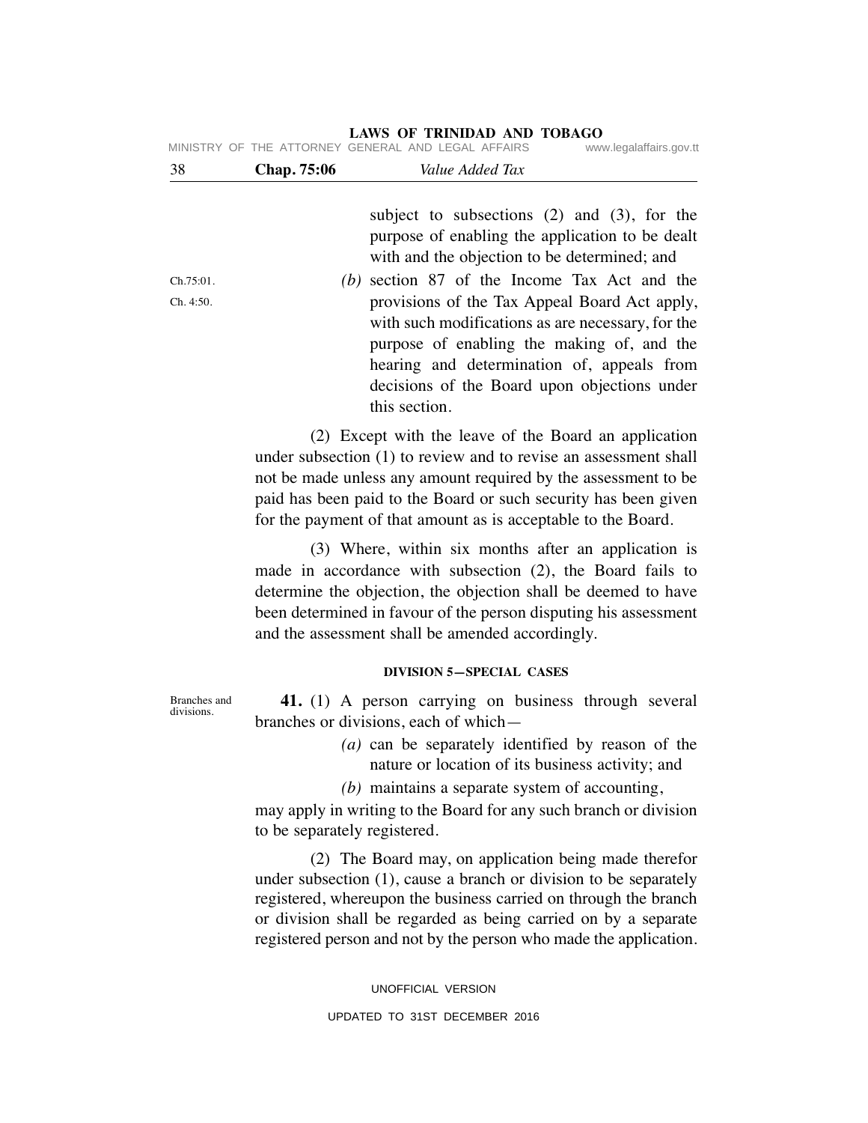## 38 **Chap. 75:06** *Value Added Tax*  subject to subsections (2) and (3), for the purpose of enabling the application to be dealt with and the objection to be determined; and  *(b)* section 87 of the Income Tax Act and the provisions of the Tax Appeal Board Act apply, with such modifications as are necessary, for the purpose of enabling the making of, and the hearing and determination of, appeals from decisions of the Board upon objections under this section. (2) Except with the leave of the Board an application Ch.75:01. Ch. 4:50. MINISTRY OF THE ATTORNEY GENERAL AND LEGAL AFFAIRS

under subsection (1) to review and to revise an assessment shall not be made unless any amount required by the assessment to be paid has been paid to the Board or such security has been given

for the payment of that amount as is acceptable to the Board.

 (3) Where, within six months after an application is made in accordance with subsection (2), the Board fails to determine the objection, the objection shall be deemed to have been determined in favour of the person disputing his assessment and the assessment shall be amended accordingly.

#### **DIVISION 5—SPECIAL CASES**

 **41.** (1) A person carrying on business through several branches or divisions, each of which—

- *(a)* can be separately identified by reason of the nature or location of its business activity; and
- *(b)* maintains a separate system of accounting,

may apply in writing to the Board for any such branch or division to be separately registered.

 (2) The Board may, on application being made therefor under subsection (1), cause a branch or division to be separately registered, whereupon the business carried on through the branch or division shall be regarded as being carried on by a separate registered person and not by the person who made the application.

> UNOFFICIAL VERSION UPDATED TO 31ST DECEMBER 2016

Branches and divisions.

# **LAWS OF TRINIDAD AND TOBAGO**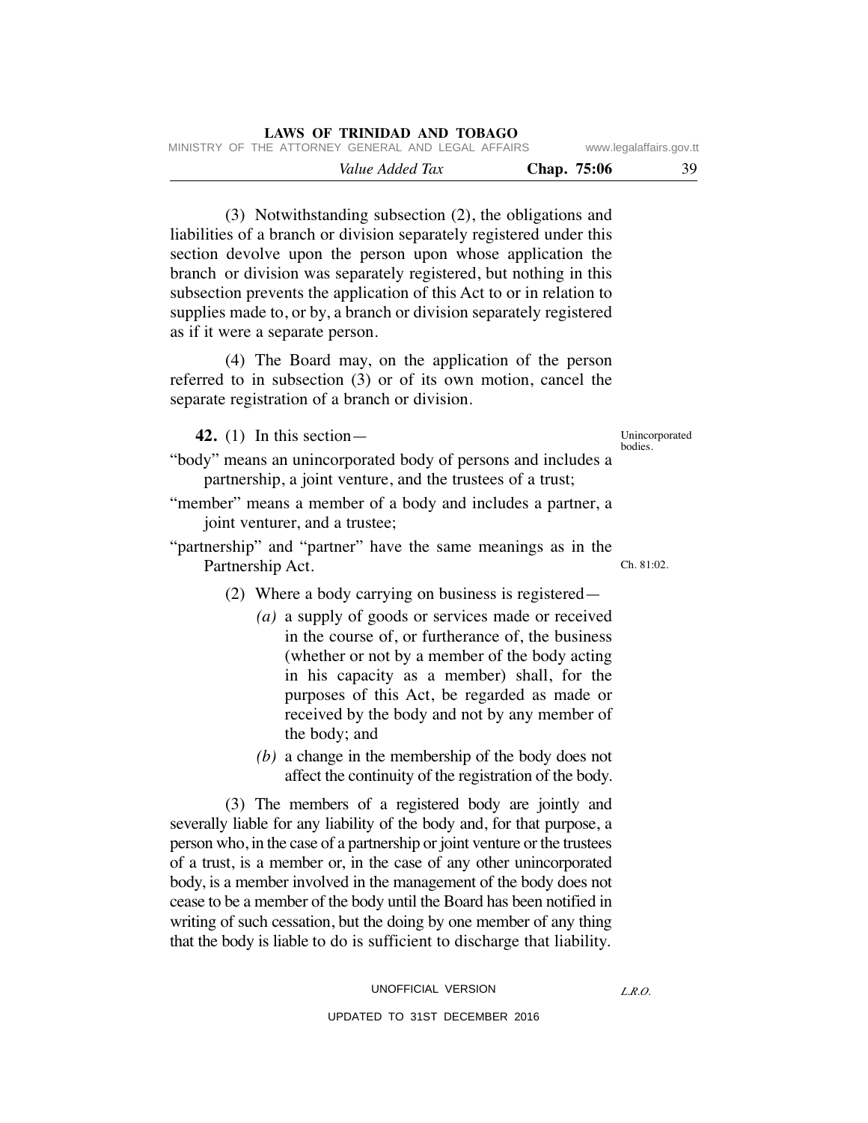| LAWS OF TRINIDAD AND TOBAGO                        |                         |    |
|----------------------------------------------------|-------------------------|----|
| MINISTRY OF THE ATTORNEY GENERAL AND LEGAL AFFAIRS | www.legalaffairs.gov.tt |    |
| Chap. 75:06<br>Value Added Tax                     |                         | 39 |

 (3) Notwithstanding subsection (2), the obligations and liabilities of a branch or division separately registered under this section devolve upon the person upon whose application the branch or division was separately registered, but nothing in this subsection prevents the application of this Act to or in relation to supplies made to, or by, a branch or division separately registered as if it were a separate person.

 (4) The Board may, on the application of the person referred to in subsection (3) or of its own motion, cancel the separate registration of a branch or division.

 **42.** (1) In this section—

Unincorporated bodies.

"body" means an unincorporated body of persons and includes a partnership, a joint venture, and the trustees of a trust;

- "member" means a member of a body and includes a partner, a joint venturer, and a trustee;
- "partnership" and "partner" have the same meanings as in the Partnership Act.  $Ch. 81:02.$ 
	- (2) Where a body carrying on business is registered—
		- *(a)* a supply of goods or services made or received in the course of, or furtherance of, the business (whether or not by a member of the body acting in his capacity as a member) shall, for the purposes of this Act, be regarded as made or received by the body and not by any member of the body; and
		- *(b)* a change in the membership of the body does not affect the continuity of the registration of the body.

 (3) The members of a registered body are jointly and severally liable for any liability of the body and, for that purpose, a person who, in the case of a partnership or joint venture or the trustees of a trust, is a member or, in the case of any other unincorporated body, is a member involved in the management of the body does not cease to be a member of the body until the Board has been notified in writing of such cessation, but the doing by one member of any thing that the body is liable to do is sufficient to discharge that liability.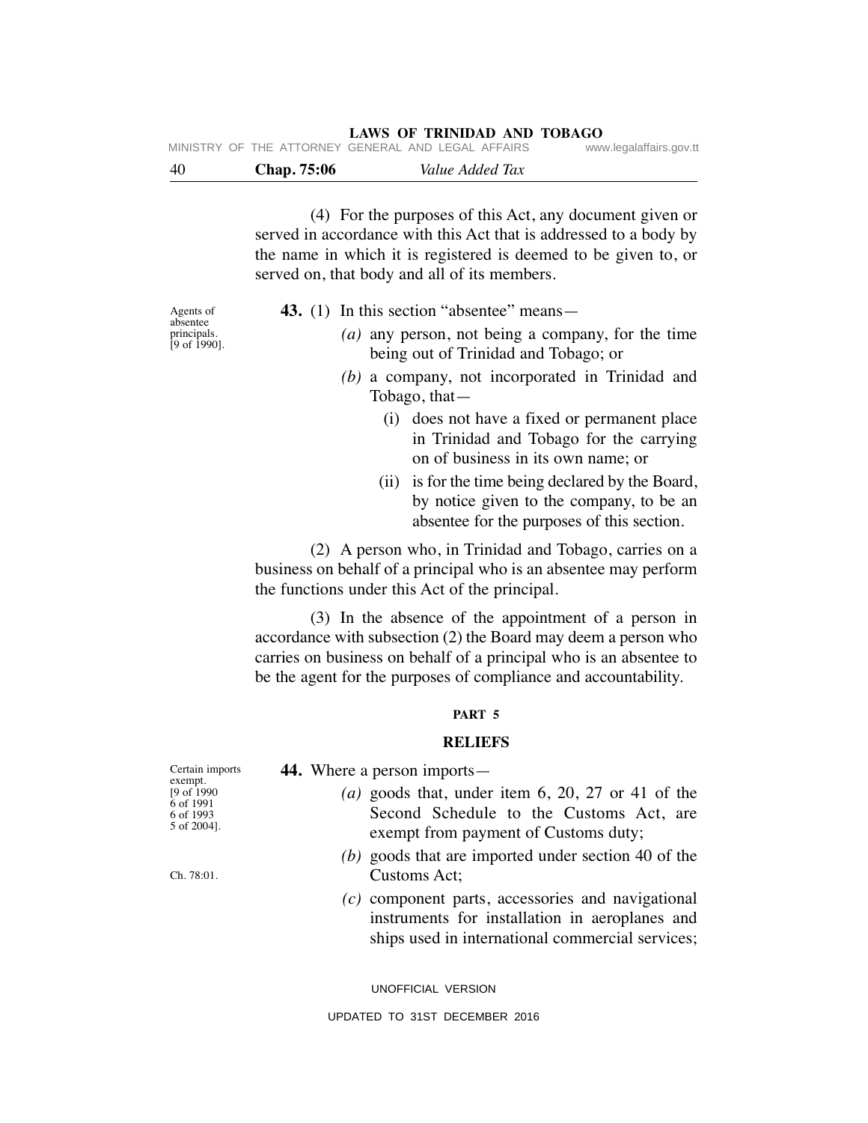#### **LAWS OF TRINIDAD AND TOBAGO** MINISTRY OF THE ATTORNEY GENERAL AND LEGAL AFFAIRS www.legalaffairs.gov.tt

|     |             | IVIIINIOTINT OF THE ATTONNET GENENAE AIND LEGAE AFFAING. | www.icyalallalls.yuv.ll |
|-----|-------------|----------------------------------------------------------|-------------------------|
| -40 | Chap. 75:06 | Value Added Tax                                          |                         |

 (4) For the purposes of this Act, any document given or served in accordance with this Act that is addressed to a body by the name in which it is registered is deemed to be given to, or served on, that body and all of its members.

Agents of absentee principals.  $[9 \text{ of } 1990]$ .

- **43.** (1) In this section "absentee" means—
	- *(a)* any person, not being a company, for the time being out of Trinidad and Tobago; or
	- *(b)* a company, not incorporated in Trinidad and Tobago, that—
		- (i) does not have a fixed or permanent place in Trinidad and Tobago for the carrying on of business in its own name; or
		- (ii) is for the time being declared by the Board, by notice given to the company, to be an absentee for the purposes of this section.

 (2) A person who, in Trinidad and Tobago, carries on a business on behalf of a principal who is an absentee may perform the functions under this Act of the principal.

 (3) In the absence of the appointment of a person in accordance with subsection (2) the Board may deem a person who carries on business on behalf of a principal who is an absentee to be the agent for the purposes of compliance and accountability.

#### **PART 5**

#### **RELIEFS**

| Certain imports<br>exempt.                           | 44. Where a person imports—                                                                                                                               |
|------------------------------------------------------|-----------------------------------------------------------------------------------------------------------------------------------------------------------|
| [9 of 1990]<br>6 of 1991<br>6 of 1993<br>5 of 2004]. | (a) goods that, under item $6, 20, 27$ or 41 of the<br>Second Schedule to the Customs Act, are<br>exempt from payment of Customs duty;                    |
| Ch. 78:01.                                           | (b) goods that are imported under section 40 of the<br>Customs Act;                                                                                       |
|                                                      | $(c)$ component parts, accessories and navigational<br>instruments for installation in aeroplanes and<br>ships used in international commercial services; |

UNOFFICIAL VERSION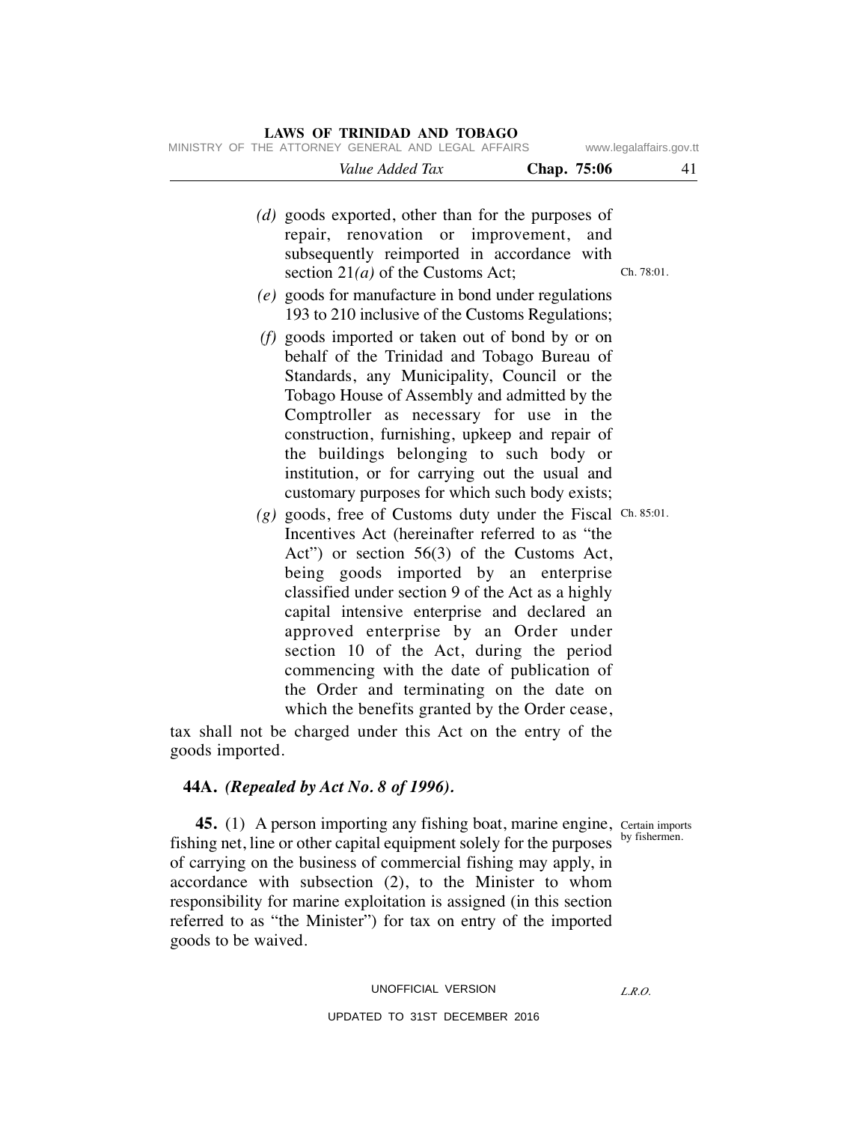| <b>LAWS OF TRINIDAD AND TOBAGO</b><br>MINISTRY OF THE ATTORNEY GENERAL AND LEGAL AFFAIRS<br>www.legalaffairs.gov.tt |             |                                                                                                                                                                                                                                                                                                                                                                                                                                                                                                                                                                                                                                                                                                            |  |  |  |
|---------------------------------------------------------------------------------------------------------------------|-------------|------------------------------------------------------------------------------------------------------------------------------------------------------------------------------------------------------------------------------------------------------------------------------------------------------------------------------------------------------------------------------------------------------------------------------------------------------------------------------------------------------------------------------------------------------------------------------------------------------------------------------------------------------------------------------------------------------------|--|--|--|
| 41                                                                                                                  | Chap. 75:06 | Value Added Tax                                                                                                                                                                                                                                                                                                                                                                                                                                                                                                                                                                                                                                                                                            |  |  |  |
| Ch. 78:01.                                                                                                          | and         | (d) goods exported, other than for the purposes of<br>repair, renovation or improvement,<br>subsequently reimported in accordance with<br>section $21(a)$ of the Customs Act;                                                                                                                                                                                                                                                                                                                                                                                                                                                                                                                              |  |  |  |
|                                                                                                                     |             | $(e)$ goods for manufacture in bond under regulations<br>193 to 210 inclusive of the Customs Regulations;                                                                                                                                                                                                                                                                                                                                                                                                                                                                                                                                                                                                  |  |  |  |
|                                                                                                                     |             | (f) goods imported or taken out of bond by or on<br>behalf of the Trinidad and Tobago Bureau of<br>Standards, any Municipality, Council or the<br>Tobago House of Assembly and admitted by the<br>Comptroller as necessary for use in the<br>construction, furnishing, upkeep and repair of<br>the buildings belonging to such body or<br>institution, or for carrying out the usual and<br>customary purposes for which such body exists;<br>$(g)$ goods, free of Customs duty under the Fiscal Ch. 85:01.<br>Incentives Act (hereinafter referred to as "the<br>Act") or section 56(3) of the Customs Act,<br>being goods imported by an enterprise<br>classified under section 9 of the Act as a highly |  |  |  |
|                                                                                                                     |             | capital intensive enterprise and declared an<br>approved enterprise by an Order under<br>section 10 of the Act, during the period                                                                                                                                                                                                                                                                                                                                                                                                                                                                                                                                                                          |  |  |  |
|                                                                                                                     |             | commencing with the date of publication of<br>the Order and terminating on the date on<br>which the benefits granted by the Order cease,                                                                                                                                                                                                                                                                                                                                                                                                                                                                                                                                                                   |  |  |  |
|                                                                                                                     |             | tax shall not be charged under this Act on the entry of the                                                                                                                                                                                                                                                                                                                                                                                                                                                                                                                                                                                                                                                |  |  |  |

goods imported.

## **44A.** *(Repealed by Act No. 8 of 1996).*

Certain imports by fishermen.

**45.** (1) A person importing any fishing boat, marine engine, fishing net, line or other capital equipment solely for the purposes of carrying on the business of commercial fishing may apply, in accordance with subsection (2), to the Minister to whom responsibility for marine exploitation is assigned (in this section referred to as "the Minister") for tax on entry of the imported goods to be waived.

#### UNOFFICIAL VERSION

### UPDATED TO 31ST DECEMBER 2016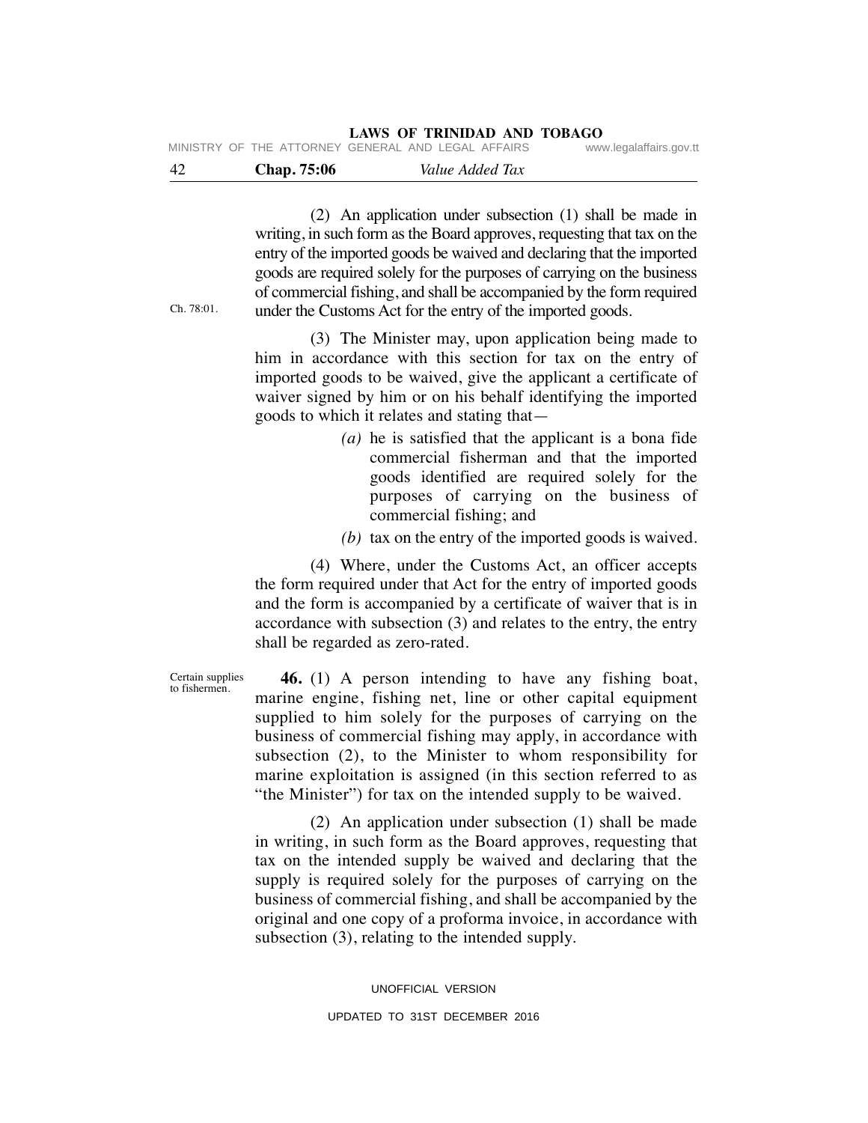|  | <b>LAWS OF TRINIDAD AND TOBAGO</b> |  |
|--|------------------------------------|--|
|  |                                    |  |

| -42 | <b>Chap.</b> 75:06                                 | Value Added Tax |                         |
|-----|----------------------------------------------------|-----------------|-------------------------|
|     | MINISTRY OF THE ATTORNEY GENERAL AND LEGAL AFFAIRS |                 | www.legalaffairs.gov.tt |

 (2) An application under subsection (1) shall be made in writing, in such form as the Board approves, requesting that tax on the entry of the imported goods be waived and declaring that the imported goods are required solely for the purposes of carrying on the business of commercial fishing, and shall be accompanied by the form required under the Customs Act for the entry of the imported goods.

Ch. 78:01.

 (3) The Minister may, upon application being made to him in accordance with this section for tax on the entry of imported goods to be waived, give the applicant a certificate of waiver signed by him or on his behalf identifying the imported goods to which it relates and stating that—

- *(a)* he is satisfied that the applicant is a bona fide commercial fisherman and that the imported goods identified are required solely for the purposes of carrying on the business of commercial fishing; and
- *(b)* tax on the entry of the imported goods is waived.

 (4) Where, under the Customs Act, an officer accepts the form required under that Act for the entry of imported goods and the form is accompanied by a certificate of waiver that is in accordance with subsection (3) and relates to the entry, the entry shall be regarded as zero-rated.

 **46.** (1) A person intending to have any fishing boat, marine engine, fishing net, line or other capital equipment supplied to him solely for the purposes of carrying on the business of commercial fishing may apply, in accordance with subsection (2), to the Minister to whom responsibility for marine exploitation is assigned (in this section referred to as "the Minister") for tax on the intended supply to be waived.

 (2) An application under subsection (1) shall be made in writing, in such form as the Board approves, requesting that tax on the intended supply be waived and declaring that the supply is required solely for the purposes of carrying on the business of commercial fishing, and shall be accompanied by the original and one copy of a proforma invoice, in accordance with subsection (3), relating to the intended supply.

> UNOFFICIAL VERSION UPDATED TO 31ST DECEMBER 2016

Certain supplies to fishermen.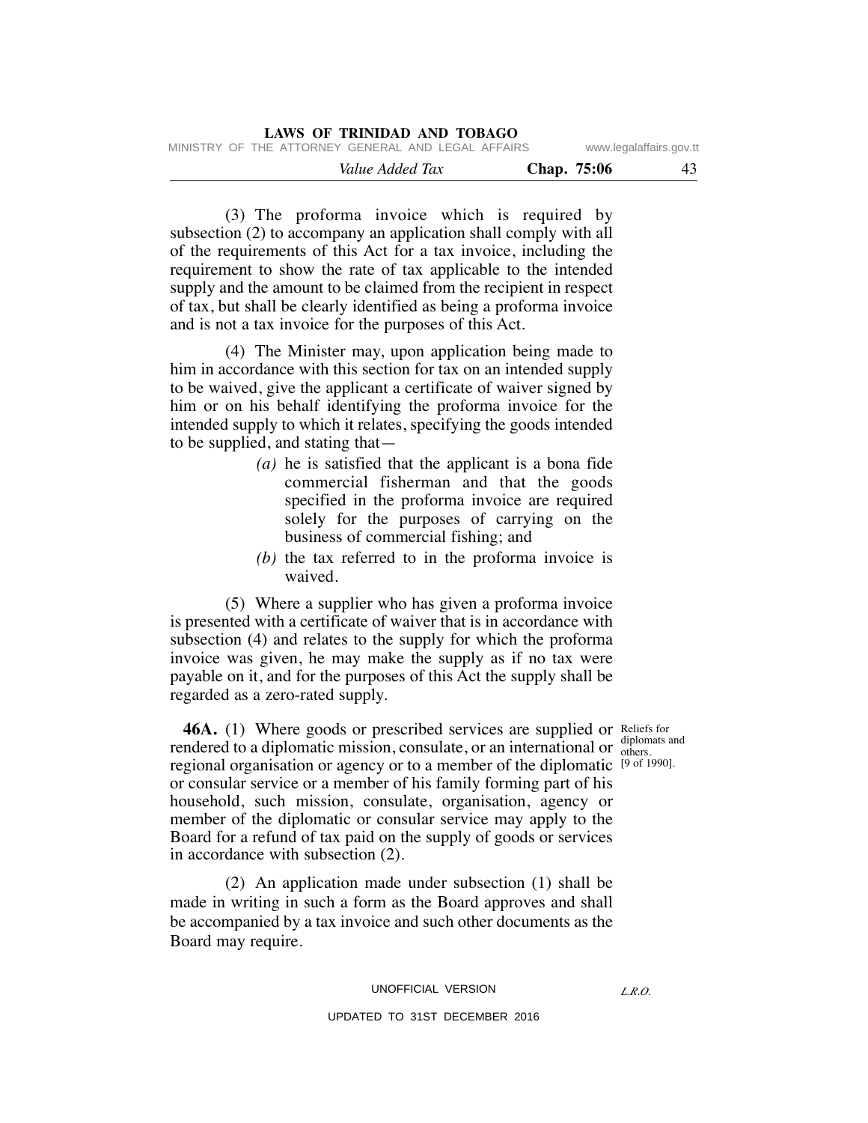| LAWS OF TRINIDAD AND TOBAGO                        |                         |  |  |  |  |  |  |
|----------------------------------------------------|-------------------------|--|--|--|--|--|--|
| MINISTRY OF THE ATTORNEY GENERAL AND LEGAL AFFAIRS | www.legalaffairs.gov.tt |  |  |  |  |  |  |
| Chap. 75:06<br>Value Added Tax                     | 43                      |  |  |  |  |  |  |

 (3) The proforma invoice which is required by subsection (2) to accompany an application shall comply with all of the requirements of this Act for a tax invoice, including the requirement to show the rate of tax applicable to the intended supply and the amount to be claimed from the recipient in respect of tax, but shall be clearly identified as being a proforma invoice and is not a tax invoice for the purposes of this Act.

 (4) The Minister may, upon application being made to him in accordance with this section for tax on an intended supply to be waived, give the applicant a certificate of waiver signed by him or on his behalf identifying the proforma invoice for the intended supply to which it relates, specifying the goods intended to be supplied, and stating that—

- *(a)* he is satisfied that the applicant is a bona fide commercial fisherman and that the goods specified in the proforma invoice are required solely for the purposes of carrying on the business of commercial fishing; and
- *(b)* the tax referred to in the proforma invoice is waived.

 (5) Where a supplier who has given a proforma invoice is presented with a certificate of waiver that is in accordance with subsection (4) and relates to the supply for which the proforma invoice was given, he may make the supply as if no tax were payable on it, and for the purposes of this Act the supply shall be regarded as a zero-rated supply.

**46A.** (1) Where goods or prescribed services are supplied or Reliefs for rendered to a diplomatic mission, consulate, or an international or  $\frac{diplomats}{dens}$ regional organisation or agency or to a member of the diplomatic <sup>[9 of 1990].</sup> or consular service or a member of his family forming part of his household, such mission, consulate, organisation, agency or member of the diplomatic or consular service may apply to the Board for a refund of tax paid on the supply of goods or services in accordance with subsection (2).

 (2) An application made under subsection (1) shall be made in writing in such a form as the Board approves and shall be accompanied by a tax invoice and such other documents as the Board may require.

others.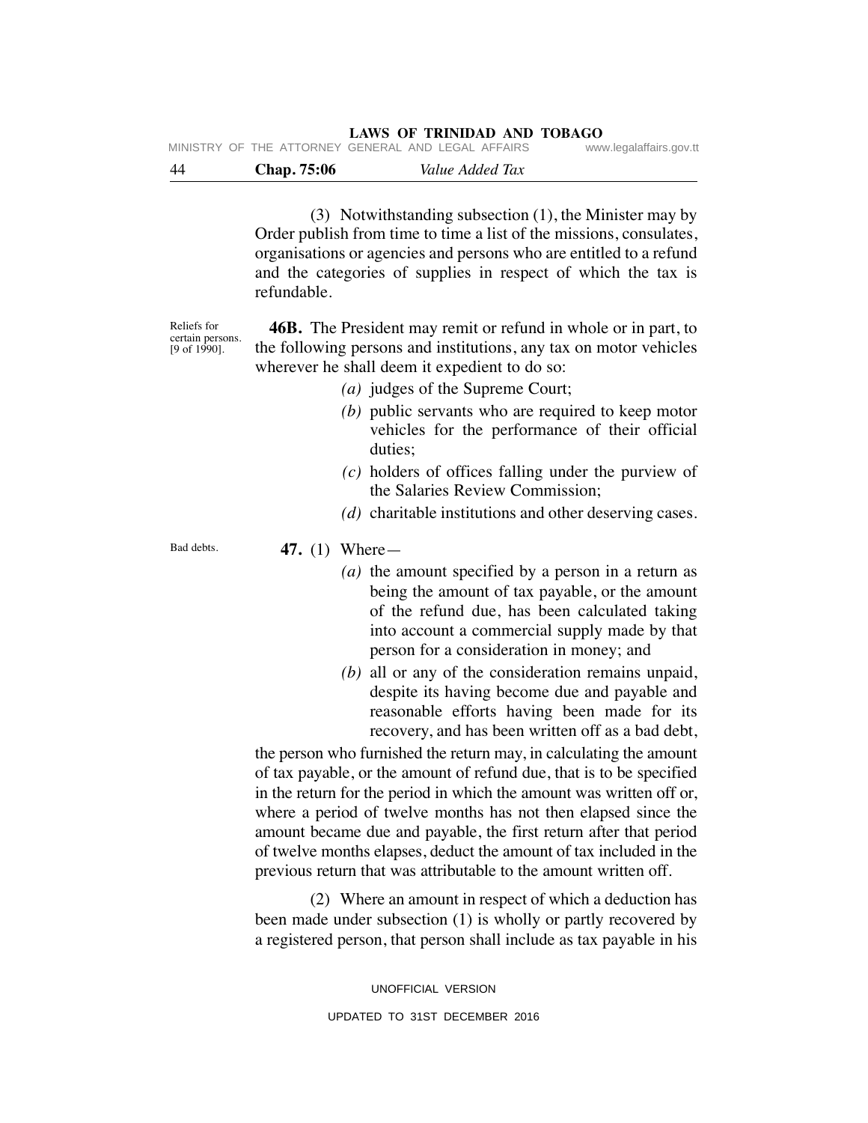| -44 | <b>Chap.</b> 75:06 | Value Added Tax                                    |  |                         |
|-----|--------------------|----------------------------------------------------|--|-------------------------|
|     |                    | MINISTRY OF THE ATTORNEY GENERAL AND LEGAL AFFAIRS |  | www.legalaffairs.gov.tt |

 (3) Notwithstanding subsection (1), the Minister may by Order publish from time to time a list of the missions, consulates, organisations or agencies and persons who are entitled to a refund and the categories of supplies in respect of which the tax is refundable.

Reliefs for certain persons. [9 of 1990].

 **46B.** The President may remit or refund in whole or in part, to the following persons and institutions, any tax on motor vehicles wherever he shall deem it expedient to do so:

- *(a)* judges of the Supreme Court;
- *(b)* public servants who are required to keep motor vehicles for the performance of their official duties;
- *(c)* holders of offices falling under the purview of the Salaries Review Commission;
- *(d)* charitable institutions and other deserving cases.

Bad debts.

 **47.** (1) Where—

- *(a)* the amount specified by a person in a return as being the amount of tax payable, or the amount of the refund due, has been calculated taking into account a commercial supply made by that person for a consideration in money; and
- *(b)* all or any of the consideration remains unpaid, despite its having become due and payable and reasonable efforts having been made for its recovery, and has been written off as a bad debt,

the person who furnished the return may, in calculating the amount of tax payable, or the amount of refund due, that is to be specified in the return for the period in which the amount was written off or, where a period of twelve months has not then elapsed since the amount became due and payable, the first return after that period of twelve months elapses, deduct the amount of tax included in the previous return that was attributable to the amount written off.

 (2) Where an amount in respect of which a deduction has been made under subsection (1) is wholly or partly recovered by a registered person, that person shall include as tax payable in his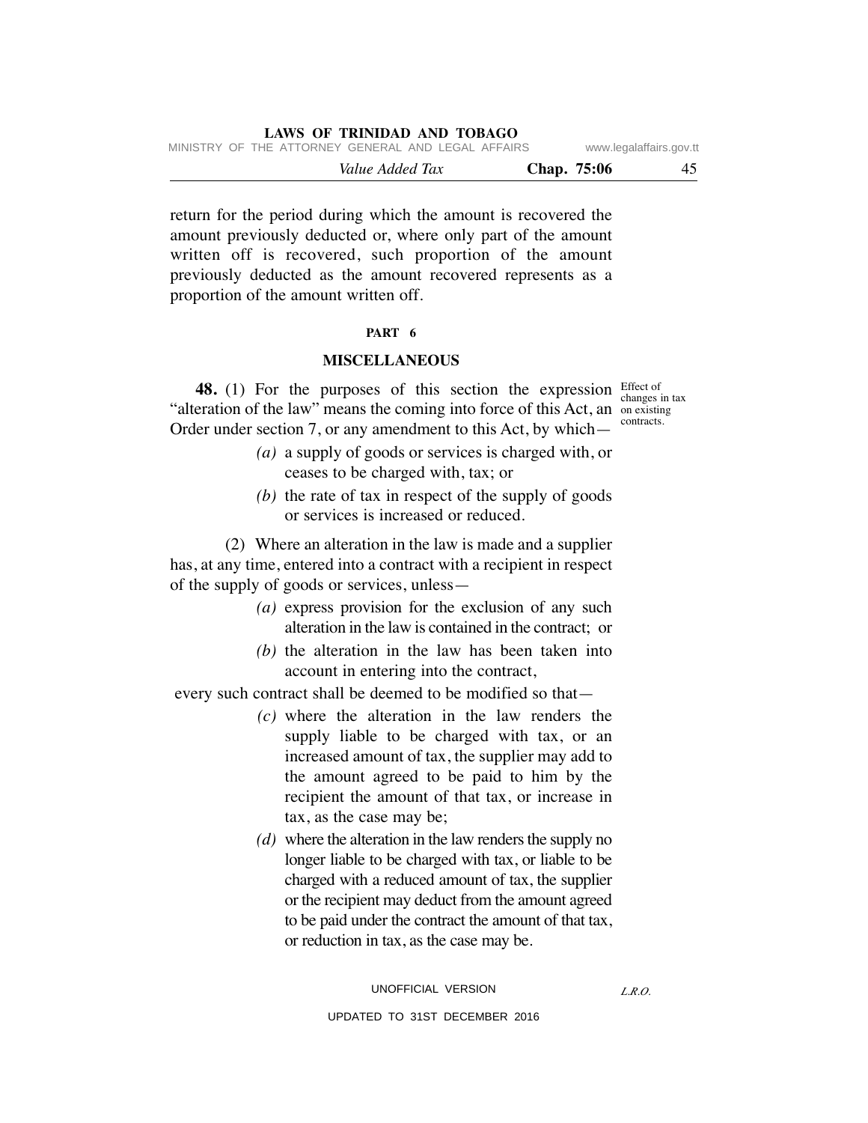|  |                                                    | Value Added Tax |  |  | Chap. 75:06 | 45                      |
|--|----------------------------------------------------|-----------------|--|--|-------------|-------------------------|
|  | MINISTRY OF THE ATTORNEY GENERAL AND LEGAL AFFAIRS |                 |  |  |             | www.legalaffairs.gov.tt |

return for the period during which the amount is recovered the amount previously deducted or, where only part of the amount written off is recovered, such proportion of the amount previously deducted as the amount recovered represents as a proportion of the amount written off.

#### **PART 6**

#### **MISCELLANEOUS**

**48.** (1) For the purposes of this section the expression Effect of "alteration of the law" means the coming into force of this Act, an on existing Order under section 7, or any amendment to this Act, by which—

changes in tax contracts.

- *(a)* a supply of goods or services is charged with, or ceases to be charged with, tax; or
- *(b)* the rate of tax in respect of the supply of goods or services is increased or reduced.

 (2) Where an alteration in the law is made and a supplier has, at any time, entered into a contract with a recipient in respect of the supply of goods or services, unless—

- *(a)* express provision for the exclusion of any such alteration in the law is contained in the contract; or
- *(b)* the alteration in the law has been taken into account in entering into the contract,

every such contract shall be deemed to be modified so that—

- *(c)* where the alteration in the law renders the supply liable to be charged with tax, or an increased amount of tax, the supplier may add to the amount agreed to be paid to him by the recipient the amount of that tax, or increase in tax, as the case may be;
- *(d)* where the alteration in the law renders the supply no longer liable to be charged with tax, or liable to be charged with a reduced amount of tax, the supplier or the recipient may deduct from the amount agreed to be paid under the contract the amount of that tax, or reduction in tax, as the case may be.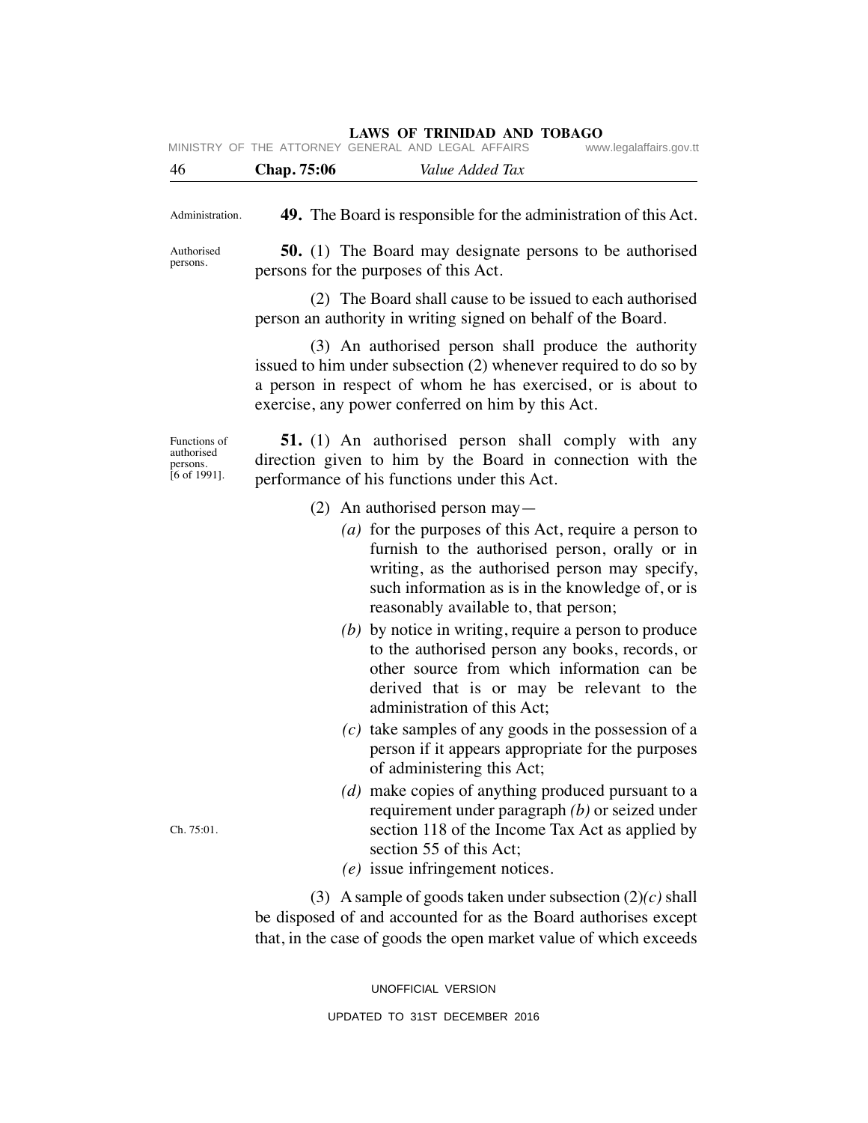|                                                                   | MINISTRY OF THE ATTORNEY GENERAL AND LEGAL AFFAIRS<br>www.legalaffairs.gov.tt                                                                                                                                                                           |
|-------------------------------------------------------------------|---------------------------------------------------------------------------------------------------------------------------------------------------------------------------------------------------------------------------------------------------------|
| 46                                                                | <b>Chap.</b> 75:06<br>Value Added Tax                                                                                                                                                                                                                   |
| Administration.                                                   | <b>49.</b> The Board is responsible for the administration of this Act.                                                                                                                                                                                 |
| Authorised<br>persons.                                            | <b>50.</b> (1) The Board may designate persons to be authorised<br>persons for the purposes of this Act.                                                                                                                                                |
|                                                                   | (2) The Board shall cause to be issued to each authorised<br>person an authority in writing signed on behalf of the Board.                                                                                                                              |
|                                                                   | (3) An authorised person shall produce the authority<br>issued to him under subsection (2) whenever required to do so by<br>a person in respect of whom he has exercised, or is about to<br>exercise, any power conferred on him by this Act.           |
| Functions of<br>authorised<br>persons.<br>$[6 \text{ of } 1991].$ | <b>51.</b> (1) An authorised person shall comply with any<br>direction given to him by the Board in connection with the<br>performance of his functions under this Act.                                                                                 |
|                                                                   | $(2)$ An authorised person may—                                                                                                                                                                                                                         |
|                                                                   | (a) for the purposes of this Act, require a person to<br>furnish to the authorised person, orally or in<br>writing, as the authorised person may specify,<br>such information as is in the knowledge of, or is<br>reasonably available to, that person; |
|                                                                   | (b) by notice in writing, require a person to produce<br>to the authorised person any books, records, or<br>other source from which information can be<br>derived that is or may be relevant to the<br>administration of this Act;                      |
|                                                                   | $(c)$ take samples of any goods in the possession of a<br>person if it appears appropriate for the purposes<br>of administering this Act;                                                                                                               |
| Ch. 75:01.                                                        | (d) make copies of anything produced pursuant to a<br>requirement under paragraph $(b)$ or seized under<br>section 118 of the Income Tax Act as applied by<br>section 55 of this Act;<br>$(e)$ issue infringement notices.                              |
|                                                                   | (3) A sample of goods taken under subsection $(2)(c)$ shall<br>be disposed of and accounted for as the Board authorises except<br>that, in the case of goods the open market value of which exceeds                                                     |

UNOFFICIAL VERSION UPDATED TO 31ST DECEMBER 2016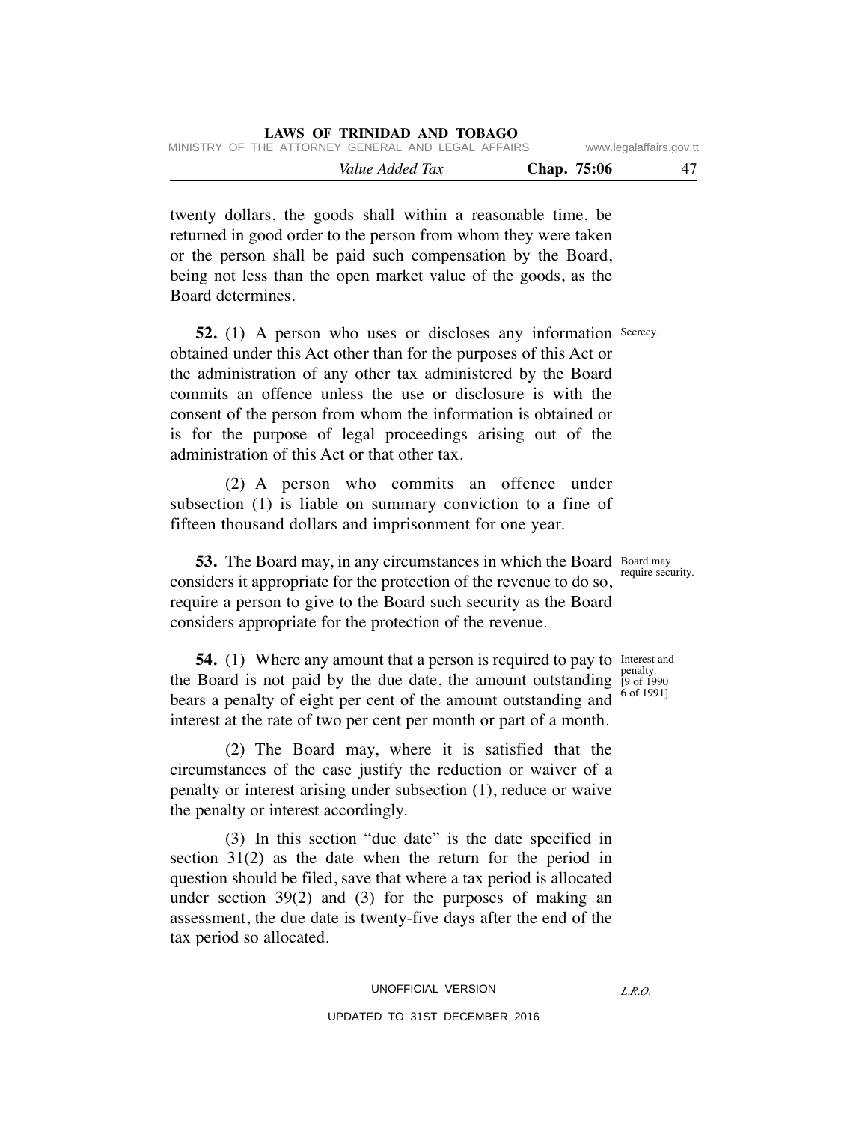| MINISTRY OF THE ATTORNEY GENERAL AND LEGAL AFFAIRS |             | www.legalaffairs.gov.tt |
|----------------------------------------------------|-------------|-------------------------|
| Value Added Tax                                    | Chap. 75:06 |                         |

twenty dollars, the goods shall within a reasonable time, be returned in good order to the person from whom they were taken or the person shall be paid such compensation by the Board, being not less than the open market value of the goods, as the Board determines.

**52.** (1) A person who uses or discloses any information Secrecy. obtained under this Act other than for the purposes of this Act or the administration of any other tax administered by the Board commits an offence unless the use or disclosure is with the consent of the person from whom the information is obtained or is for the purpose of legal proceedings arising out of the administration of this Act or that other tax.

 (2) A person who commits an offence under subsection (1) is liable on summary conviction to a fine of fifteen thousand dollars and imprisonment for one year.

**53.** The Board may, in any circumstances in which the Board Board may considers it appropriate for the protection of the revenue to do so, require a person to give to the Board such security as the Board considers appropriate for the protection of the revenue.

**54.** (1) Where any amount that a person is required to pay to Interest and the Board is not paid by the due date, the amount outstanding  $\frac{1}{2}$  penalty. bears a penalty of eight per cent of the amount outstanding and interest at the rate of two per cent per month or part of a month.

 (2) The Board may, where it is satisfied that the circumstances of the case justify the reduction or waiver of a penalty or interest arising under subsection (1), reduce or waive the penalty or interest accordingly.

 (3) In this section "due date" is the date specified in section 31(2) as the date when the return for the period in question should be filed, save that where a tax period is allocated under section 39(2) and (3) for the purposes of making an assessment, the due date is twenty-five days after the end of the tax period so allocated.

require security.

[9 of 1990 6 of 1991].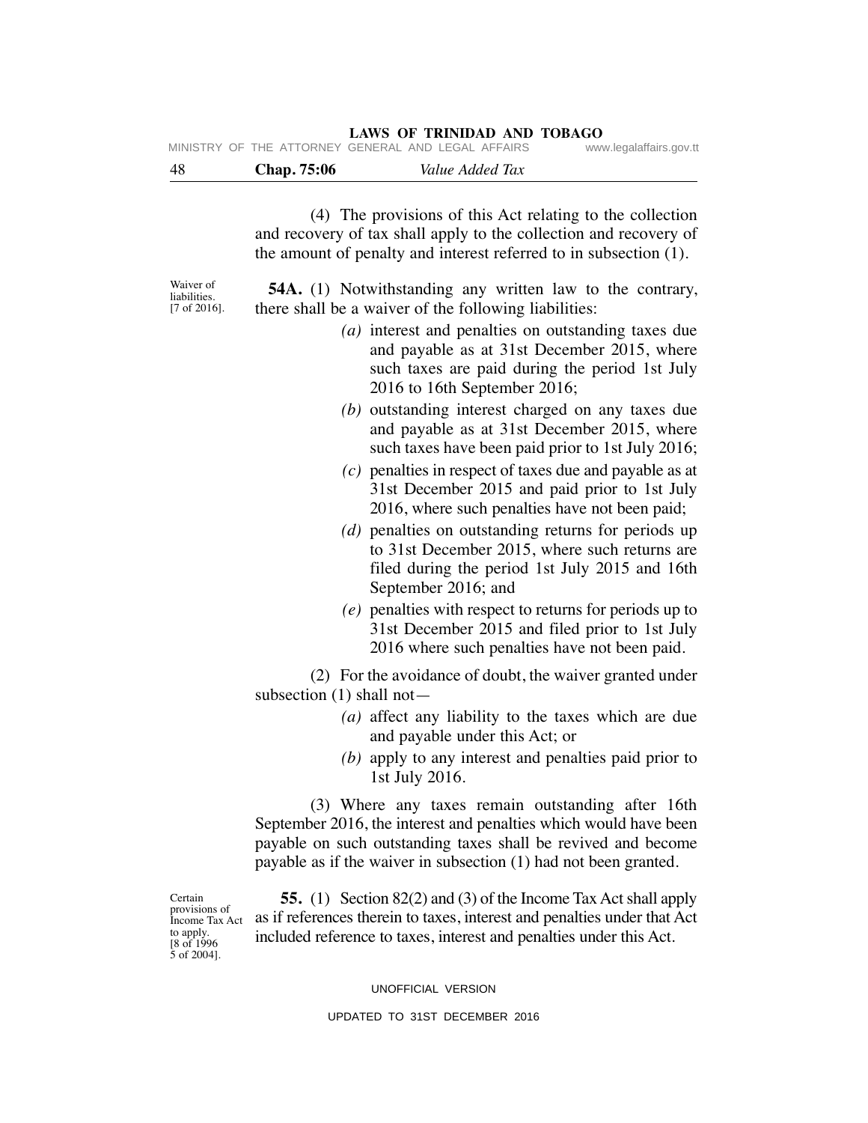| -48 | Chap. 75:06                                        | Value Added Tax |                         |
|-----|----------------------------------------------------|-----------------|-------------------------|
|     | MINISTRY OF THE ATTORNEY GENERAL AND LEGAL AFFAIRS |                 | www.legalaffairs.gov.tt |

 (4) The provisions of this Act relating to the collection and recovery of tax shall apply to the collection and recovery of the amount of penalty and interest referred to in subsection (1).

Waiver of liabilities. [7 of 2016].

 **54A.** (1) Notwithstanding any written law to the contrary, there shall be a waiver of the following liabilities:

- *(a)* interest and penalties on outstanding taxes due and payable as at 31st December 2015, where such taxes are paid during the period 1st July 2016 to 16th September 2016;
- *(b)* outstanding interest charged on any taxes due and payable as at 31st December 2015, where such taxes have been paid prior to 1st July 2016;
- *(c)* penalties in respect of taxes due and payable as at 31st December 2015 and paid prior to 1st July 2016, where such penalties have not been paid;
- *(d)* penalties on outstanding returns for periods up to 31st December 2015, where such returns are filed during the period 1st July 2015 and 16th September 2016; and
- *(e)* penalties with respect to returns for periods up to 31st December 2015 and filed prior to 1st July 2016 where such penalties have not been paid.

 (2) For the avoidance of doubt, the waiver granted under subsection (1) shall not—

- *(a)* affect any liability to the taxes which are due and payable under this Act; or
- *(b)* apply to any interest and penalties paid prior to 1st July 2016.

 (3) Where any taxes remain outstanding after 16th September 2016, the interest and penalties which would have been payable on such outstanding taxes shall be revived and become payable as if the waiver in subsection (1) had not been granted.

**Certain** provisions of Income Tax Act to apply. [8 of 1996 5 of 2004].

 **55.** (1) Section 82(2) and (3) of the Income Tax Act shall apply as if references therein to taxes, interest and penalties under that Act included reference to taxes, interest and penalties under this Act.

#### UNOFFICIAL VERSION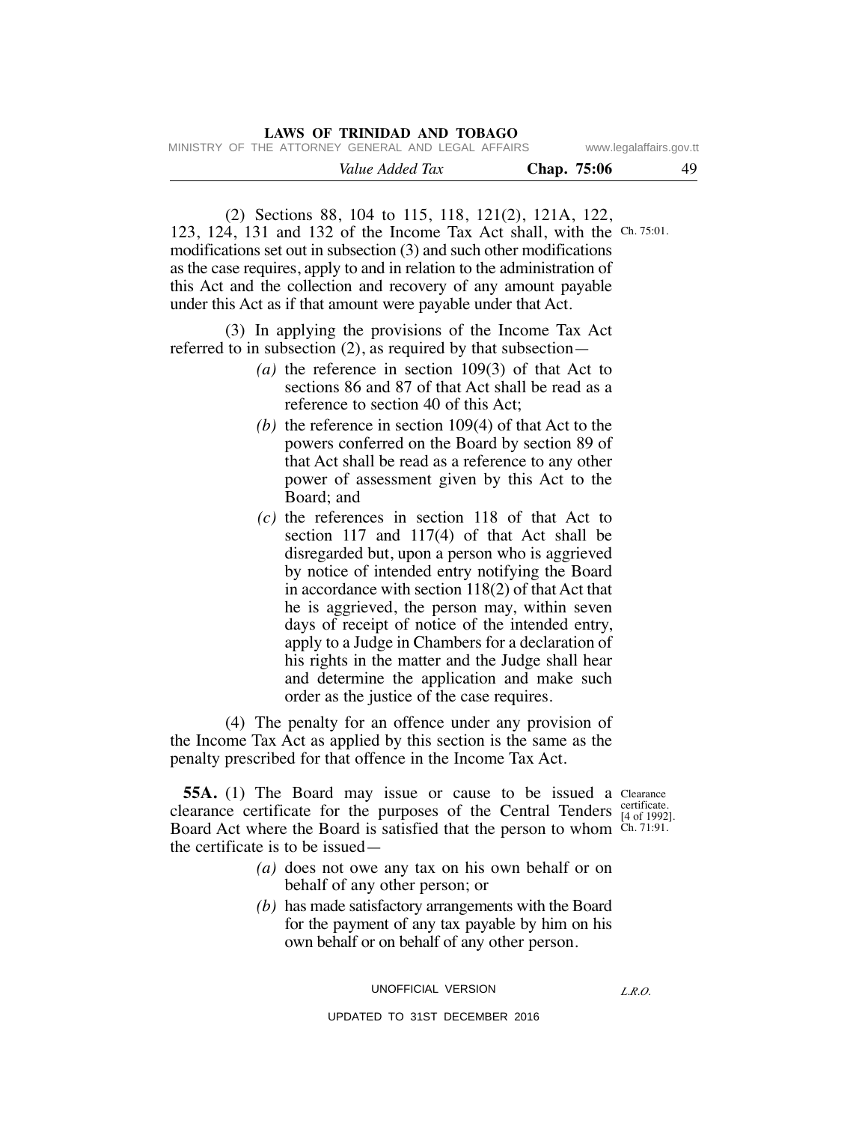|                                                    |  |  | LAWS OF TRINIDAD AND TOBAGO |  |             |                         |
|----------------------------------------------------|--|--|-----------------------------|--|-------------|-------------------------|
| MINISTRY OF THE ATTORNEY GENERAL AND LEGAL AFFAIRS |  |  |                             |  |             | www.legalaffairs.gov.tt |
|                                                    |  |  | Value Added Tax             |  | Chap. 75:06 | 49                      |

 (2) Sections 88, 104 to 115, 118, 121(2), 121A, 122, 123, 124, 131 and 132 of the Income Tax Act shall, with the Ch. 75:01. modifications set out in subsection (3) and such other modifications as the case requires, apply to and in relation to the administration of this Act and the collection and recovery of any amount payable under this Act as if that amount were payable under that Act.

 (3) In applying the provisions of the Income Tax Act referred to in subsection (2), as required by that subsection—

- *(a)* the reference in section 109(3) of that Act to sections 86 and 87 of that Act shall be read as a reference to section 40 of this Act;
- *(b)* the reference in section 109(4) of that Act to the powers conferred on the Board by section 89 of that Act shall be read as a reference to any other power of assessment given by this Act to the Board; and
- *(c)* the references in section 118 of that Act to section 117 and 117(4) of that Act shall be disregarded but, upon a person who is aggrieved by notice of intended entry notifying the Board in accordance with section 118(2) of that Act that he is aggrieved, the person may, within seven days of receipt of notice of the intended entry, apply to a Judge in Chambers for a declaration of his rights in the matter and the Judge shall hear and determine the application and make such order as the justice of the case requires.

 (4) The penalty for an offence under any provision of the Income Tax Act as applied by this section is the same as the penalty prescribed for that offence in the Income Tax Act.

**55A.** (1) The Board may issue or cause to be issued a Clearance clearance certificate for the purposes of the Central Tenders  $_{[4\text{ of }1992]}^{\text{certificance}}$ Board Act where the Board is satisfied that the person to whom Ch. 71:91. the certificate is to be issued—

[4 of 1992].

- *(a)* does not owe any tax on his own behalf or on behalf of any other person; or
- *(b)* has made satisfactory arrangements with the Board for the payment of any tax payable by him on his own behalf or on behalf of any other person.

UNOFFICIAL VERSION

UPDATED TO 31ST DECEMBER 2016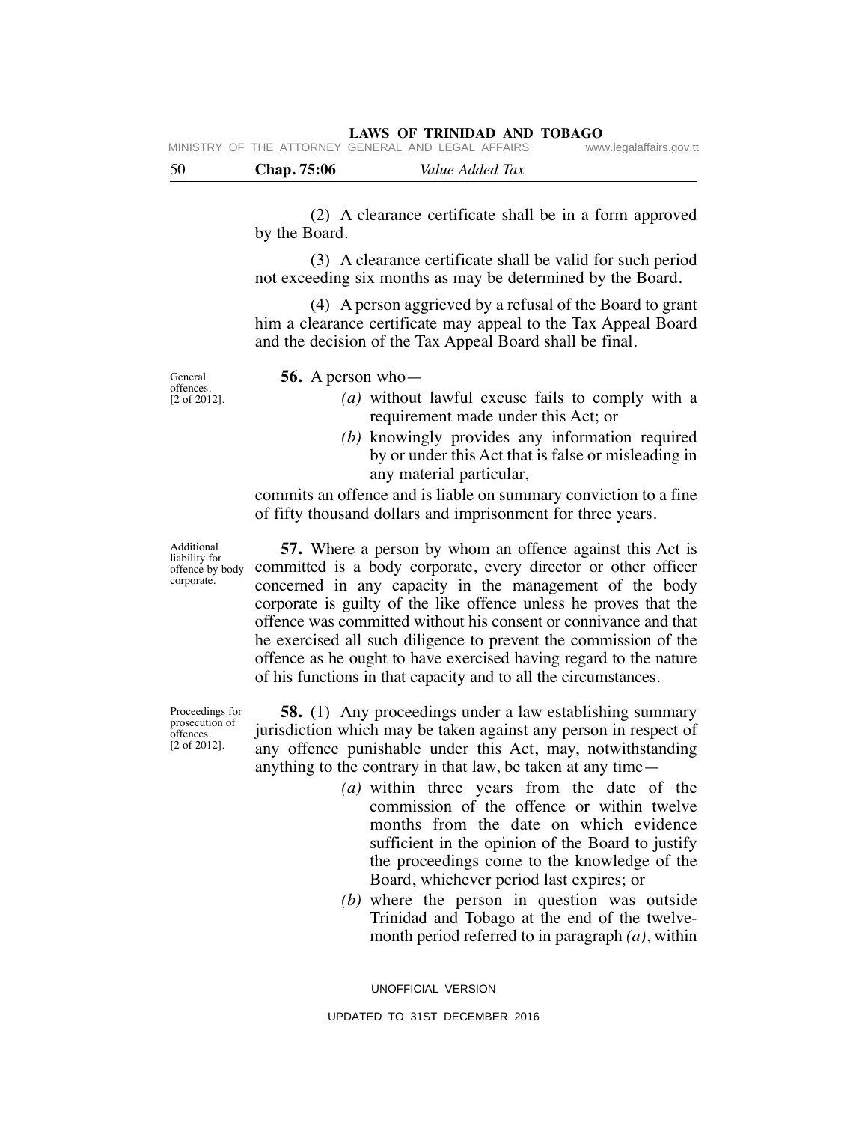| -50 | <b>Chap.</b> 75:06 | Value Added Tax                                    |                         |
|-----|--------------------|----------------------------------------------------|-------------------------|
|     |                    | MINISTRY OF THE ATTORNEY GENERAL AND LEGAL AFFAIRS | www.legalaffairs.gov.tt |

 (2) A clearance certificate shall be in a form approved by the Board.

 (3) A clearance certificate shall be valid for such period not exceeding six months as may be determined by the Board.

 (4) A person aggrieved by a refusal of the Board to grant him a clearance certificate may appeal to the Tax Appeal Board and the decision of the Tax Appeal Board shall be final.

General offences. [2 of 2012].  **56.** A person who—

- *(a)* without lawful excuse fails to comply with a requirement made under this Act; or
- *(b)* knowingly provides any information required by or under this Act that is false or misleading in any material particular,

commits an offence and is liable on summary conviction to a fine of fifty thousand dollars and imprisonment for three years.

Additional liability for offence by body corporate.

Proceedings for prosecution of offences. [2 of 2012].

 **57.** Where a person by whom an offence against this Act is committed is a body corporate, every director or other officer concerned in any capacity in the management of the body corporate is guilty of the like offence unless he proves that the offence was committed without his consent or connivance and that he exercised all such diligence to prevent the commission of the offence as he ought to have exercised having regard to the nature of his functions in that capacity and to all the circumstances.

 **58.** (1) Any proceedings under a law establishing summary jurisdiction which may be taken against any person in respect of any offence punishable under this Act, may, notwithstanding anything to the contrary in that law, be taken at any time—

- *(a)* within three years from the date of the commission of the offence or within twelve months from the date on which evidence sufficient in the opinion of the Board to justify the proceedings come to the knowledge of the Board, whichever period last expires; or
- *(b)* where the person in question was outside Trinidad and Tobago at the end of the twelvemonth period referred to in paragraph *(a)*, within

UNOFFICIAL VERSION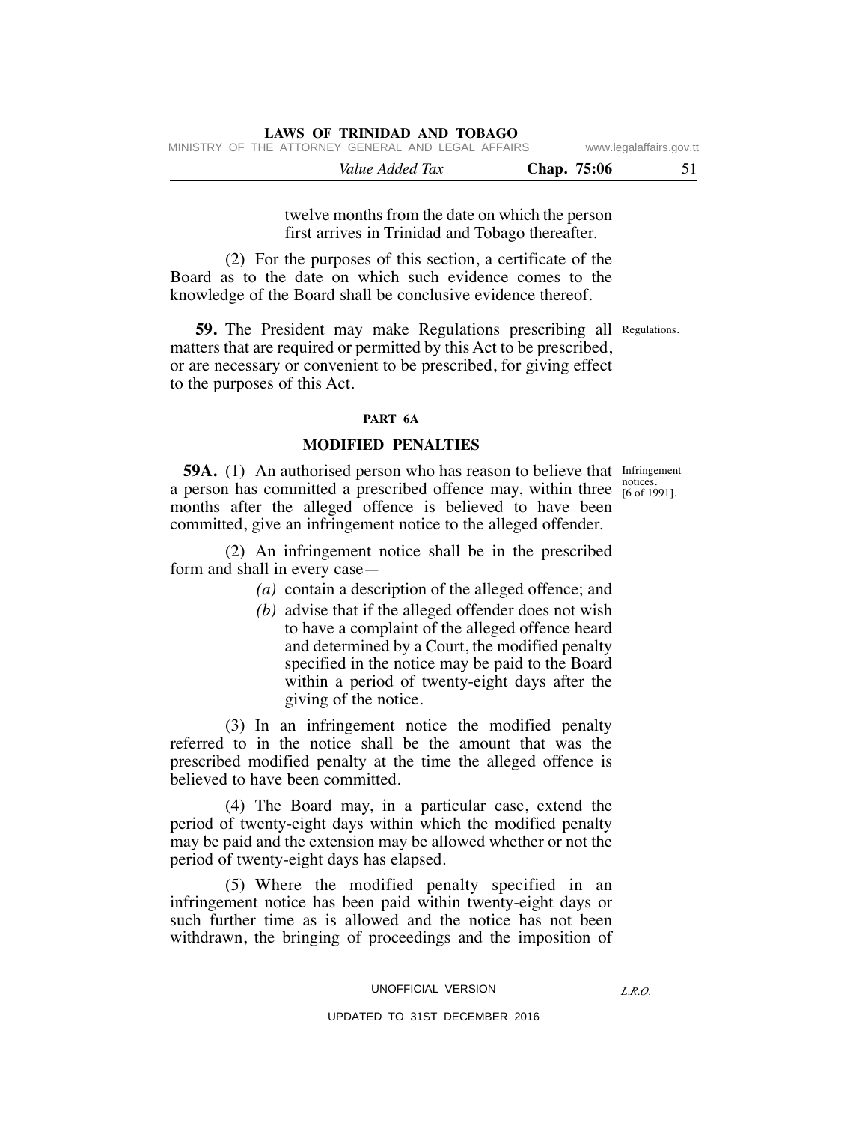| MINISTRY OF THE ATTORNEY GENERAL AND LEGAL AFFAIRS |             | www.legalaffairs.gov.tt |
|----------------------------------------------------|-------------|-------------------------|
| Value Added Tax                                    | Chap. 75:06 | 51                      |

twelve months from the date on which the person first arrives in Trinidad and Tobago thereafter.

 (2) For the purposes of this section, a certificate of the Board as to the date on which such evidence comes to the knowledge of the Board shall be conclusive evidence thereof.

**LAWS OF TRINIDAD AND TOBAGO**

**59.** The President may make Regulations prescribing all Regulations. matters that are required or permitted by this Act to be prescribed, or are necessary or convenient to be prescribed, for giving effect to the purposes of this Act.

#### **PART 6A**

### **MODIFIED PENALTIES**

[6 of 1991].

**59A.** (1) An authorised person who has reason to believe that Infringement a person has committed a prescribed offence may, within three  $\frac{\text{noise}}{[6 \text{ of } 19]}$ months after the alleged offence is believed to have been committed, give an infringement notice to the alleged offender.

 (2) An infringement notice shall be in the prescribed form and shall in every case—

- *(a)* contain a description of the alleged offence; and
- *(b)* advise that if the alleged offender does not wish to have a complaint of the alleged offence heard and determined by a Court, the modified penalty specified in the notice may be paid to the Board within a period of twenty-eight days after the giving of the notice.

 (3) In an infringement notice the modified penalty referred to in the notice shall be the amount that was the prescribed modified penalty at the time the alleged offence is believed to have been committed.

 (4) The Board may, in a particular case, extend the period of twenty-eight days within which the modified penalty may be paid and the extension may be allowed whether or not the period of twenty-eight days has elapsed.

 (5) Where the modified penalty specified in an infringement notice has been paid within twenty-eight days or such further time as is allowed and the notice has not been withdrawn, the bringing of proceedings and the imposition of

#### UNOFFICIAL VERSION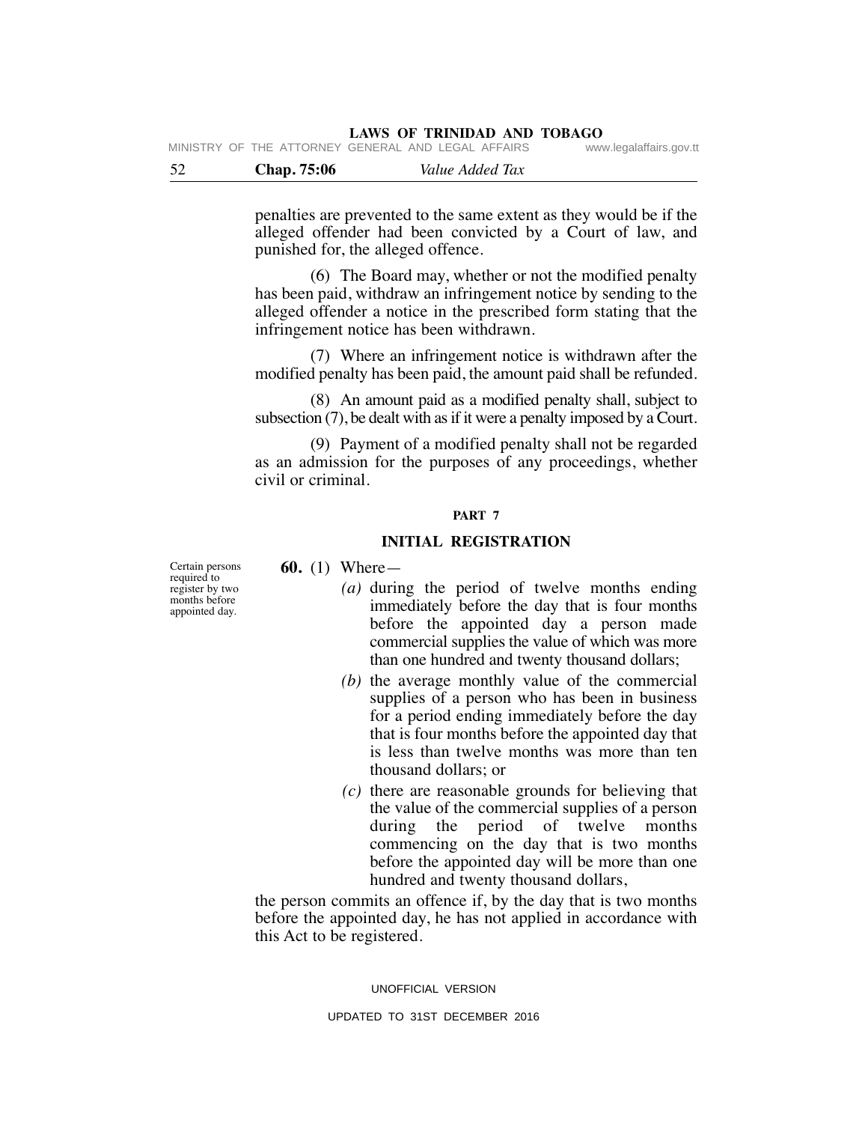**LAWS OF TRINIDAD AND TOBAGO** MINISTRY OF THE ATTORNEY

| - 52 | Chap. 75:06 | Value Added Tax                                          |                         |
|------|-------------|----------------------------------------------------------|-------------------------|
|      |             | IVIIINIOINI UFIIIL AITUNNEI ULINLINAL AIND LEUAL AFFAINO | www.icyalallallo.yuv.ll |

penalties are prevented to the same extent as they would be if the alleged offender had been convicted by a Court of law, and punished for, the alleged offence.

 (6) The Board may, whether or not the modified penalty has been paid, withdraw an infringement notice by sending to the alleged offender a notice in the prescribed form stating that the infringement notice has been withdrawn.

 (7) Where an infringement notice is withdrawn after the modified penalty has been paid, the amount paid shall be refunded.

 (8) An amount paid as a modified penalty shall, subject to subsection (7), be dealt with as if it were a penalty imposed by a Court.

 (9) Payment of a modified penalty shall not be regarded as an admission for the purposes of any proceedings, whether civil or criminal.

#### **PART 7**

#### **INITIAL REGISTRATION**

 **60.** (1) Where—

- *(a)* during the period of twelve months ending immediately before the day that is four months before the appointed day a person made commercial supplies the value of which was more than one hundred and twenty thousand dollars;
- *(b)* the average monthly value of the commercial supplies of a person who has been in business for a period ending immediately before the day that is four months before the appointed day that is less than twelve months was more than ten thousand dollars; or
- *(c)* there are reasonable grounds for believing that the value of the commercial supplies of a person during the period of twelve months commencing on the day that is two months before the appointed day will be more than one hundred and twenty thousand dollars,

the person commits an offence if, by the day that is two months before the appointed day, he has not applied in accordance with this Act to be registered.

UNOFFICIAL VERSION

Certain persons required to register by two months before appointed day.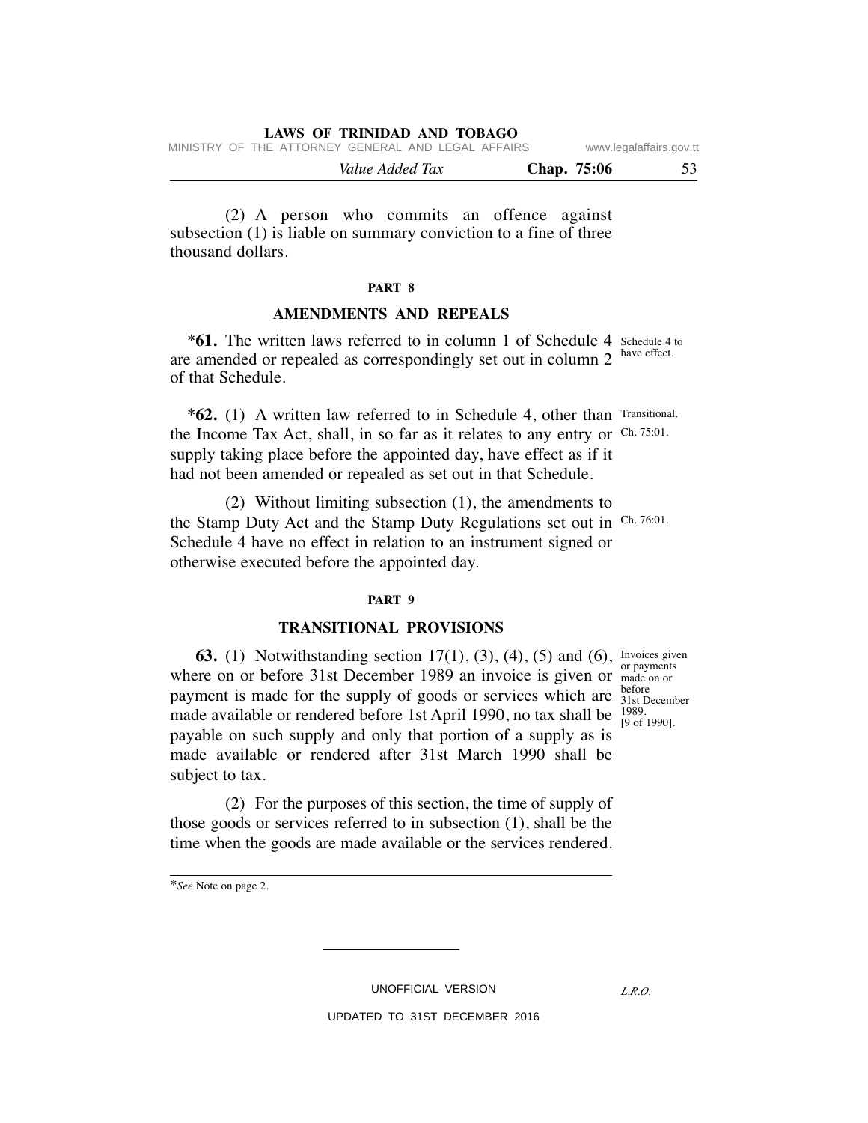|  |                                                    | Value Added Tax |  |  | Chap. 75:06 | 53                      |
|--|----------------------------------------------------|-----------------|--|--|-------------|-------------------------|
|  | MINISTRY OF THE ATTORNEY GENERAL AND LEGAL AFFAIRS |                 |  |  |             | www.legalaffairs.gov.tt |

 (2) A person who commits an offence against subsection (1) is liable on summary conviction to a fine of three thousand dollars.

#### **PART 8**

#### **AMENDMENTS AND REPEALS**

**\*61.** The written laws referred to in column 1 of Schedule 4 Schedule 4 to are amended or repealed as correspondingly set out in column 2 of that Schedule. have effect.

 **\*62.** (1) A written law referred to in Schedule 4, other than Transitional. the Income Tax Act, shall, in so far as it relates to any entry or Ch. 75:01. supply taking place before the appointed day, have effect as if it had not been amended or repealed as set out in that Schedule.

 (2) Without limiting subsection (1), the amendments to the Stamp Duty Act and the Stamp Duty Regulations set out in Ch. 76:01. Schedule 4 have no effect in relation to an instrument signed or otherwise executed before the appointed day.

#### **PART 9**

#### **TRANSITIONAL PROVISIONS**

**63.** (1) Notwithstanding section 17(1), (3), (4), (5) and (6), Invoices given where on or before 31st December 1989 an invoice is given or made on or payment is made for the supply of goods or services which are  $\frac{\text{before}}{\text{31st D}}$ made available or rendered before 1st April 1990, no tax shall be  $^{1989}_{19.05}$ payable on such supply and only that portion of a supply as is made available or rendered after 31st March 1990 shall be subject to tax.

 (2) For the purposes of this section, the time of supply of those goods or services referred to in subsection (1), shall be the time when the goods are made available or the services rendered.

\**See* Note on page 2.

UNOFFICIAL VERSION

UPDATED TO 31ST DECEMBER 2016

or payments 31st December [9 of 1990].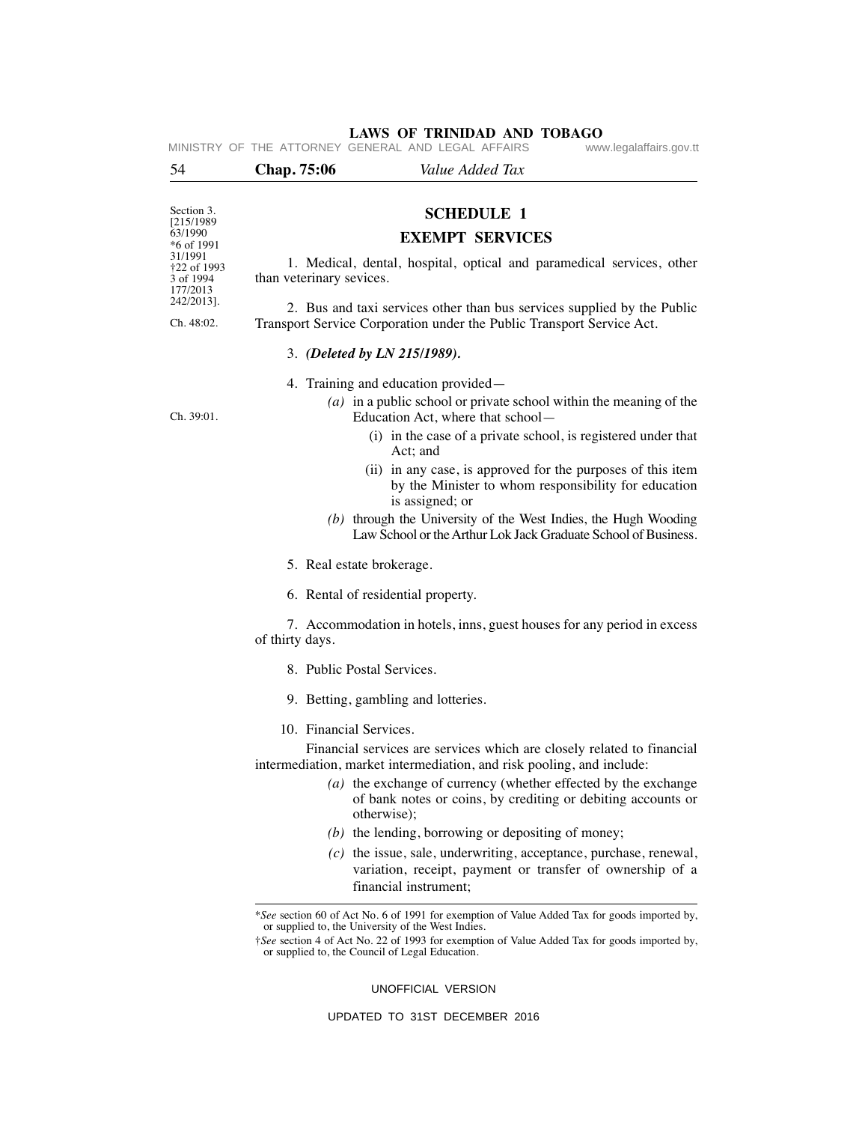| 54                                              | Chap. 75:06              | Value Added Tax                                                                                                                                                                                                                                                                                                                                                                                                                                                                                                         |
|-------------------------------------------------|--------------------------|-------------------------------------------------------------------------------------------------------------------------------------------------------------------------------------------------------------------------------------------------------------------------------------------------------------------------------------------------------------------------------------------------------------------------------------------------------------------------------------------------------------------------|
|                                                 |                          |                                                                                                                                                                                                                                                                                                                                                                                                                                                                                                                         |
| Section 3.                                      |                          | <b>SCHEDULE 1</b>                                                                                                                                                                                                                                                                                                                                                                                                                                                                                                       |
| [215/1989]<br>63/1990<br>*6 of 1991             |                          | <b>EXEMPT SERVICES</b>                                                                                                                                                                                                                                                                                                                                                                                                                                                                                                  |
| 31/1991<br>†22 of 1993<br>3 of 1994<br>177/2013 | than veterinary sevices. | 1. Medical, dental, hospital, optical and paramedical services, other                                                                                                                                                                                                                                                                                                                                                                                                                                                   |
| 242/2013].<br>Ch. 48:02.                        |                          | 2. Bus and taxi services other than bus services supplied by the Public<br>Transport Service Corporation under the Public Transport Service Act.                                                                                                                                                                                                                                                                                                                                                                        |
|                                                 |                          | 3. (Deleted by LN 215/1989).                                                                                                                                                                                                                                                                                                                                                                                                                                                                                            |
|                                                 |                          | 4. Training and education provided—                                                                                                                                                                                                                                                                                                                                                                                                                                                                                     |
| Ch. 39:01.                                      |                          | $(a)$ in a public school or private school within the meaning of the<br>Education Act, where that school-                                                                                                                                                                                                                                                                                                                                                                                                               |
|                                                 |                          | (i) in the case of a private school, is registered under that<br>Act; and                                                                                                                                                                                                                                                                                                                                                                                                                                               |
|                                                 |                          | (ii) in any case, is approved for the purposes of this item<br>by the Minister to whom responsibility for education<br>is assigned; or                                                                                                                                                                                                                                                                                                                                                                                  |
|                                                 |                          | (b) through the University of the West Indies, the Hugh Wooding<br>Law School or the Arthur Lok Jack Graduate School of Business.                                                                                                                                                                                                                                                                                                                                                                                       |
|                                                 |                          | 5. Real estate brokerage.                                                                                                                                                                                                                                                                                                                                                                                                                                                                                               |
|                                                 |                          | 6. Rental of residential property.                                                                                                                                                                                                                                                                                                                                                                                                                                                                                      |
|                                                 | of thirty days.          | 7. Accommodation in hotels, inns, guest houses for any period in excess                                                                                                                                                                                                                                                                                                                                                                                                                                                 |
|                                                 |                          | 8. Public Postal Services.                                                                                                                                                                                                                                                                                                                                                                                                                                                                                              |
|                                                 |                          | 9. Betting, gambling and lotteries.                                                                                                                                                                                                                                                                                                                                                                                                                                                                                     |
|                                                 | 10. Financial Services.  |                                                                                                                                                                                                                                                                                                                                                                                                                                                                                                                         |
|                                                 |                          | Financial services are services which are closely related to financial<br>intermediation, market intermediation, and risk pooling, and include:<br>$(a)$ the exchange of currency (whether effected by the exchange<br>of bank notes or coins, by crediting or debiting accounts or<br>otherwise);<br>$(b)$ the lending, borrowing or depositing of money;<br>$(c)$ the issue, sale, underwriting, acceptance, purchase, renewal,<br>variation, receipt, payment or transfer of ownership of a<br>financial instrument; |
|                                                 |                          | *See section 60 of Act No. 6 of 1991 for exemption of Value Added Tax for goods imported by,<br>or supplied to, the University of the West Indies.<br><i>†See</i> section 4 of Act No. 22 of 1993 for exemption of Value Added Tax for goods imported by,<br>or supplied to, the Council of Legal Education.                                                                                                                                                                                                            |

UNOFFICIAL VERSION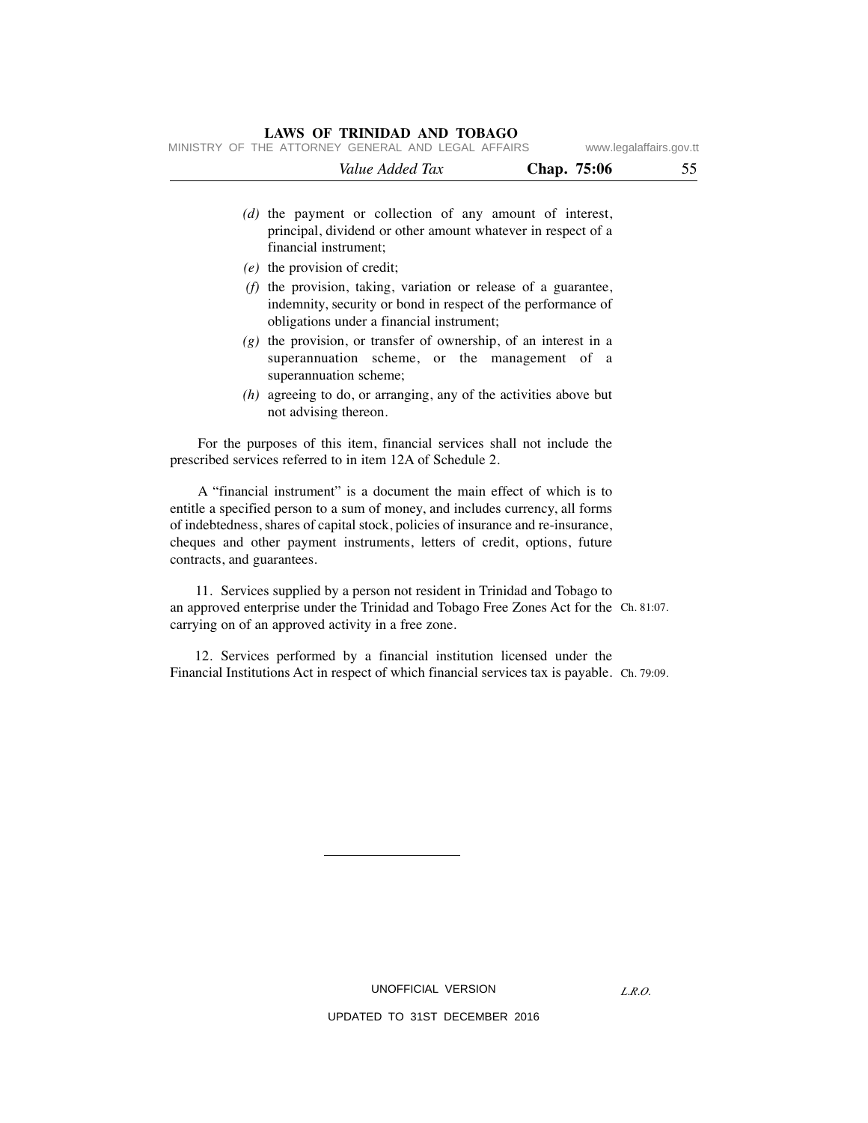| MINISTRY OF THE ATTORNEY GENERAL AND LEGAL AFFAIRS |                                                                                                                          |             | www.legalaffairs.gov.tt |
|----------------------------------------------------|--------------------------------------------------------------------------------------------------------------------------|-------------|-------------------------|
|                                                    | Value Added Tax                                                                                                          | Chap. 75:06 | 55                      |
| financial instrument;                              | (d) the payment or collection of any amount of interest,<br>principal, dividend or other amount whatever in respect of a |             |                         |

- *(e)* the provision of credit;
- *(f)* the provision, taking, variation or release of a guarantee, indemnity, security or bond in respect of the performance of obligations under a financial instrument;
- *(g)* the provision, or transfer of ownership, of an interest in a superannuation scheme, or the management of a superannuation scheme;
- *(h)* agreeing to do, or arranging, any of the activities above but not advising thereon.

 For the purposes of this item, financial services shall not include the prescribed services referred to in item 12A of Schedule 2.

 A "financial instrument" is a document the main effect of which is to entitle a specified person to a sum of money, and includes currency, all forms of indebtedness, shares of capital stock, policies of insurance and re-insurance, cheques and other payment instruments, letters of credit, options, future contracts, and guarantees.

 11. Services supplied by a person not resident in Trinidad and Tobago to an approved enterprise under the Trinidad and Tobago Free Zones Act for the Ch. 81:07. carrying on of an approved activity in a free zone.

 12. Services performed by a financial institution licensed under the Financial Institutions Act in respect of which financial services tax is payable. Ch. 79:09.

UNOFFICIAL VERSION

UPDATED TO 31ST DECEMBER 2016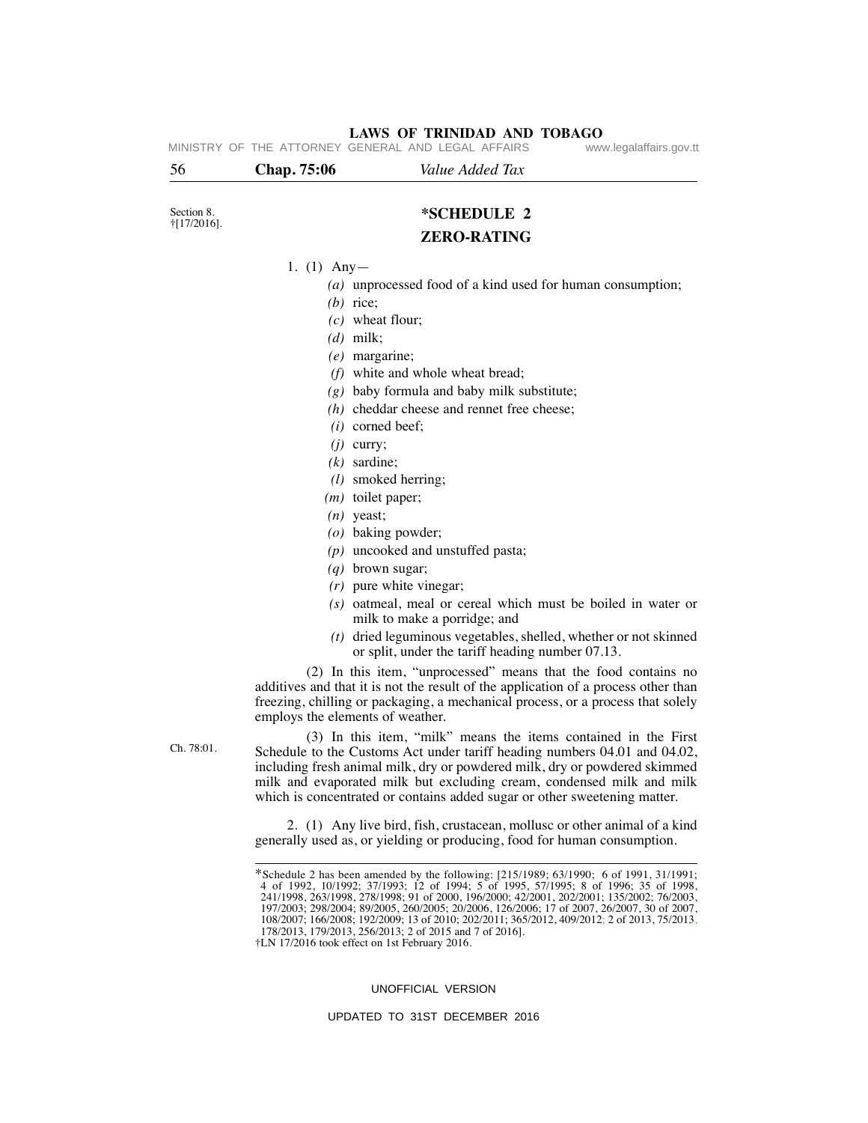| 56                                 | Chap. 75:06   | Value Added Tax                                                                                                                                                                                                                                                                                                                                                                  |
|------------------------------------|---------------|----------------------------------------------------------------------------------------------------------------------------------------------------------------------------------------------------------------------------------------------------------------------------------------------------------------------------------------------------------------------------------|
|                                    |               |                                                                                                                                                                                                                                                                                                                                                                                  |
| Section 8.<br>$\dagger$ [17/2016]. |               | *SCHEDULE 2                                                                                                                                                                                                                                                                                                                                                                      |
|                                    |               | <b>ZERO-RATING</b>                                                                                                                                                                                                                                                                                                                                                               |
|                                    | 1. (1) $Any-$ |                                                                                                                                                                                                                                                                                                                                                                                  |
|                                    |               | (a) unprocessed food of a kind used for human consumption;                                                                                                                                                                                                                                                                                                                       |
|                                    |               | $(b)$ rice;                                                                                                                                                                                                                                                                                                                                                                      |
|                                    |               | $(c)$ wheat flour;                                                                                                                                                                                                                                                                                                                                                               |
|                                    |               | $(d)$ milk;                                                                                                                                                                                                                                                                                                                                                                      |
|                                    |               | $(e)$ margarine;                                                                                                                                                                                                                                                                                                                                                                 |
|                                    |               | (f) white and whole wheat bread;                                                                                                                                                                                                                                                                                                                                                 |
|                                    |               | $(g)$ baby formula and baby milk substitute;                                                                                                                                                                                                                                                                                                                                     |
|                                    |               | $(h)$ cheddar cheese and rennet free cheese;                                                                                                                                                                                                                                                                                                                                     |
|                                    |               | $(i)$ corned beef;                                                                                                                                                                                                                                                                                                                                                               |
|                                    |               | $(j)$ curry;                                                                                                                                                                                                                                                                                                                                                                     |
|                                    |               | $(k)$ sardine;                                                                                                                                                                                                                                                                                                                                                                   |
|                                    |               | $(l)$ smoked herring;                                                                                                                                                                                                                                                                                                                                                            |
|                                    |               | $(m)$ toilet paper;                                                                                                                                                                                                                                                                                                                                                              |
|                                    |               | $(n)$ yeast;                                                                                                                                                                                                                                                                                                                                                                     |
|                                    |               | (o) baking powder;                                                                                                                                                                                                                                                                                                                                                               |
|                                    |               | $(p)$ uncooked and unstuffed pasta;                                                                                                                                                                                                                                                                                                                                              |
|                                    |               | $(q)$ brown sugar;                                                                                                                                                                                                                                                                                                                                                               |
|                                    |               | $(r)$ pure white vinegar;                                                                                                                                                                                                                                                                                                                                                        |
|                                    |               | (s) oatmeal, meal or cereal which must be boiled in water or<br>milk to make a porridge; and                                                                                                                                                                                                                                                                                     |
|                                    |               | $(t)$ dried leguminous vegetables, shelled, whether or not skinned<br>or split, under the tariff heading number 07.13.                                                                                                                                                                                                                                                           |
|                                    |               | (2) In this item, "unprocessed" means that the food contains no<br>additives and that it is not the result of the application of a process other than<br>freezing, chilling or packaging, a mechanical process, or a process that solely<br>employs the elements of weather.                                                                                                     |
| Ch. 78:01.                         |               | (3) In this item, "milk" means the items contained in the First<br>Schedule to the Customs Act under tariff heading numbers 04.01 and 04.02,<br>including fresh animal milk, dry or powdered milk, dry or powdered skimmed<br>milk and evaporated milk but excluding cream, condensed milk and milk<br>which is concentrated or contains added sugar or other sweetening matter. |
|                                    |               | 2. (1) Any live bird, fish, crustacean, mollusc or other animal of a kind<br>generally used as, or yielding or producing, food for human consumption.                                                                                                                                                                                                                            |
|                                    |               | *Schedule 2 has been amended by the following: [215/1989; 63/1990; 6 of 1991, 31/1991;<br>4 of 1992, 10/1992; 37/1993; 12 of 1994; 5 of 1995, 57/1995; 8 of 1996; 35 of 1998,<br>241/1998, 263/1998, 278/1998; 91 of 2000, 196/2000; 42/2001, 202/2001; 135/2002; 76/2003,                                                                                                       |

178/2013, 179/2013, 256/2013; 2 of 2015 and 7 of 2016]. †LN 17/2016 took effect on 1st February 2016.

#### UNOFFICIAL VERSION

197/2003; 298/2004; 89/2005, 260/2005; 20/2006, 126/2006; 17 of 2007, 26/2007, 30 of 2007, 108/2007; 166/2008; 192/2009; 13 of 2010; 202/2011; 365/2012, 409/2012; 2 of 2013, 75/2013,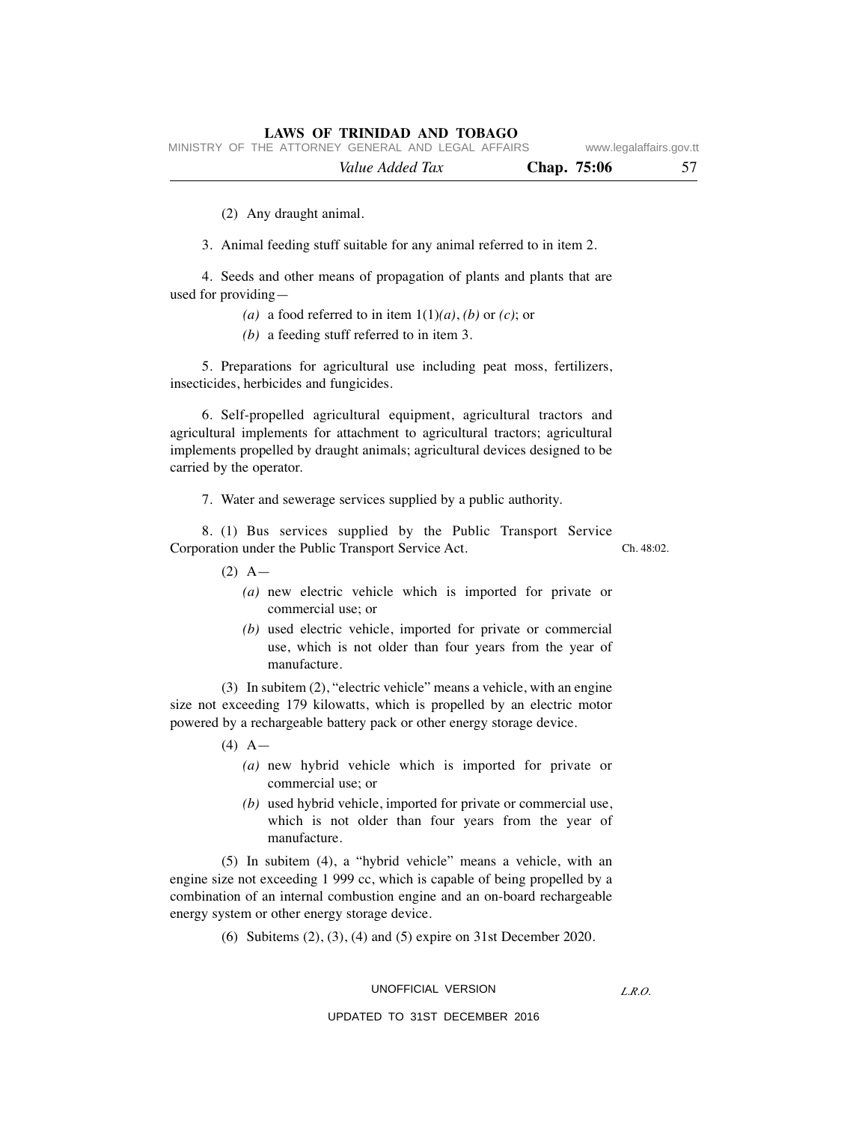|  |                                                    | Value Added Tax |  | Chap. 75:06 | 57                      |
|--|----------------------------------------------------|-----------------|--|-------------|-------------------------|
|  | MINISTRY OF THE ATTORNEY GENERAL AND LEGAL AFFAIRS |                 |  |             | www.legalaffairs.gov.tt |

(2) Any draught animal.

3. Animal feeding stuff suitable for any animal referred to in item 2.

 4. Seeds and other means of propagation of plants and plants that are used for providing—

- (a) a food referred to in item  $1(1)(a)$ , *(b)* or *(c)*; or
- *(b)* a feeding stuff referred to in item 3.

 5. Preparations for agricultural use including peat moss, fertilizers, insecticides, herbicides and fungicides.

 6. Self-propelled agricultural equipment, agricultural tractors and agricultural implements for attachment to agricultural tractors; agricultural implements propelled by draught animals; agricultural devices designed to be carried by the operator.

7. Water and sewerage services supplied by a public authority.

 8. (1) Bus services supplied by the Public Transport Service Corporation under the Public Transport Service Act.

 $Ch$  48:02.

- $(2)$  A
	- *(a)* new electric vehicle which is imported for private or commercial use; or
	- *(b)* used electric vehicle, imported for private or commercial use, which is not older than four years from the year of manufacture.

 (3) In subitem (2), "electric vehicle" means a vehicle, with an engine size not exceeding 179 kilowatts, which is propelled by an electric motor powered by a rechargeable battery pack or other energy storage device.

- $(4)$  A
	- *(a)* new hybrid vehicle which is imported for private or commercial use; or
	- *(b)* used hybrid vehicle, imported for private or commercial use, which is not older than four years from the year of manufacture.

 (5) In subitem (4), a "hybrid vehicle" means a vehicle, with an engine size not exceeding 1 999 cc, which is capable of being propelled by a combination of an internal combustion engine and an on-board rechargeable energy system or other energy storage device.

(6) Subitems (2), (3), (4) and (5) expire on 31st December 2020.

#### UNOFFICIAL VERSION

*L.R.O.*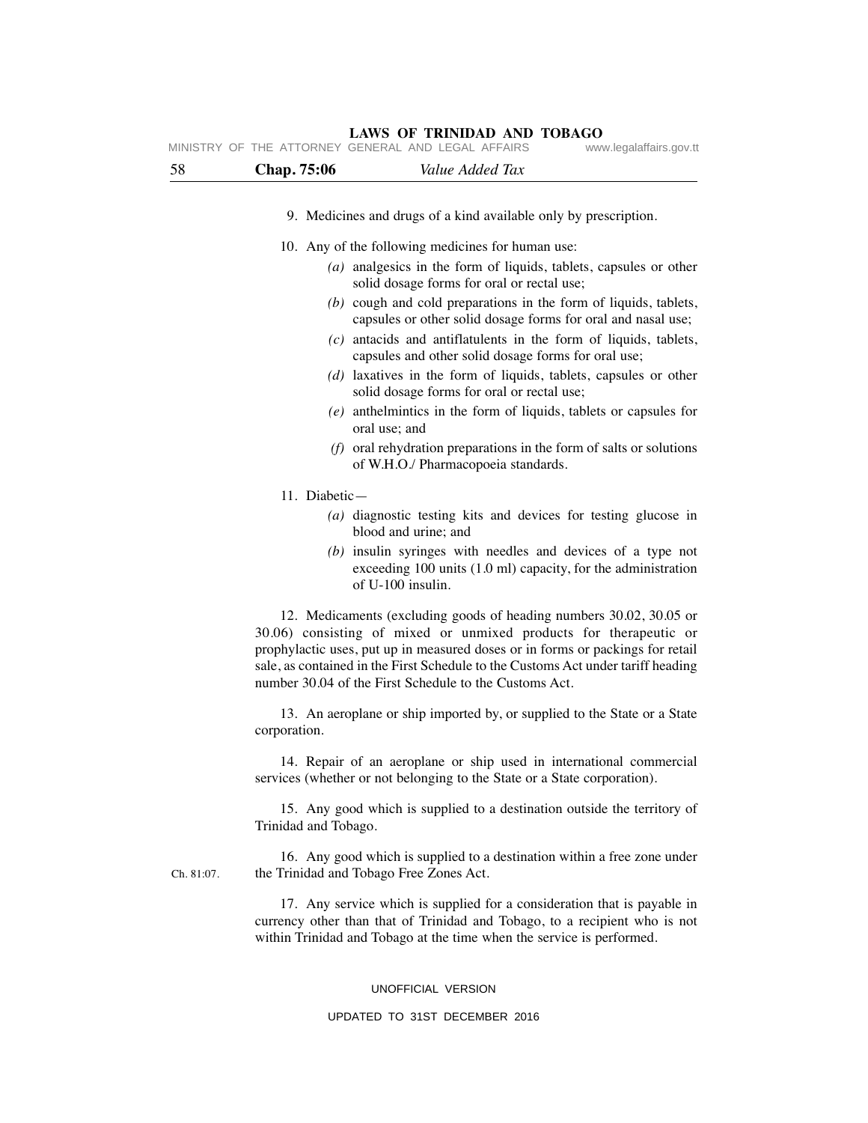#### **LAWS OF TRINIDAD AND TOBAGO** MINISTRY OF THE ATTORNEY GENERAL AND LEGAL AFFAIRS www.legalaffairs.gov.tt

| 58         | Value Added Tax<br>Chap. 75:06                                                                                                                                                                                                                                                                                                                                                                                                                                                                                                                                                                                                                                                                                                 |
|------------|--------------------------------------------------------------------------------------------------------------------------------------------------------------------------------------------------------------------------------------------------------------------------------------------------------------------------------------------------------------------------------------------------------------------------------------------------------------------------------------------------------------------------------------------------------------------------------------------------------------------------------------------------------------------------------------------------------------------------------|
|            | 9. Medicines and drugs of a kind available only by prescription.                                                                                                                                                                                                                                                                                                                                                                                                                                                                                                                                                                                                                                                               |
|            | 10. Any of the following medicines for human use:<br>$(a)$ analgesics in the form of liquids, tablets, capsules or other<br>solid dosage forms for oral or rectal use;<br>$(b)$ cough and cold preparations in the form of liquids, tablets,<br>capsules or other solid dosage forms for oral and nasal use;<br>$(c)$ antacids and antiflatulents in the form of liquids, tablets,<br>capsules and other solid dosage forms for oral use;<br>$(d)$ laxatives in the form of liquids, tablets, capsules or other<br>solid dosage forms for oral or rectal use;<br>$(e)$ anthelmintics in the form of liquids, tablets or capsules for<br>oral use; and<br>$(f)$ oral rehydration preparations in the form of salts or solutions |
|            | of W.H.O./ Pharmacopoeia standards.                                                                                                                                                                                                                                                                                                                                                                                                                                                                                                                                                                                                                                                                                            |
|            | 11. Diabetic-                                                                                                                                                                                                                                                                                                                                                                                                                                                                                                                                                                                                                                                                                                                  |
|            | (a) diagnostic testing kits and devices for testing glucose in<br>blood and urine; and                                                                                                                                                                                                                                                                                                                                                                                                                                                                                                                                                                                                                                         |
|            | $(b)$ insulin syringes with needles and devices of a type not<br>exceeding $100$ units $(1.0 \text{ ml})$ capacity, for the administration<br>of U-100 insulin.                                                                                                                                                                                                                                                                                                                                                                                                                                                                                                                                                                |
|            | 12. Medicaments (excluding goods of heading numbers 30.02, 30.05 or<br>30.06) consisting of mixed or unmixed products for therapeutic or<br>prophylactic uses, put up in measured doses or in forms or packings for retail<br>sale, as contained in the First Schedule to the Customs Act under tariff heading<br>number 30.04 of the First Schedule to the Customs Act.                                                                                                                                                                                                                                                                                                                                                       |
|            | 13. An aeroplane or ship imported by, or supplied to the State or a State<br>corporation.                                                                                                                                                                                                                                                                                                                                                                                                                                                                                                                                                                                                                                      |
|            | 14. Repair of an aeroplane or ship used in international commercial<br>services (whether or not belonging to the State or a State corporation).                                                                                                                                                                                                                                                                                                                                                                                                                                                                                                                                                                                |
|            | 15. Any good which is supplied to a destination outside the territory of<br>Trinidad and Tobago.                                                                                                                                                                                                                                                                                                                                                                                                                                                                                                                                                                                                                               |
| Ch. 81:07. | 16. Any good which is supplied to a destination within a free zone under<br>the Trinidad and Tobago Free Zones Act.                                                                                                                                                                                                                                                                                                                                                                                                                                                                                                                                                                                                            |
|            | 17. Any service which is supplied for a consideration that is payable in<br>currency other than that of Trinidad and Tobago, to a recipient who is not<br>within Trinidad and Tobago at the time when the service is performed.                                                                                                                                                                                                                                                                                                                                                                                                                                                                                                |

#### UNOFFICIAL VERSION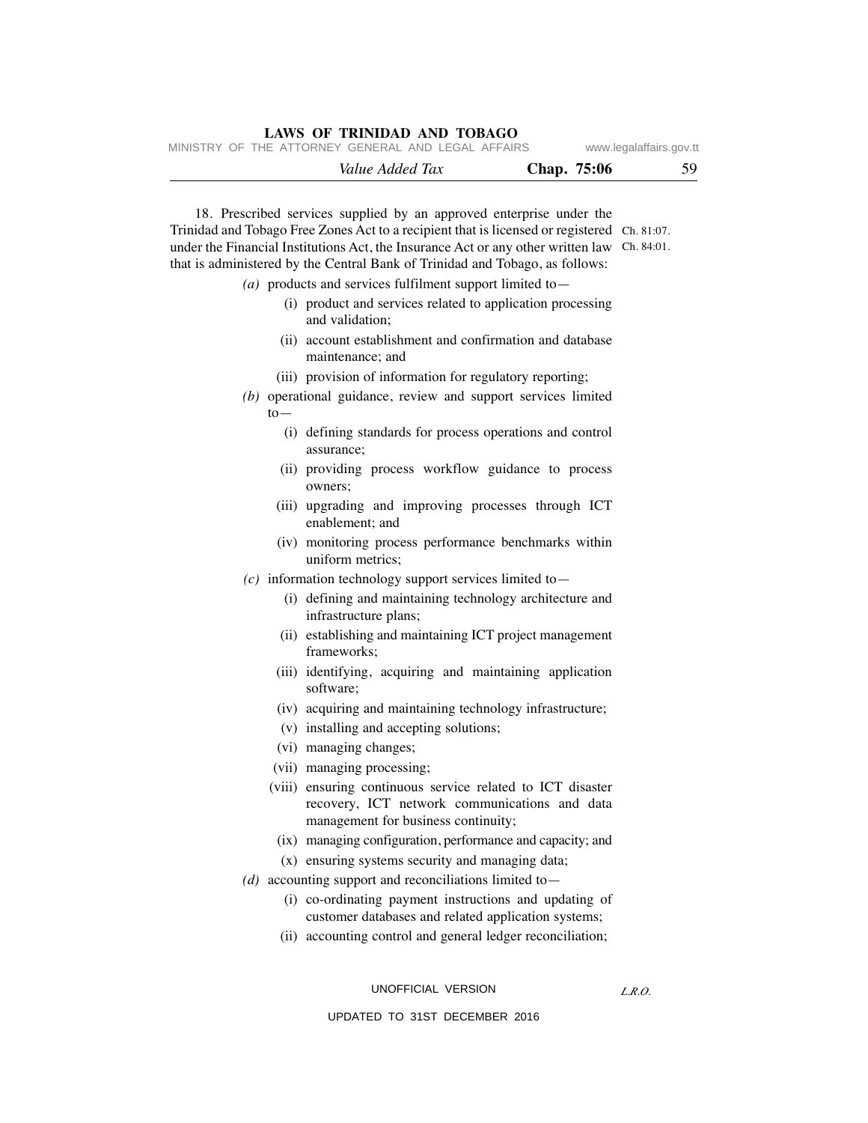|  |                                                    | Value Added Tax |  | <b>Chap.</b> 75:06 | 59                      |
|--|----------------------------------------------------|-----------------|--|--------------------|-------------------------|
|  | MINISTRY OF THE ATTORNEY GENERAL AND LEGAL AFFAIRS |                 |  |                    | www.legalaffairs.gov.tt |

 18. Prescribed services supplied by an approved enterprise under the Trinidad and Tobago Free Zones Act to a recipient that is licensed or registered Ch. 81:07. under the Financial Institutions Act, the Insurance Act or any other written law Ch. 84:01. that is administered by the Central Bank of Trinidad and Tobago, as follows:

- *(a)* products and services fulfilment support limited to—
	- (i) product and services related to application processing and validation;
	- (ii) account establishment and confirmation and database maintenance; and
	- (iii) provision of information for regulatory reporting;
- *(b)* operational guidance, review and support services limited to—
	- (i) defining standards for process operations and control assurance;
	- (ii) providing process workflow guidance to process owners;
	- (iii) upgrading and improving processes through ICT enablement; and
	- (iv) monitoring process performance benchmarks within uniform metrics;
- *(c)* information technology support services limited to—
	- (i) defining and maintaining technology architecture and infrastructure plans;
	- (ii) establishing and maintaining ICT project management frameworks;
	- (iii) identifying, acquiring and maintaining application software;
	- (iv) acquiring and maintaining technology infrastructure;
	- (v) installing and accepting solutions;
	- (vi) managing changes;
	- (vii) managing processing;
	- (viii) ensuring continuous service related to ICT disaster recovery, ICT network communications and data management for business continuity;
	- (ix) managing configuration, performance and capacity; and
	- (x) ensuring systems security and managing data;
- *(d)* accounting support and reconciliations limited to—
	- (i) co-ordinating payment instructions and updating of customer databases and related application systems;
	- (ii) accounting control and general ledger reconciliation;

UNOFFICIAL VERSION

*L.R.O.*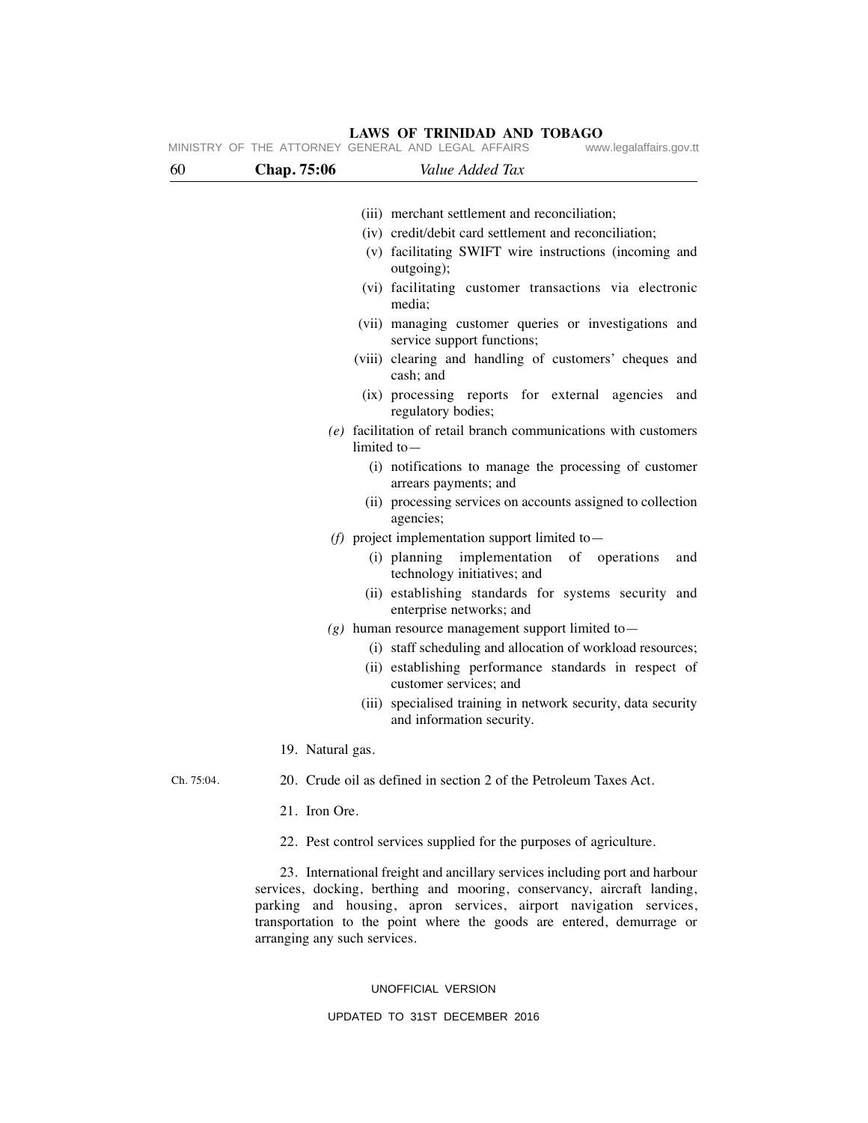|            |                  | MINISTRY OF THE ATTORNEY GENERAL AND LEGAL AFFAIRS<br>www.legalaffairs.gov.tt                                                                                                                                                                                                                        |
|------------|------------------|------------------------------------------------------------------------------------------------------------------------------------------------------------------------------------------------------------------------------------------------------------------------------------------------------|
| 60         | Chap. 75:06      | Value Added Tax                                                                                                                                                                                                                                                                                      |
|            |                  |                                                                                                                                                                                                                                                                                                      |
|            |                  | (iii) merchant settlement and reconciliation;                                                                                                                                                                                                                                                        |
|            |                  | (iv) credit/debit card settlement and reconciliation;                                                                                                                                                                                                                                                |
|            |                  | (v) facilitating SWIFT wire instructions (incoming and<br>outgoing);                                                                                                                                                                                                                                 |
|            |                  | (vi) facilitating customer transactions via electronic<br>media;                                                                                                                                                                                                                                     |
|            |                  | (vii) managing customer queries or investigations and<br>service support functions;                                                                                                                                                                                                                  |
|            |                  | (viii) clearing and handling of customers' cheques and<br>cash; and                                                                                                                                                                                                                                  |
|            |                  | (ix) processing reports for external agencies<br>and<br>regulatory bodies;                                                                                                                                                                                                                           |
|            |                  | $(e)$ facilitation of retail branch communications with customers<br>limited to $-$                                                                                                                                                                                                                  |
|            |                  | (i) notifications to manage the processing of customer<br>arrears payments; and                                                                                                                                                                                                                      |
|            |                  | (ii) processing services on accounts assigned to collection<br>agencies;                                                                                                                                                                                                                             |
|            |                  | (f) project implementation support limited to $-$                                                                                                                                                                                                                                                    |
|            |                  | (i) planning implementation<br>of operations<br>and<br>technology initiatives; and                                                                                                                                                                                                                   |
|            |                  | (ii) establishing standards for systems security and<br>enterprise networks; and                                                                                                                                                                                                                     |
|            |                  | $(g)$ human resource management support limited to -                                                                                                                                                                                                                                                 |
|            |                  | (i) staff scheduling and allocation of workload resources;                                                                                                                                                                                                                                           |
|            |                  | (ii) establishing performance standards in respect of<br>customer services; and                                                                                                                                                                                                                      |
|            |                  | (iii) specialised training in network security, data security<br>and information security.                                                                                                                                                                                                           |
|            | 19. Natural gas. |                                                                                                                                                                                                                                                                                                      |
| Ch. 75:04. |                  | 20. Crude oil as defined in section 2 of the Petroleum Taxes Act.                                                                                                                                                                                                                                    |
|            | 21. Iron Ore.    |                                                                                                                                                                                                                                                                                                      |
|            |                  | 22. Pest control services supplied for the purposes of agriculture.                                                                                                                                                                                                                                  |
|            |                  | 23. International freight and ancillary services including port and harbour<br>services, docking, berthing and mooring, conservancy, aircraft landing,<br>parking and housing, apron services, airport navigation services,<br>transportation to the point where the goods are entered, demurrage or |

#### UNOFFICIAL VERSION

arranging any such services.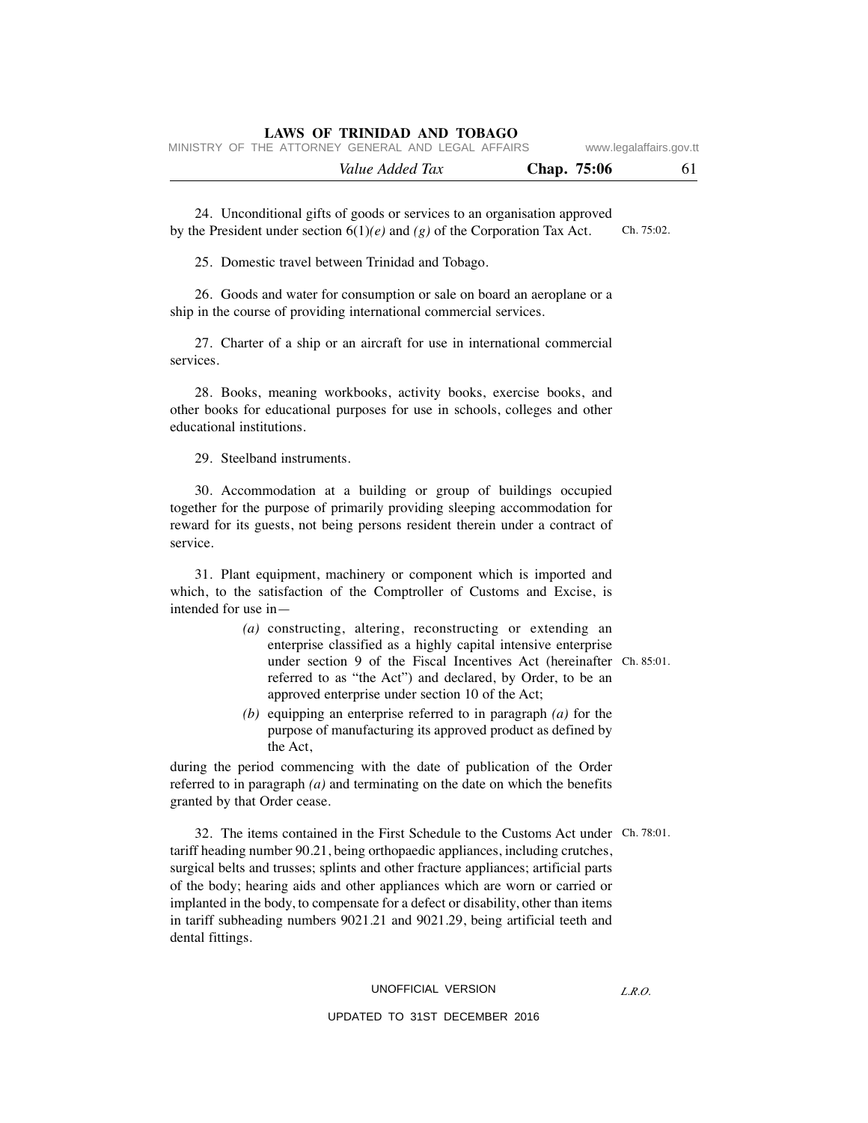|                                                    | LAWS OF IKINIDAD AND TODAGO |                 |  |             |                         |
|----------------------------------------------------|-----------------------------|-----------------|--|-------------|-------------------------|
| MINISTRY OF THE ATTORNEY GENERAL AND LEGAL AFFAIRS |                             |                 |  |             | www.legalaffairs.gov.tt |
|                                                    |                             | Value Added Tax |  | Chap. 75:06 | -61                     |

 24. Unconditional gifts of goods or services to an organisation approved by the President under section 6(1)*(e)* and *(g)* of the Corporation Tax Act. Ch. 75:02.

25. Domestic travel between Trinidad and Tobago.

 26. Goods and water for consumption or sale on board an aeroplane or a ship in the course of providing international commercial services.

**LAWS OF TRINIDAD AND TOBAGO**

 27. Charter of a ship or an aircraft for use in international commercial services.

 28. Books, meaning workbooks, activity books, exercise books, and other books for educational purposes for use in schools, colleges and other educational institutions.

29. Steelband instruments.

 30. Accommodation at a building or group of buildings occupied together for the purpose of primarily providing sleeping accommodation for reward for its guests, not being persons resident therein under a contract of service.

 31. Plant equipment, machinery or component which is imported and which, to the satisfaction of the Comptroller of Customs and Excise, is intended for use in—

- *(a)* constructing, altering, reconstructing or extending an enterprise classified as a highly capital intensive enterprise under section 9 of the Fiscal Incentives Act (hereinafter Ch. 85:01. referred to as "the Act") and declared, by Order, to be an approved enterprise under section 10 of the Act;
- *(b)* equipping an enterprise referred to in paragraph *(a)* for the purpose of manufacturing its approved product as defined by the Act,

during the period commencing with the date of publication of the Order referred to in paragraph *(a)* and terminating on the date on which the benefits granted by that Order cease.

 32. The items contained in the First Schedule to the Customs Act under Ch. 78:01. tariff heading number 90.21, being orthopaedic appliances, including crutches, surgical belts and trusses; splints and other fracture appliances; artificial parts of the body; hearing aids and other appliances which are worn or carried or implanted in the body, to compensate for a defect or disability, other than items in tariff subheading numbers 9021.21 and 9021.29, being artificial teeth and dental fittings.

#### UNOFFICIAL VERSION

#### UPDATED TO 31ST DECEMBER 2016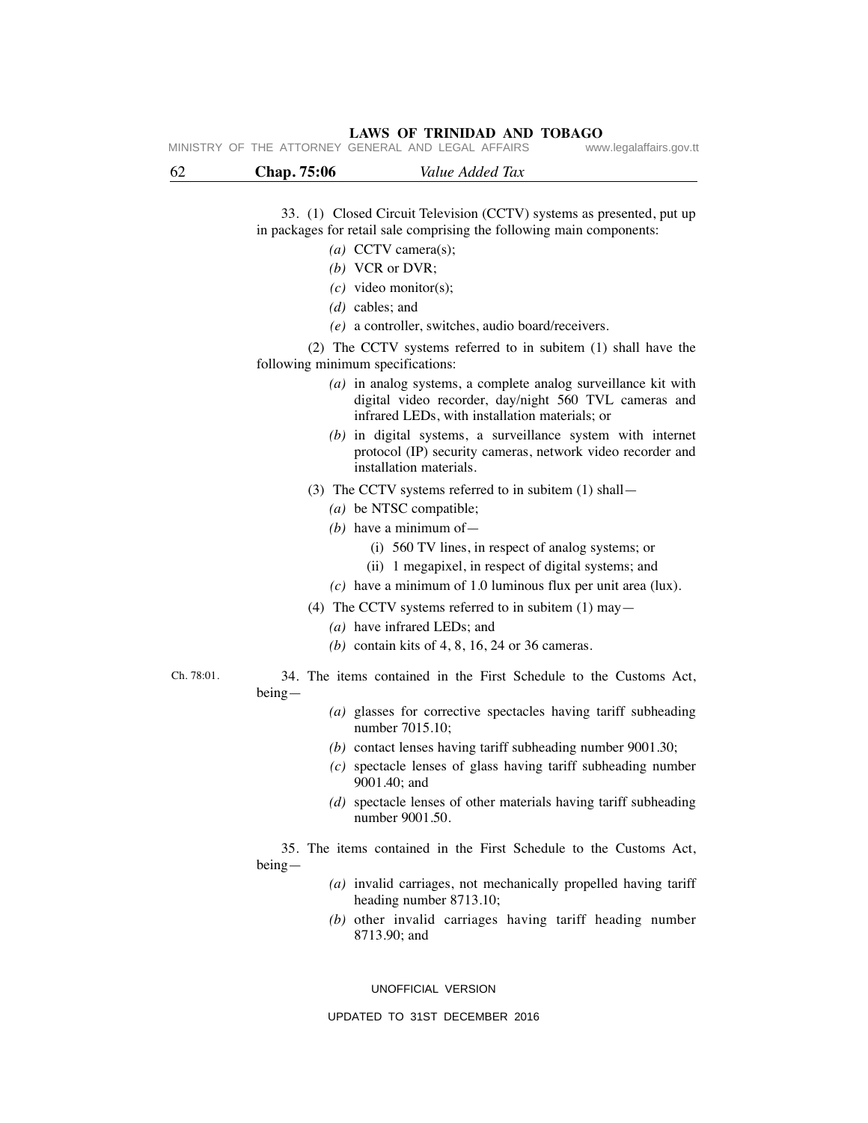| 62         | Chap. 75:06<br>Value Added Tax                                                                                                                                              |
|------------|-----------------------------------------------------------------------------------------------------------------------------------------------------------------------------|
|            |                                                                                                                                                                             |
|            | 33. (1) Closed Circuit Television (CCTV) systems as presented, put up                                                                                                       |
|            | in packages for retail sale comprising the following main components:                                                                                                       |
|            | (a) CCTV camera(s);                                                                                                                                                         |
|            | $(b)$ VCR or DVR;                                                                                                                                                           |
|            | $(c)$ video monitor(s);                                                                                                                                                     |
|            | $(d)$ cables; and                                                                                                                                                           |
|            | $(e)$ a controller, switches, audio board/receivers.                                                                                                                        |
|            | (2) The CCTV systems referred to in subitem (1) shall have the                                                                                                              |
|            | following minimum specifications:                                                                                                                                           |
|            | $(a)$ in analog systems, a complete analog surveillance kit with<br>digital video recorder, day/night 560 TVL cameras and<br>infrared LEDs, with installation materials; or |
|            | $(b)$ in digital systems, a surveillance system with internet<br>protocol (IP) security cameras, network video recorder and<br>installation materials.                      |
|            | (3) The CCTV systems referred to in subitem (1) shall -                                                                                                                     |
|            | $(a)$ be NTSC compatible;                                                                                                                                                   |
|            | (b) have a minimum of $-$                                                                                                                                                   |
|            | (i) 560 TV lines, in respect of analog systems; or                                                                                                                          |
|            | (ii) 1 megapixel, in respect of digital systems; and                                                                                                                        |
|            | $(c)$ have a minimum of 1.0 luminous flux per unit area (lux).                                                                                                              |
|            | (4) The CCTV systems referred to in subitem $(1)$ may -                                                                                                                     |
|            | $(a)$ have infrared LEDs; and                                                                                                                                               |
|            | (b) contain kits of $4, 8, 16, 24$ or 36 cameras.                                                                                                                           |
| Ch. 78:01. | 34. The items contained in the First Schedule to the Customs Act,<br>$being-$                                                                                               |
|            | (a) glasses for corrective spectacles having tariff subheading<br>number 7015.10;                                                                                           |
|            | $(b)$ contact lenses having tariff subheading number 9001.30;                                                                                                               |
|            | $(c)$ spectacle lenses of glass having tariff subheading number<br>9001.40; and                                                                                             |
|            | (d) spectacle lenses of other materials having tariff subheading<br>number 9001.50.                                                                                         |
|            | 35. The items contained in the First Schedule to the Customs Act,<br>$being-$                                                                                               |
|            | (a) invalid carriages, not mechanically propelled having tariff<br>heading number 8713.10;                                                                                  |
|            | $(b)$ other invalid carriages having tariff heading number<br>8713.90; and                                                                                                  |

UNOFFICIAL VERSION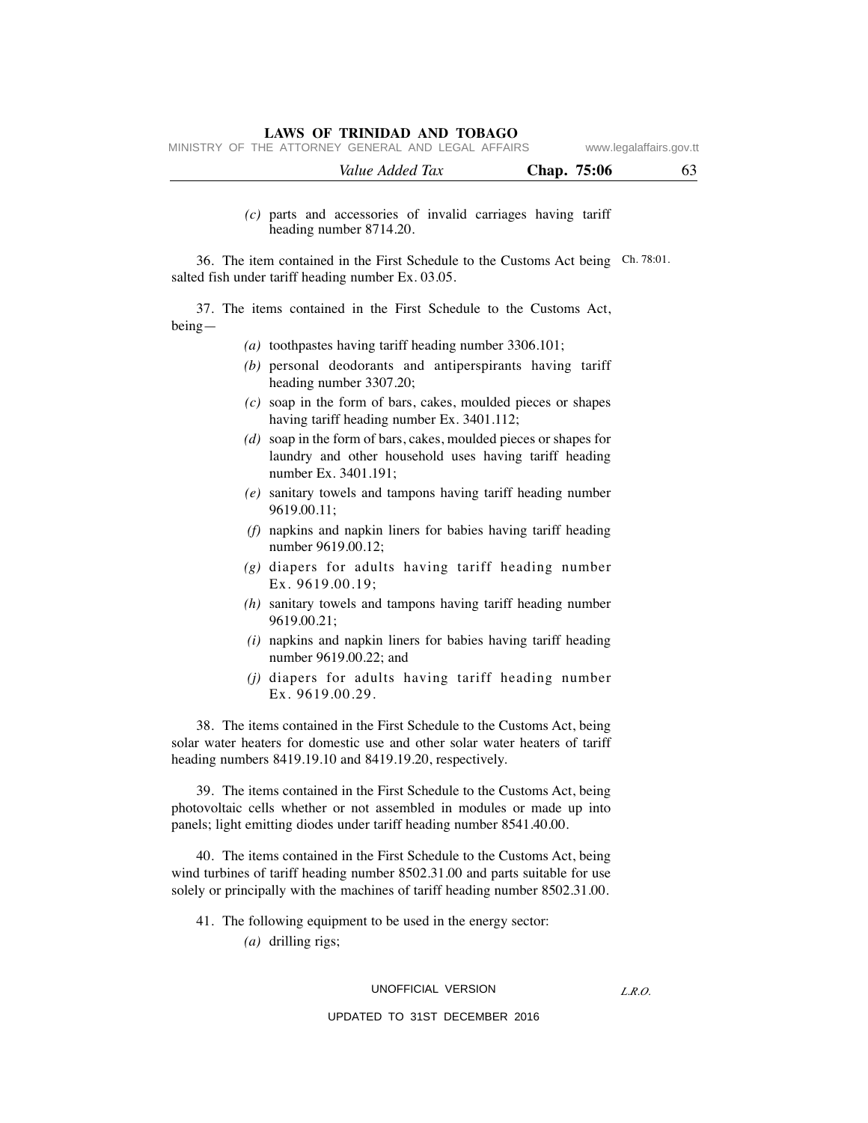|  | MINISTRY OF THE ATTORNEY GENERAL AND LEGAL AFFAIRS |  |  | www.legalaffairs.gov.tt |
|--|----------------------------------------------------|--|--|-------------------------|
|  |                                                    |  |  |                         |

| Value Added Tax | Chap. 75:06<br>υJ |
|-----------------|-------------------|
|                 |                   |

#### *(c)* parts and accessories of invalid carriages having tariff heading number 8714.20.

 36. The item contained in the First Schedule to the Customs Act being Ch. 78:01. salted fish under tariff heading number Ex. 03.05.

 37. The items contained in the First Schedule to the Customs Act, being—

- *(a)* toothpastes having tariff heading number 3306.101;
- *(b)* personal deodorants and antiperspirants having tariff heading number 3307.20;
- *(c)* soap in the form of bars, cakes, moulded pieces or shapes having tariff heading number Ex. 3401.112;
- *(d)* soap in the form of bars, cakes, moulded pieces or shapes for laundry and other household uses having tariff heading number Ex. 3401.191;
- *(e)* sanitary towels and tampons having tariff heading number 9619.00.11;
- *(f)* napkins and napkin liners for babies having tariff heading number 9619.00.12;
- *(g)* diapers for adults having tariff heading number Ex. 9619.00.19;
- *(h)* sanitary towels and tampons having tariff heading number 9619.00.21;
- *(i)* napkins and napkin liners for babies having tariff heading number 9619.00.22; and
- *(j)* diapers for adults having tariff heading number Ex. 9619.00.29.

 38. The items contained in the First Schedule to the Customs Act, being solar water heaters for domestic use and other solar water heaters of tariff heading numbers 8419.19.10 and 8419.19.20, respectively.

 39. The items contained in the First Schedule to the Customs Act, being photovoltaic cells whether or not assembled in modules or made up into panels; light emitting diodes under tariff heading number 8541.40.00.

 40. The items contained in the First Schedule to the Customs Act, being wind turbines of tariff heading number 8502.31.00 and parts suitable for use solely or principally with the machines of tariff heading number 8502.31.00.

- 41. The following equipment to be used in the energy sector:
	- *(a)* drilling rigs;

#### UNOFFICIAL VERSION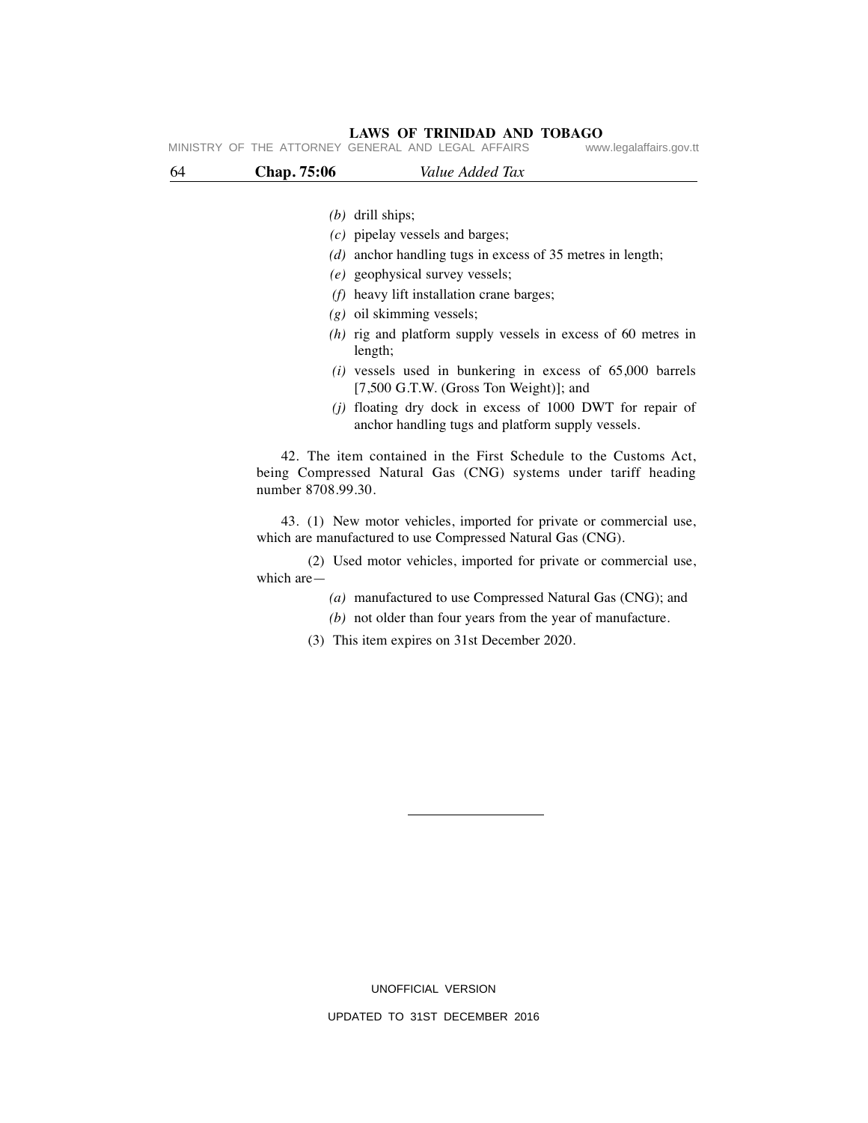| 64 | Chap. 75:06        | Value Added Tax                                                                                                                     |  |
|----|--------------------|-------------------------------------------------------------------------------------------------------------------------------------|--|
|    | $(b)$ drill ships; |                                                                                                                                     |  |
|    |                    | $(c)$ pipelay vessels and barges;                                                                                                   |  |
|    |                    | $(d)$ anchor handling tugs in excess of 35 metres in length;                                                                        |  |
|    |                    | (e) geophysical survey vessels;                                                                                                     |  |
|    |                    | $(f)$ heavy lift installation crane barges;                                                                                         |  |
|    |                    | $(g)$ oil skimming vessels;                                                                                                         |  |
|    | length;            | $(h)$ rig and platform supply vessels in excess of 60 metres in                                                                     |  |
|    |                    | $(i)$ vessels used in bunkering in excess of 65,000 barrels<br>[7,500 G.T.W. (Gross Ton Weight)]; and                               |  |
|    |                    | $(i)$ floating dry dock in excess of 1000 DWT for repair of<br>anchor handling tugs and platform supply vessels.                    |  |
|    | number 8708.99.30. | 42. The item contained in the First Schedule to the Customs Act,<br>being Compressed Natural Gas (CNG) systems under tariff heading |  |
|    |                    | 43. (1) New motor vehicles, imported for private or commercial use,<br>which are manufactured to use Compressed Natural Gas (CNG).  |  |
|    | which are $-$      | (2) Used motor vehicles, imported for private or commercial use,                                                                    |  |
|    |                    | (a) manufactured to use Compressed Natural Gas (CNG); and                                                                           |  |
|    |                    | $(b)$ not older than four years from the year of manufacture.                                                                       |  |
|    |                    |                                                                                                                                     |  |

UNOFFICIAL VERSION UPDATED TO 31ST DECEMBER 2016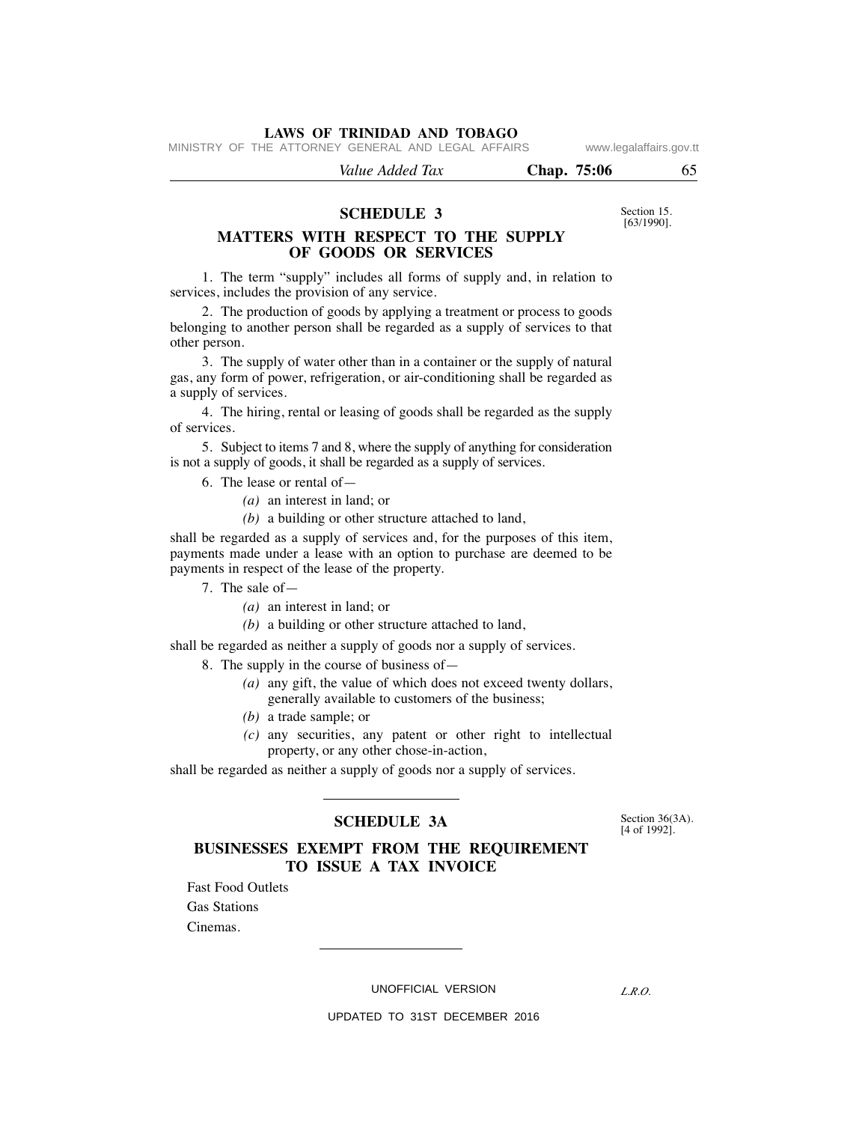MINISTRY OF THE ATTORNEY GENERAL AND LEGAL AFFAIRS www.legalaffairs.gov.tt

 *Value Added Tax* **Chap. 75:06** 65

#### **SCHEDULE 3**

**MATTERS WITH RESPECT TO THE SUPPLY OF GOODS OR SERVICES**

 1. The term "supply" includes all forms of supply and, in relation to services, includes the provision of any service.

 2. The production of goods by applying a treatment or process to goods belonging to another person shall be regarded as a supply of services to that other person.

 3. The supply of water other than in a container or the supply of natural gas, any form of power, refrigeration, or air-conditioning shall be regarded as a supply of services.

 4. The hiring, rental or leasing of goods shall be regarded as the supply of services.

 5. Subject to items 7 and 8, where the supply of anything for consideration is not a supply of goods, it shall be regarded as a supply of services.

- 6. The lease or rental of—
	- *(a)* an interest in land; or
	- *(b)* a building or other structure attached to land,

shall be regarded as a supply of services and, for the purposes of this item, payments made under a lease with an option to purchase are deemed to be payments in respect of the lease of the property.

- 7. The sale of—
	- *(a)* an interest in land; or
	- *(b)* a building or other structure attached to land,

shall be regarded as neither a supply of goods nor a supply of services.

8. The supply in the course of business of—

- *(a)* any gift, the value of which does not exceed twenty dollars, generally available to customers of the business;
- *(b)* a trade sample; or
- *(c)* any securities, any patent or other right to intellectual property, or any other chose-in-action,

shall be regarded as neither a supply of goods nor a supply of services.

#### [4 of 1992]. **SCHEDULE 3A**

Section 36(3A).<br>[4 of 1992].

#### **BUSINESSES EXEMPT FROM THE REQUIREMENT TO ISSUE A TAX INVOICE**

 Fast Food Outlets Gas Stations

Cinemas.

UNOFFICIAL VERSION

*L.R.O.* 

UPDATED TO 31ST DECEMBER 2016

Section 15. [63/1990].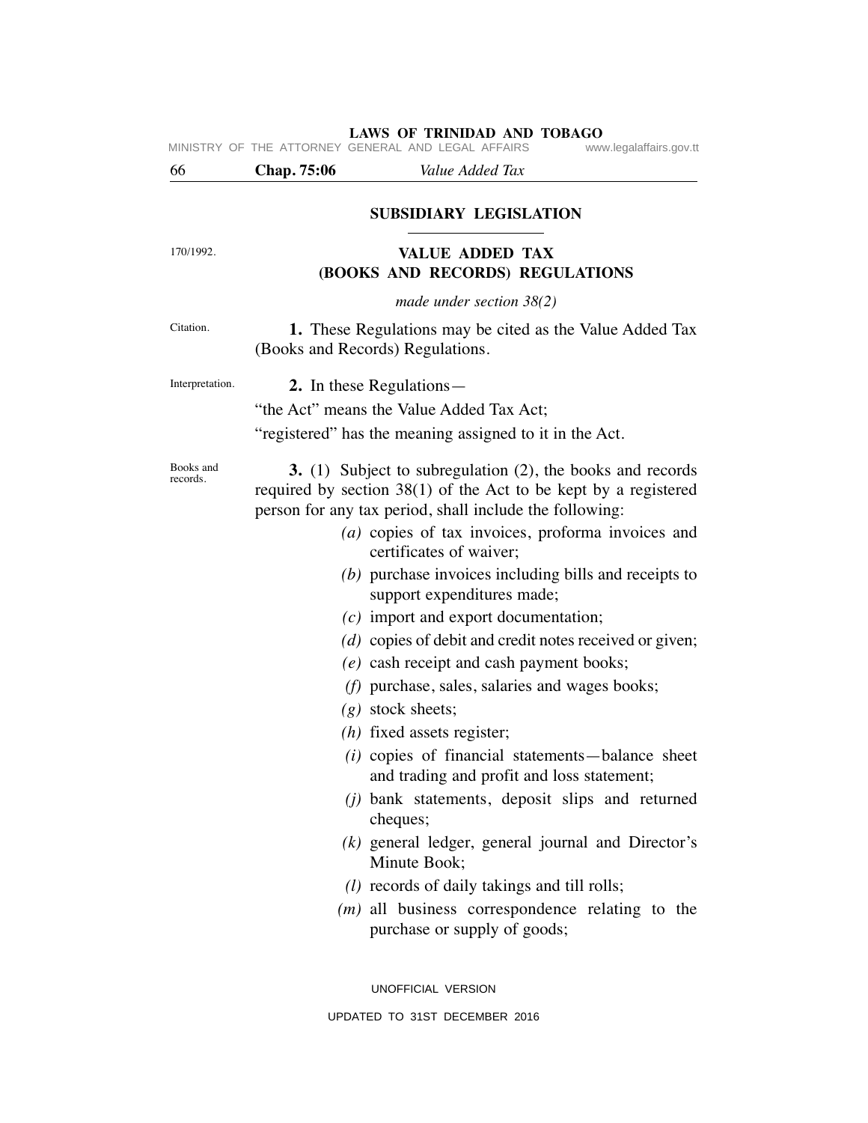**LAWS OF TRINIDAD AND TOBAGO**<br>GENERAL AND LEGAL AFFAIRS www.legalaffairs.gov.tt MINISTRY OF THE ATTORNEY GENERAL AND LEGAL AFFAIRS

## 66 **Chap. 75:06** *Value Added Tax*

#### **SUBSIDIARY LEGISLATION**

170/1992.

Citation.

## **VALUE ADDED TAX (BOOKS AND RECORDS) REGULATIONS**

*made under section 38(2)*

 **1.** These Regulations may be cited as the Value Added Tax (Books and Records) Regulations.

Interpretation.

 **2.** In these Regulations—

"the Act" means the Value Added Tax Act;

"registered" has the meaning assigned to it in the Act.

Books and records.

 **3.** (1) Subject to subregulation (2), the books and records required by section 38(1) of the Act to be kept by a registered person for any tax period, shall include the following:

- *(a)* copies of tax invoices, proforma invoices and certificates of waiver;
- *(b)* purchase invoices including bills and receipts to support expenditures made;
- *(c)* import and export documentation;
- *(d)* copies of debit and credit notes received or given;
- *(e)* cash receipt and cash payment books;
- *(f)* purchase, sales, salaries and wages books;
- *(g)* stock sheets;
- *(h)* fixed assets register;
- *(i)* copies of financial statements—balance sheet and trading and profit and loss statement;
- *(j)* bank statements, deposit slips and returned cheques;
- *(k)* general ledger, general journal and Director's Minute Book;
- *(l)* records of daily takings and till rolls;
- *(m)* all business correspondence relating to the purchase or supply of goods;

UNOFFICIAL VERSION UPDATED TO 31ST DECEMBER 2016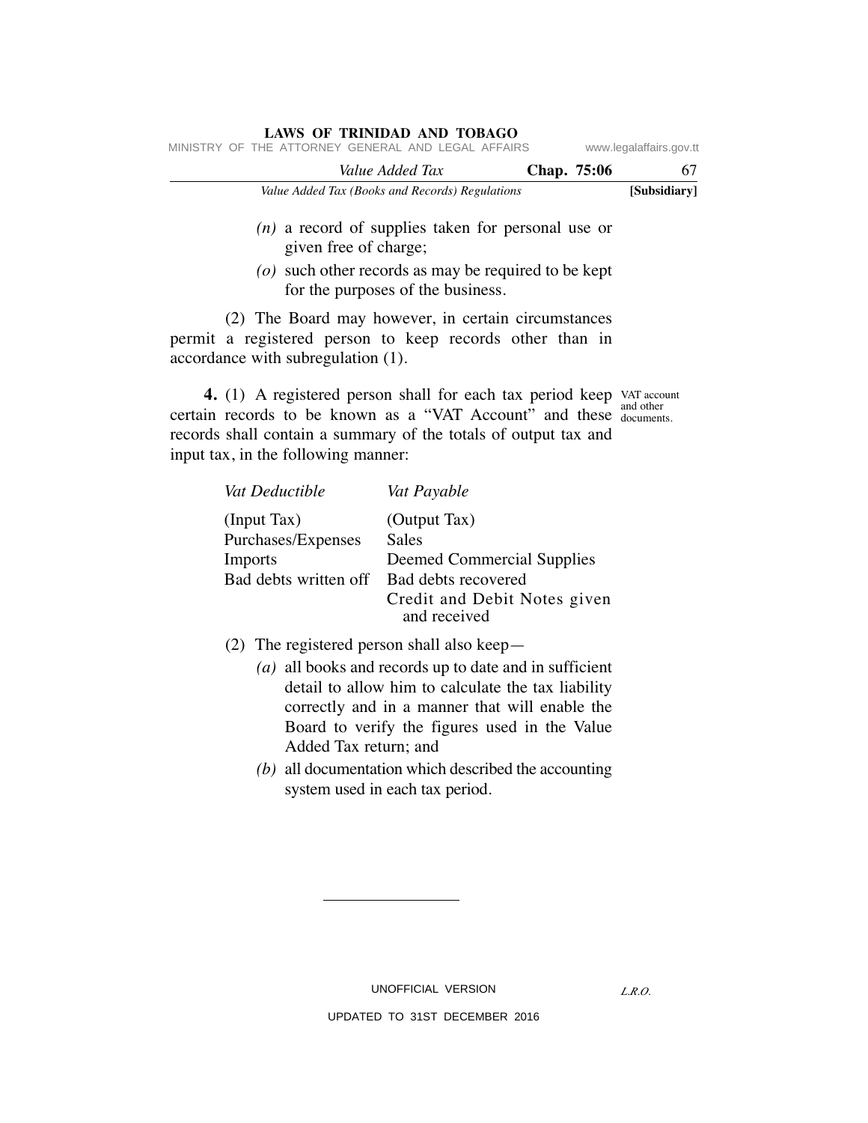| LAWS OF TRINIDAD AND TOBAGO                        |  |                                                 |             |                         |              |  |
|----------------------------------------------------|--|-------------------------------------------------|-------------|-------------------------|--------------|--|
| MINISTRY OF THE ATTORNEY GENERAL AND LEGAL AFFAIRS |  |                                                 |             | www.legalaffairs.gov.tt |              |  |
|                                                    |  | Value Added Tax                                 | Chap. 75:06 |                         | 67           |  |
|                                                    |  | Value Added Tax (Books and Records) Regulations |             |                         | [Subsidiary] |  |

## *(n)* a record of supplies taken for personal use or given free of charge;

 *(o)* such other records as may be required to be kept for the purposes of the business.

 (2) The Board may however, in certain circumstances permit a registered person to keep records other than in accordance with subregulation (1).

**4.** (1) A registered person shall for each tax period keep VAT account certain records to be known as a "VAT Account" and these document records shall contain a summary of the totals of output tax and input tax, in the following manner: documents.

| Vat Deductible        | Vat Payable                                  |
|-----------------------|----------------------------------------------|
| (Input Tax)           | (Output Tax)                                 |
| Purchases/Expenses    | Sales                                        |
| Imports               | <b>Deemed Commercial Supplies</b>            |
| Bad debts written off | Bad debts recovered                          |
|                       | Credit and Debit Notes given<br>and received |
|                       |                                              |

- (2) The registered person shall also keep—
	- *(a)* all books and records up to date and in sufficient detail to allow him to calculate the tax liability correctly and in a manner that will enable the Board to verify the figures used in the Value Added Tax return; and
	- *(b)* all documentation which described the accounting system used in each tax period.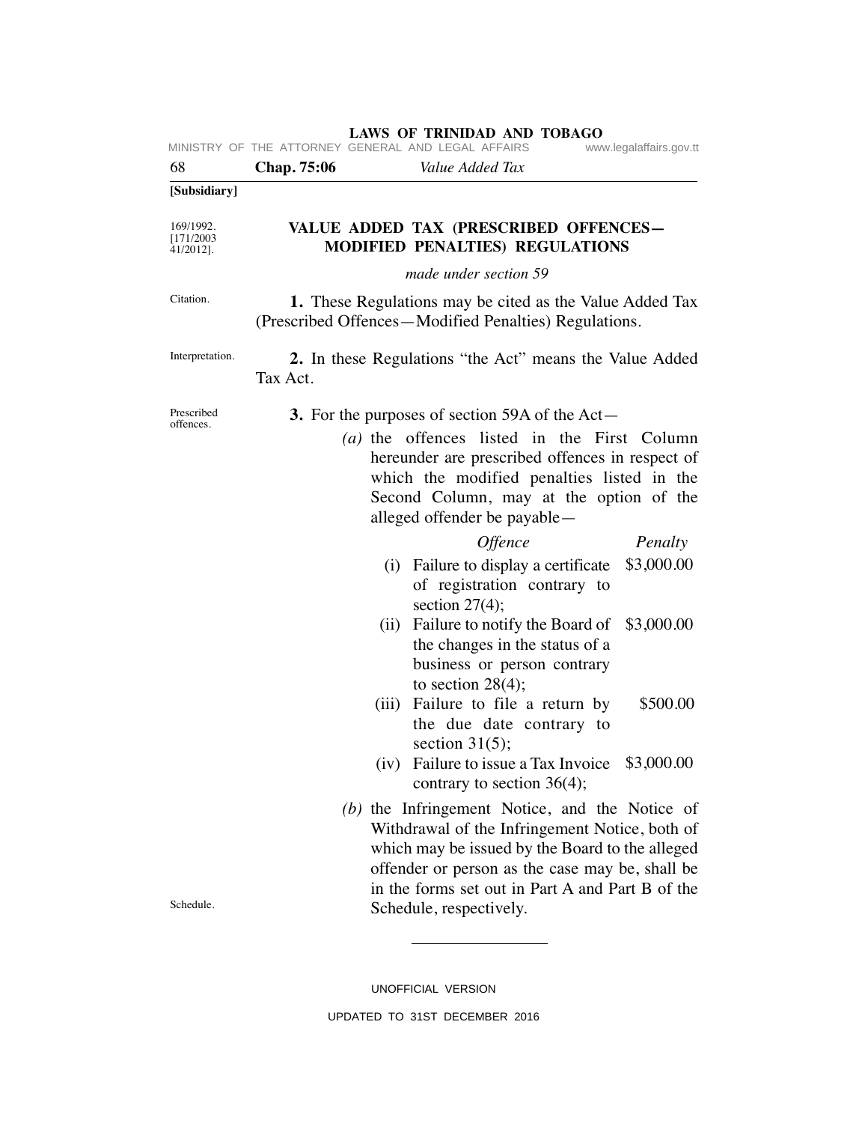| 68                                   | Chap. 75:06<br>Value Added Tax                                                                                                                                                                                                                                                        |  |  |
|--------------------------------------|---------------------------------------------------------------------------------------------------------------------------------------------------------------------------------------------------------------------------------------------------------------------------------------|--|--|
| [Subsidiary]                         |                                                                                                                                                                                                                                                                                       |  |  |
| 169/1992.<br>[171/2003]<br>41/2012]. | VALUE ADDED TAX (PRESCRIBED OFFENCES-<br><b>MODIFIED PENALTIES) REGULATIONS</b>                                                                                                                                                                                                       |  |  |
|                                      | made under section 59                                                                                                                                                                                                                                                                 |  |  |
| Citation.                            | 1. These Regulations may be cited as the Value Added Tax<br>(Prescribed Offences—Modified Penalties) Regulations.                                                                                                                                                                     |  |  |
| Interpretation.                      | 2. In these Regulations "the Act" means the Value Added<br>Tax Act.                                                                                                                                                                                                                   |  |  |
| Prescribed<br>offences.              | <b>3.</b> For the purposes of section 59A of the Act—                                                                                                                                                                                                                                 |  |  |
|                                      | (a) the offences listed in the First Column<br>hereunder are prescribed offences in respect of<br>which the modified penalties listed in the<br>Second Column, may at the option of the<br>alleged offender be payable—                                                               |  |  |
|                                      | <b>Offence</b><br>Penalty                                                                                                                                                                                                                                                             |  |  |
|                                      | (i) Failure to display a certificate<br>\$3,000.00<br>of registration contrary to<br>section $27(4)$ ;<br>Failure to notify the Board of<br>\$3,000.00<br>(ii)<br>the changes in the status of a                                                                                      |  |  |
|                                      | business or person contrary                                                                                                                                                                                                                                                           |  |  |
|                                      | to section $28(4)$ ;                                                                                                                                                                                                                                                                  |  |  |
|                                      | \$500.00<br>(iii) Failure to file a return by<br>the due date contrary to<br>section $31(5)$ ;                                                                                                                                                                                        |  |  |
|                                      | (iv) Failure to issue a Tax Invoice<br>\$3,000.00<br>contrary to section 36(4);                                                                                                                                                                                                       |  |  |
| Schedule.                            | (b) the Infringement Notice, and the Notice of<br>Withdrawal of the Infringement Notice, both of<br>which may be issued by the Board to the alleged<br>offender or person as the case may be, shall be<br>in the forms set out in Part A and Part B of the<br>Schedule, respectively. |  |  |
|                                      |                                                                                                                                                                                                                                                                                       |  |  |

UNOFFICIAL VERSION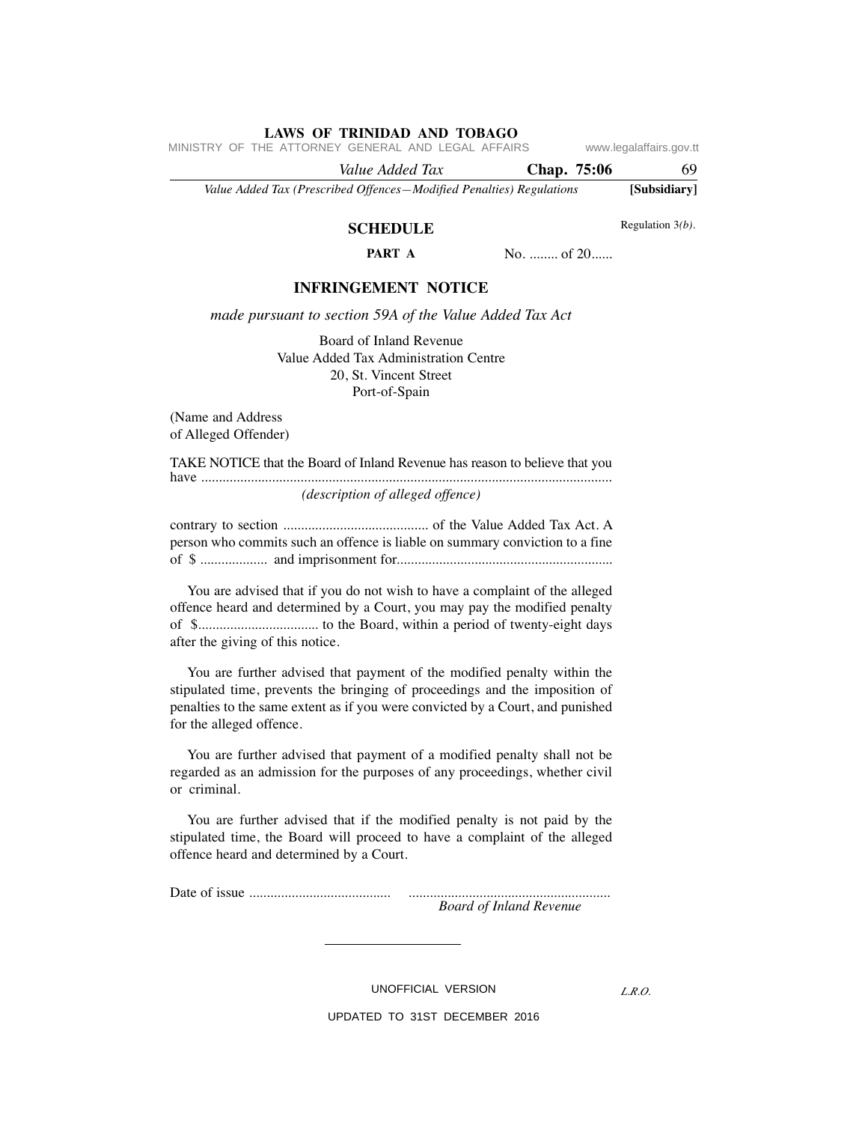MINISTRY OF THE ATTORNEY GENERAL AND LEGAL AFFAIRS www.legalaffairs.gov.tt

 *Value Added Tax* **Chap. 75:06** 69 *Value Added Tax (Prescribed Offences—Modified Penalties) Regulations* **[Subsidiary]**

## **SCHEDULE PART A**

No. ........ of 20......

#### **INFRINGEMENT NOTICE**

*made pursuant to section 59A of the Value Added Tax Act*

Board of Inland Revenue Value Added Tax Administration Centre 20, St. Vincent Street Port-of-Spain

(Name and Address of Alleged Offender)

TAKE NOTICE that the Board of Inland Revenue has reason to believe that you have .................................................................................................................... *(description of alleged offence)*

contrary to section ......................................... of the Value Added Tax Act. A person who commits such an offence is liable on summary conviction to a fine of \$ ................... and imprisonment for.............................................................

 You are advised that if you do not wish to have a complaint of the alleged offence heard and determined by a Court, you may pay the modified penalty of \$.................................. to the Board, within a period of twenty-eight days after the giving of this notice.

 You are further advised that payment of the modified penalty within the stipulated time, prevents the bringing of proceedings and the imposition of penalties to the same extent as if you were convicted by a Court, and punished for the alleged offence.

 You are further advised that payment of a modified penalty shall not be regarded as an admission for the purposes of any proceedings, whether civil or criminal.

 You are further advised that if the modified penalty is not paid by the stipulated time, the Board will proceed to have a complaint of the alleged offence heard and determined by a Court.

Date of issue ........................................ .........................................................

*Board of Inland Revenue*

UNOFFICIAL VERSION

*L.R.O.* 

UPDATED TO 31ST DECEMBER 2016

Regulation 3*(b)*.